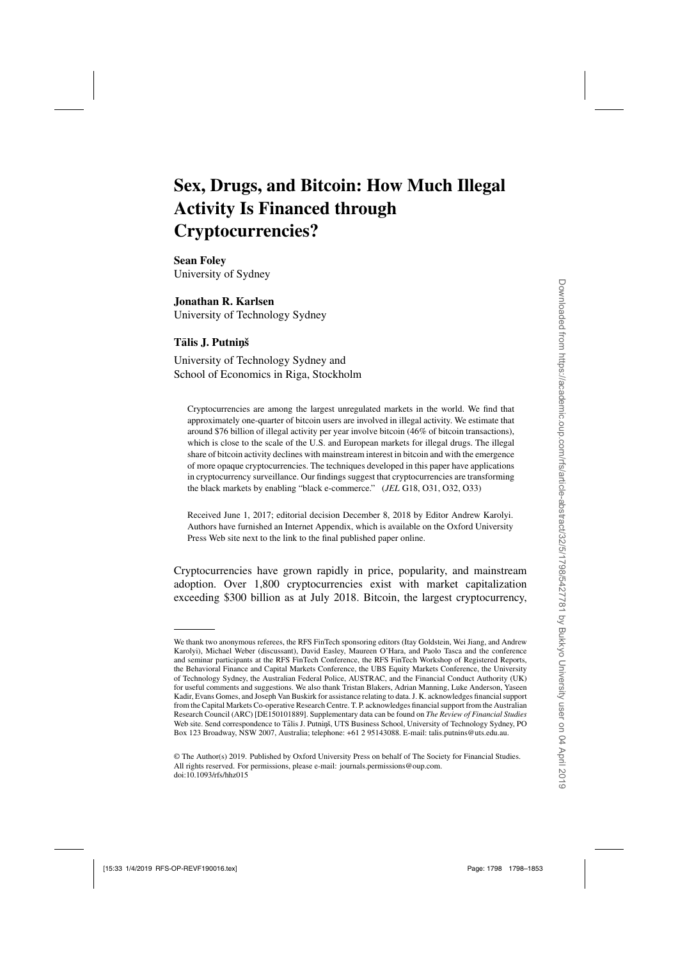## **Sex, Drugs, and Bitcoin: How Much Illegal Activity Is Financed through Cryptocurrencies?**

**Sean Foley** University of Sydney

**Jonathan R. Karlsen** University of Technology Sydney

# **Tālis J. Putniņš**<br>--

University of Technology Sydney and School of Economics in Riga, Stockholm

Cryptocurrencies are among the largest unregulated markets in the world. We find that approximately one-quarter of bitcoin users are involved in illegal activity. We estimate that around \$76 billion of illegal activity per year involve bitcoin (46% of bitcoin transactions), which is close to the scale of the U.S. and European markets for illegal drugs. The illegal share of bitcoin activity declines with mainstream interest in bitcoin and with the emergence of more opaque cryptocurrencies. The techniques developed in this paper have applications in cryptocurrency surveillance. Our findings suggest that cryptocurrencies are transforming the black markets by enabling "black e-commerce." (*JEL* G18, O31, O32, O33)

Received June 1, 2017; editorial decision December 8, 2018 by Editor Andrew Karolyi. Authors have furnished an Internet Appendix, which is available on the Oxford University Press Web site next to the link to the final published paper online.

Cryptocurrencies have grown rapidly in price, popularity, and mainstream adoption. Over 1,800 cryptocurrencies exist with market capitalization exceeding \$300 billion as at July 2018. Bitcoin, the largest cryptocurrency,

We thank two anonymous referees, the RFS FinTech sponsoring editors (Itay Goldstein, Wei Jiang, and Andrew Karolyi), Michael Weber (discussant), David Easley, Maureen O'Hara, and Paolo Tasca and the conference and seminar participants at the RFS FinTech Conference, the RFS FinTech Workshop of Registered Reports, the Behavioral Finance and Capital Markets Conference, the UBS Equity Markets Conference, the University of Technology Sydney, the Australian Federal Police, AUSTRAC, and the Financial Conduct Authority (UK) for useful comments and suggestions. We also thank Tristan Blakers, Adrian Manning, Luke Anderson, Yaseen Kadir, Evans Gomes, and Joseph Van Buskirk for assistance relating to data. J. K. acknowledges financial support from the Capital Markets Co-operative Research Centre. T. P. acknowledges financial support from the Australian Research Council (ARC) [DE150101889]. [Supplementary data](https://academic.oup.com/rfs/article-lookup/doi/10.1093/rfs/hhz015#supplementary-data) can be found on *The Review of Financial Studies* Web site. Send correspondence to Tālis J. Putniņš, UTS Business School, University of Technology Sydne<br>Box 123 Broadway, NSW 2007, Australia; telephone: +61 2 95143088. E-mail: talis.putnins@uts.edu.au. Web site. Send correspondence to Talis J. Putninš, UTS Business School, University of Technology Sydney, PO

<sup>©</sup> The Author(s) 2019. Published by Oxford University Press on behalf of The Society for Financial Studies. All rights reserved. For permissions, please e-mail: journals.permissions@oup.com. doi:10.1093/rfs/hhz015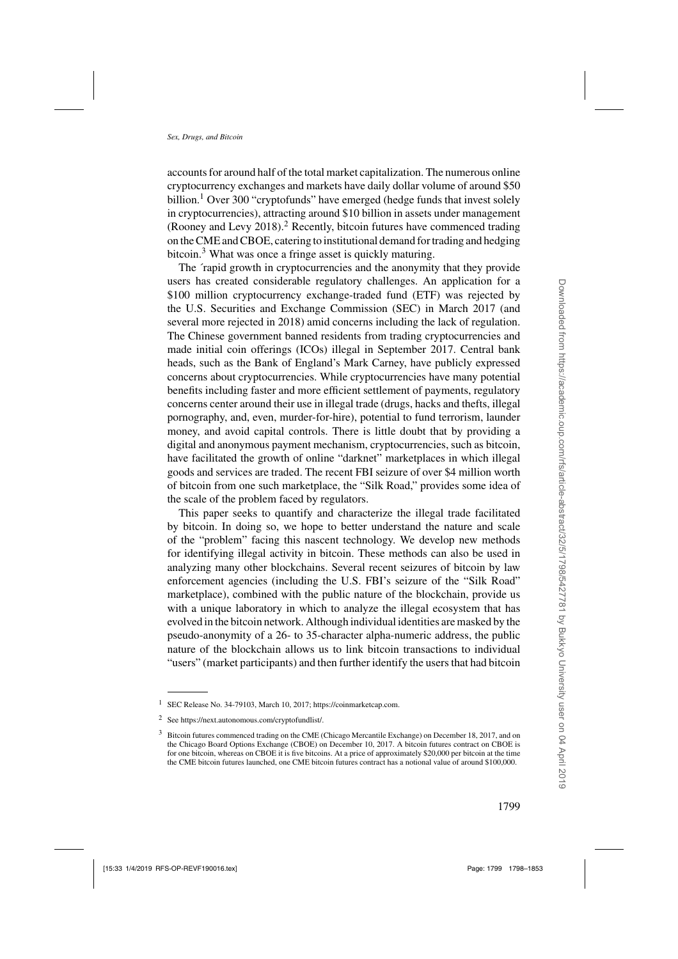accounts for around half of the total market capitalization. The numerous online cryptocurrency exchanges and markets have daily dollar volume of around \$50 billion.<sup>1</sup> Over 300 "cryptofunds" have emerged (hedge funds that invest solely in cryptocurrencies), attracting around \$10 billion in assets under management (Rooney and Levy 2018).<sup>2</sup> Recently, bitcoin futures have commenced trading on the CME and CBOE, catering to institutional demand for trading and hedging bitcoin.<sup>3</sup> What was once a fringe asset is quickly maturing.

The ´rapid growth in cryptocurrencies and the anonymity that they provide users has created considerable regulatory challenges. An application for a \$100 million cryptocurrency exchange-traded fund (ETF) was rejected by the U.S. Securities and Exchange Commission (SEC) in March 2017 (and several more rejected in 2018) amid concerns including the lack of regulation. The Chinese government banned residents from trading cryptocurrencies and made initial coin offerings (ICOs) illegal in September 2017. Central bank heads, such as the Bank of England's Mark Carney, have publicly expressed concerns about cryptocurrencies. While cryptocurrencies have many potential benefits including faster and more efficient settlement of payments, regulatory concerns center around their use in illegal trade (drugs, hacks and thefts, illegal pornography, and, even, murder-for-hire), potential to fund terrorism, launder money, and avoid capital controls. There is little doubt that by providing a digital and anonymous payment mechanism, cryptocurrencies, such as bitcoin, have facilitated the growth of online "darknet" marketplaces in which illegal goods and services are traded. The recent FBI seizure of over \$4 million worth of bitcoin from one such marketplace, the "Silk Road," provides some idea of the scale of the problem faced by regulators.

This paper seeks to quantify and characterize the illegal trade facilitated by bitcoin. In doing so, we hope to better understand the nature and scale of the "problem" facing this nascent technology. We develop new methods for identifying illegal activity in bitcoin. These methods can also be used in analyzing many other blockchains. Several recent seizures of bitcoin by law enforcement agencies (including the U.S. FBI's seizure of the "Silk Road" marketplace), combined with the public nature of the blockchain, provide us with a unique laboratory in which to analyze the illegal ecosystem that has evolved in the bitcoin network. Although individual identities are masked by the pseudo-anonymity of a 26- to 35-character alpha-numeric address, the public nature of the blockchain allows us to link bitcoin transactions to individual "users" (market participants) and then further identify the users that had bitcoin

<sup>1</sup> SEC Release No. 34-79103, March 10, 2017; https://coinmarketcap.com.

See https://next.autonomous.com/cryptofundlist/.

<sup>3</sup> Bitcoin futures commenced trading on the CME (Chicago Mercantile Exchange) on December 18, 2017, and on the Chicago Board Options Exchange (CBOE) on December 10, 2017. A bitcoin futures contract on CBOE is for one bitcoin, whereas on CBOE it is five bitcoins. At a price of approximately \$20,000 per bitcoin at the time the CME bitcoin futures launched, one CME bitcoin futures contract has a notional value of around \$100,000.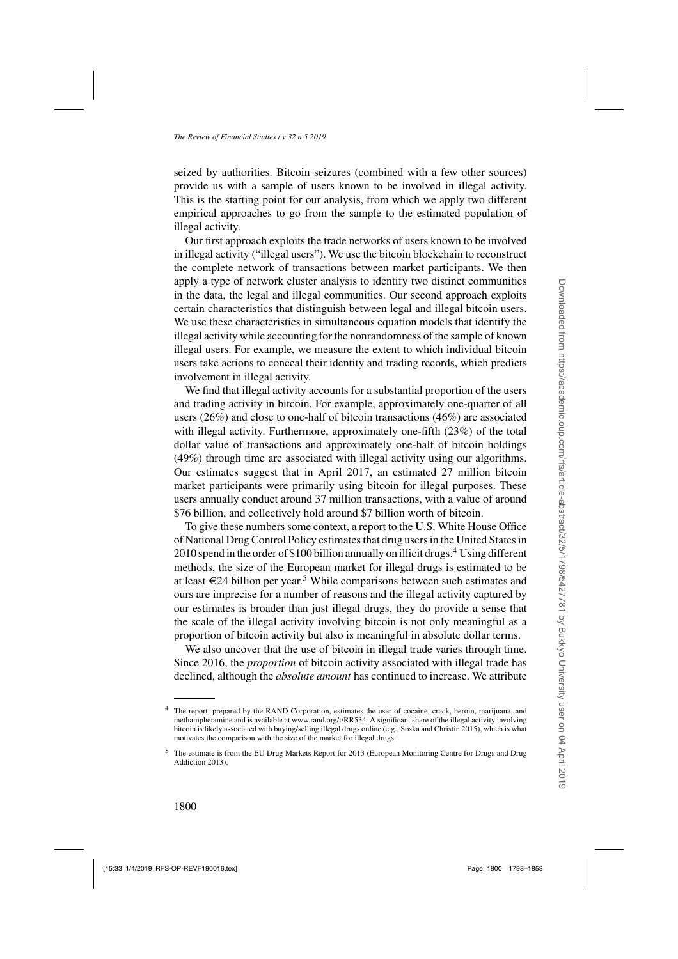seized by authorities. Bitcoin seizures (combined with a few other sources) provide us with a sample of users known to be involved in illegal activity. This is the starting point for our analysis, from which we apply two different empirical approaches to go from the sample to the estimated population of illegal activity.

Our first approach exploits the trade networks of users known to be involved in illegal activity ("illegal users"). We use the bitcoin blockchain to reconstruct the complete network of transactions between market participants. We then apply a type of network cluster analysis to identify two distinct communities in the data, the legal and illegal communities. Our second approach exploits certain characteristics that distinguish between legal and illegal bitcoin users. We use these characteristics in simultaneous equation models that identify the illegal activity while accounting for the nonrandomness of the sample of known illegal users. For example, we measure the extent to which individual bitcoin users take actions to conceal their identity and trading records, which predicts involvement in illegal activity.

We find that illegal activity accounts for a substantial proportion of the users and trading activity in bitcoin. For example, approximately one-quarter of all users (26%) and close to one-half of bitcoin transactions (46%) are associated with illegal activity. Furthermore, approximately one-fifth (23%) of the total dollar value of transactions and approximately one-half of bitcoin holdings (49%) through time are associated with illegal activity using our algorithms. Our estimates suggest that in April 2017, an estimated 27 million bitcoin market participants were primarily using bitcoin for illegal purposes. These users annually conduct around 37 million transactions, with a value of around \$76 billion, and collectively hold around \$7 billion worth of bitcoin.

To give these numbers some context, a report to the U.S. White House Office of National Drug Control Policy estimates that drug users in the United States in  $2010$  spend in the order of \$100 billion annually on illicit drugs.<sup>4</sup> Using different methods, the size of the European market for illegal drugs is estimated to be at least  $\in 24$  billion per year.<sup>5</sup> While comparisons between such estimates and ours are imprecise for a number of reasons and the illegal activity captured by our estimates is broader than just illegal drugs, they do provide a sense that the scale of the illegal activity involving bitcoin is not only meaningful as a proportion of bitcoin activity but also is meaningful in absolute dollar terms.

We also uncover that the use of bitcoin in illegal trade varies through time. Since 2016, the *proportion* of bitcoin activity associated with illegal trade has declined, although the *absolute amount* has continued to increase. We attribute

<sup>4</sup> The report, prepared by the RAND Corporation, estimates the user of cocaine, crack, heroin, marijuana, and methamphetamine and is available at www.rand.org/t/RR534. A significant share of the illegal activity involving bitcoin is likely associated with buying/selling illegal drugs online (e.g., [Soska and Christin 2015\)](#page-54-0), which is what motivates the comparison with the size of the market for illegal drugs.

<sup>5</sup> The esti[mate is from the EU Drug Markets Report for 2013 \(](#page-53-0)European Monitoring Centre for Drugs and Drug Addiction [2013\)](#page-53-0).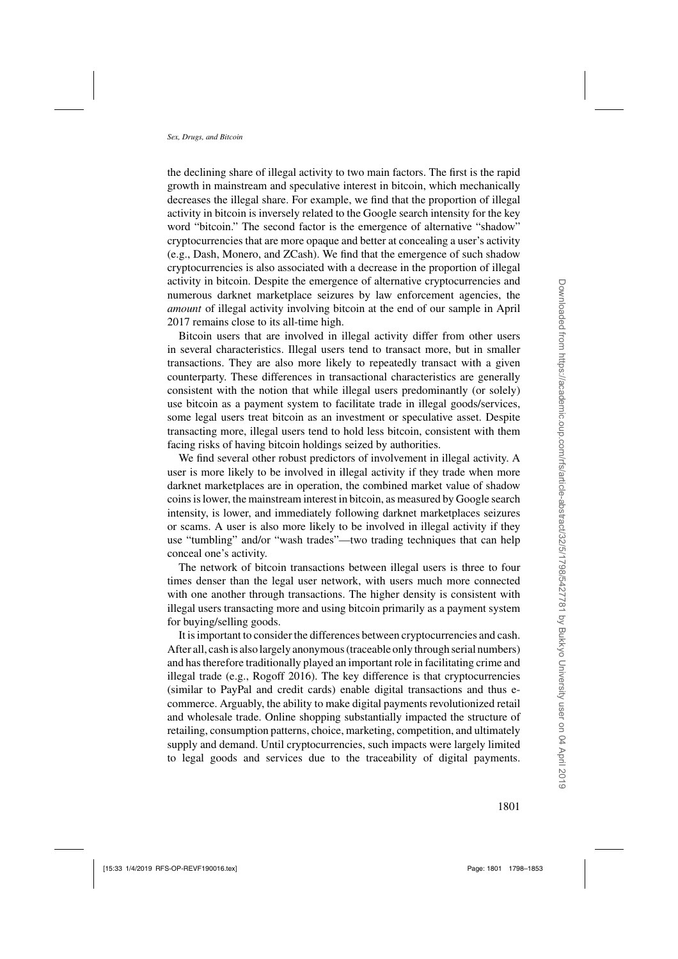the declining share of illegal activity to two main factors. The first is the rapid growth in mainstream and speculative interest in bitcoin, which mechanically decreases the illegal share. For example, we find that the proportion of illegal activity in bitcoin is inversely related to the Google search intensity for the key word "bitcoin." The second factor is the emergence of alternative "shadow" cryptocurrencies that are more opaque and better at concealing a user's activity (e.g., Dash, Monero, and ZCash). We find that the emergence of such shadow cryptocurrencies is also associated with a decrease in the proportion of illegal activity in bitcoin. Despite the emergence of alternative cryptocurrencies and numerous darknet marketplace seizures by law enforcement agencies, the *amount* of illegal activity involving bitcoin at the end of our sample in April 2017 remains close to its all-time high.

Bitcoin users that are involved in illegal activity differ from other users in several characteristics. Illegal users tend to transact more, but in smaller transactions. They are also more likely to repeatedly transact with a given counterparty. These differences in transactional characteristics are generally consistent with the notion that while illegal users predominantly (or solely) use bitcoin as a payment system to facilitate trade in illegal goods/services, some legal users treat bitcoin as an investment or speculative asset. Despite transacting more, illegal users tend to hold less bitcoin, consistent with them facing risks of having bitcoin holdings seized by authorities.

We find several other robust predictors of involvement in illegal activity. A user is more likely to be involved in illegal activity if they trade when more darknet marketplaces are in operation, the combined market value of shadow coins is lower, the mainstream interest in bitcoin, as measured by Google search intensity, is lower, and immediately following darknet marketplaces seizures or scams. A user is also more likely to be involved in illegal activity if they use "tumbling" and/or "wash trades"—two trading techniques that can help conceal one's activity.

The network of bitcoin transactions between illegal users is three to four times denser than the legal user network, with users much more connected with one another through transactions. The higher density is consistent with illegal users transacting more and using bitcoin primarily as a payment system for buying/selling goods.

It is important to consider the differences between cryptocurrencies and cash. After all, cash is also largely anonymous (traceable only through serial numbers) and has therefore traditionally played an important role in facilitating crime and illegal trade (e.g., [Rogoff 2016\)](#page-54-0). The key difference is that cryptocurrencies (similar to PayPal and credit cards) enable digital transactions and thus ecommerce. Arguably, the ability to make digital payments revolutionized retail and wholesale trade. Online shopping substantially impacted the structure of retailing, consumption patterns, choice, marketing, competition, and ultimately supply and demand. Until cryptocurrencies, such impacts were largely limited to legal goods and services due to the traceability of digital payments.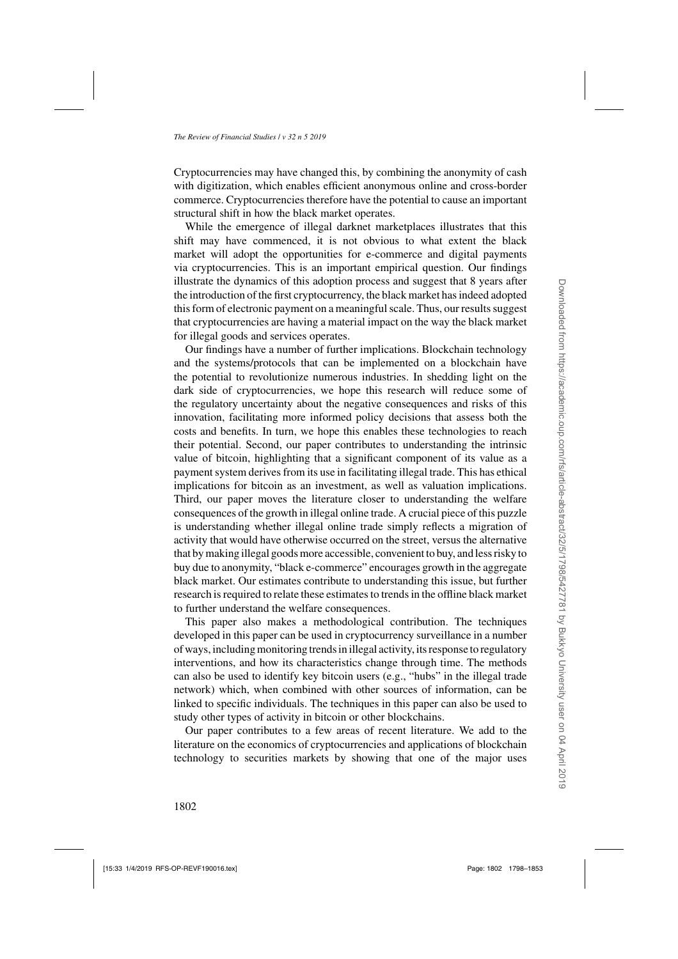Cryptocurrencies may have changed this, by combining the anonymity of cash with digitization, which enables efficient anonymous online and cross-border commerce. Cryptocurrencies therefore have the potential to cause an important structural shift in how the black market operates.

While the emergence of illegal darknet marketplaces illustrates that this shift may have commenced, it is not obvious to what extent the black market will adopt the opportunities for e-commerce and digital payments via cryptocurrencies. This is an important empirical question. Our findings illustrate the dynamics of this adoption process and suggest that 8 years after the introduction of the first cryptocurrency, the black market has indeed adopted this form of electronic payment on a meaningful scale. Thus, our results suggest that cryptocurrencies are having a material impact on the way the black market for illegal goods and services operates.

Our findings have a number of further implications. Blockchain technology and the systems/protocols that can be implemented on a blockchain have the potential to revolutionize numerous industries. In shedding light on the dark side of cryptocurrencies, we hope this research will reduce some of the regulatory uncertainty about the negative consequences and risks of this innovation, facilitating more informed policy decisions that assess both the costs and benefits. In turn, we hope this enables these technologies to reach their potential. Second, our paper contributes to understanding the intrinsic value of bitcoin, highlighting that a significant component of its value as a payment system derives from its use in facilitating illegal trade. This has ethical implications for bitcoin as an investment, as well as valuation implications. Third, our paper moves the literature closer to understanding the welfare consequences of the growth in illegal online trade. A crucial piece of this puzzle is understanding whether illegal online trade simply reflects a migration of activity that would have otherwise occurred on the street, versus the alternative that by making illegal goods more accessible, convenient to buy, and less risky to buy due to anonymity, "black e-commerce" encourages growth in the aggregate black market. Our estimates contribute to understanding this issue, but further research is required to relate these estimates to trends in the offline black market to further understand the welfare consequences.

This paper also makes a methodological contribution. The techniques developed in this paper can be used in cryptocurrency surveillance in a number of ways, including monitoring trends in illegal activity, its response to regulatory interventions, and how its characteristics change through time. The methods can also be used to identify key bitcoin users (e.g., "hubs" in the illegal trade network) which, when combined with other sources of information, can be linked to specific individuals. The techniques in this paper can also be used to study other types of activity in bitcoin or other blockchains.

Our paper contributes to a few areas of recent literature. We add to the literature on the economics of cryptocurrencies and applications of blockchain technology to securities markets by showing that one of the major uses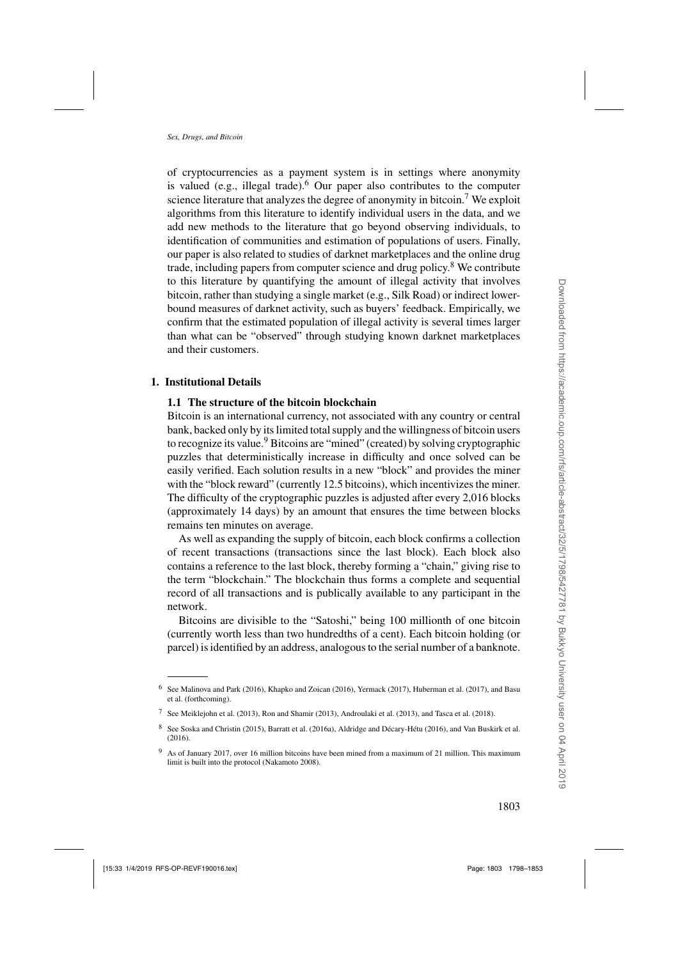of cryptocurrencies as a payment system is in settings where anonymity is valued (e.g., illegal trade).<sup>6</sup> Our paper also contributes to the computer science literature that analyzes the degree of anonymity in bitcoin.<sup>7</sup> We exploit algorithms from this literature to identify individual users in the data, and we add new methods to the literature that go beyond observing individuals, to identification of communities and estimation of populations of users. Finally, our paper is also related to studies of darknet marketplaces and the online drug trade, including papers from computer science and drug policy. $8$  We contribute to this literature by quantifying the amount of illegal activity that involves bitcoin, rather than studying a single market (e.g., Silk Road) or indirect lowerbound measures of darknet activity, such as buyers' feedback. Empirically, we confirm that the estimated population of illegal activity is several times larger than what can be "observed" through studying known darknet marketplaces and their customers.

### **1. Institutional Details**

### **1.1 The structure of the bitcoin blockchain**

Bitcoin is an international currency, not associated with any country or central bank, backed only by its limited total supply and the willingness of bitcoin users to recognize its value.<sup>9</sup> Bitcoins are "mined" (created) by solving cryptographic puzzles that deterministically increase in difficulty and once solved can be easily verified. Each solution results in a new "block" and provides the miner with the "block reward" (currently 12.5 bitcoins), which incentivizes the miner. The difficulty of the cryptographic puzzles is adjusted after every 2,016 blocks (approximately 14 days) by an amount that ensures the time between blocks remains ten minutes on average.

As well as expanding the supply of bitcoin, each block confirms a collection of recent transactions (transactions since the last block). Each block also contains a reference to the last block, thereby forming a "chain," giving rise to the term "blockchain." The blockchain thus forms a complete and sequential record of all transactions and is publically available to any participant in the network.

Bitcoins are divisible to the "Satoshi," being 100 millionth of one bitcoin (currently worth less than two hundredths of a cent). Each bitcoin holding (or parcel) is identified by an address, analogous to the serial number of a banknote.

<sup>6</sup> See [Malinova and Park](#page-54-0)[\(2016](#page-54-0)[\),](#page-53-0) [Khapko and Zoican](#page-54-0)[\(2016\)](#page-54-0)[,](#page-53-0) [Yermack \(2017](#page-55-0)[\),](#page-53-0) [Huberman et al.](#page-54-0)[\(2017](#page-54-0)[\), and](#page-53-0) Basu et al. [\(forthcoming\)](#page-53-0).

See [Meiklejohn et al.](#page-54-0) [\(2013\)](#page-53-0), [Ron and Shamir](#page-54-0) [\(2013](#page-54-0)), [Androulaki et al.](#page-53-0) (2013), and [Tasca et al.](#page-55-0) [\(2018\)](#page-55-0).

<sup>8</sup> See [Soska and Christin](#page-54-0) [\(2015](#page-54-0)), [Barratt et al.](#page-53-0) [\(2016a\)](#page-53-0), [Aldridge and Décary-Hétu](#page-53-0) [\(2016\)](#page-53-0), and [Van Buskirk et al.](#page-55-0)  $(2016)$ 

<sup>9</sup> As of January 2017, over 16 million bitcoins have been mined from a maximum of 21 million. This maximum limit is built into the protocol [\(Nakamoto 2008](#page-54-0)).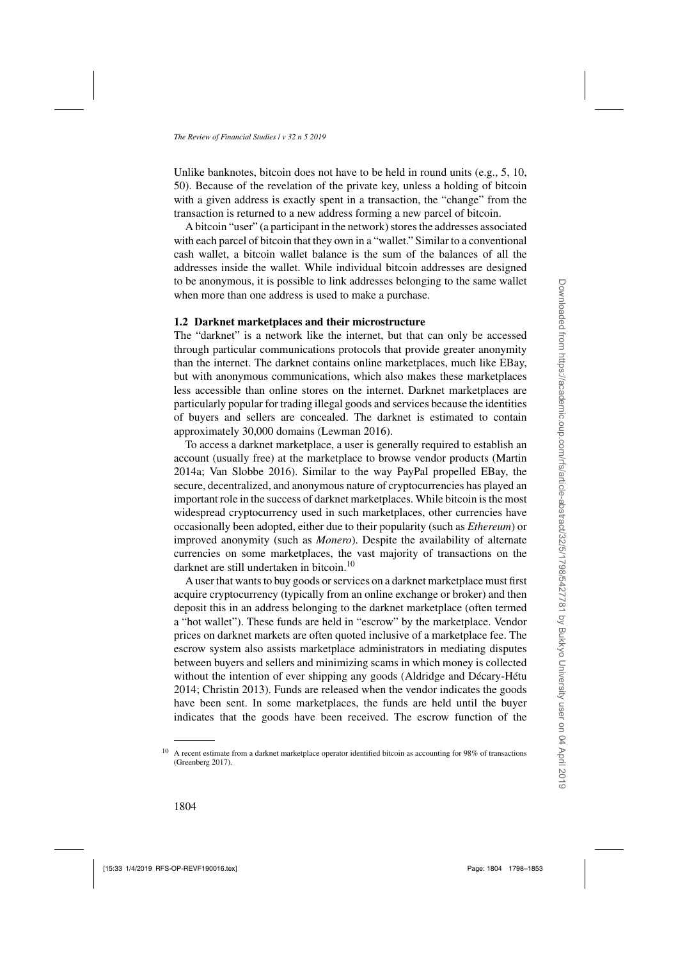Unlike banknotes, bitcoin does not have to be held in round units (e.g., 5, 10, 50). Because of the revelation of the private key, unless a holding of bitcoin with a given address is exactly spent in a transaction, the "change" from the transaction is returned to a new address forming a new parcel of bitcoin.

A bitcoin "user" (a participant in the network) stores the addresses associated with each parcel of bitcoin that they own in a "wallet." Similar to a conventional cash wallet, a bitcoin wallet balance is the sum of the balances of all the addresses inside the wallet. While individual bitcoin addresses are designed to be anonymous, it is possible to link addresses belonging to the same wallet when more than one address is used to make a purchase.

### **1.2 Darknet marketplaces and their microstructure**

The "darknet" is a network like the internet, but that can only be accessed through particular communications protocols that provide greater anonymity than the internet. The darknet contains online marketplaces, much like EBay, but with anonymous communications, which also makes these marketplaces less accessible than online stores on the internet. Darknet marketplaces are particularly popular for trading illegal goods and services because the identities of buyers and sellers are concealed. The darknet is estimated to contain approximately 30,000 domains [\(Lewman 2016\)](#page-54-0).

To access a darknet marketplace, a user is generally required to establish an account (usually free) at the marketplace to browse vendor products [\(Martin](#page-54-0) [2014a;](#page-54-0) [Van Slobbe 2016](#page-55-0)). Similar to the way PayPal propelled EBay, the secure, decentralized, and anonymous nature of cryptocurrencies has played an important role in the success of darknet marketplaces. While bitcoin is the most widespread cryptocurrency used in such marketplaces, other currencies have occasionally been adopted, either due to their popularity (such as *Ethereum*) or improved anonymity (such as *Monero*). Despite the availability of alternate currencies on some marketplaces, the vast majority of transactions on the darknet are still undertaken in bitcoin.<sup>10</sup>

A user that wants to buy goods or services on a darknet marketplace must first acquire cryptocurrency (typically from an online exchange or broker) and then deposit this in an address belonging to the darknet marketplace (often termed a "hot wallet"). These funds are held in "escrow" by the marketplace. Vendor prices on darknet markets are often quoted inclusive of a marketplace fee. The escrow system also assists marketplace administrators in mediating disputes between buyers and sellers and minimizing scams in which money is collected without the intention of ever shipping any goods [\(Aldridge and Décary-Hétu](#page-53-0) [2014](#page-53-0); [Christin 2013](#page-53-0)). Funds are released when the vendor indicates the goods have been sent. In some marketplaces, the funds are held until the buyer indicates that the goods have been received. The escrow function of the

<sup>10</sup> A recent estimate from a darknet marketplace operator identified bitcoin as accounting for 98% of transactions [\(Greenberg 2017\)](#page-53-0).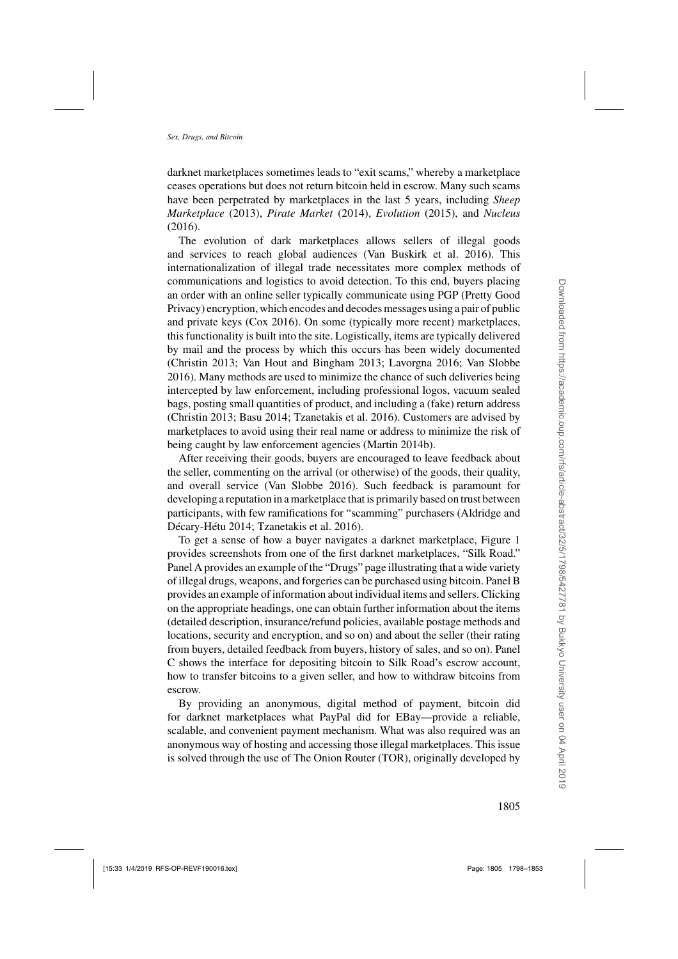darknet marketplaces sometimes leads to "exit scams," whereby a marketplace ceases operations but does not return bitcoin held in escrow. Many such scams have been perpetrated by marketplaces in the last 5 years, including *Sheep Marketplace* (2013), *Pirate Market* (2014), *Evolution* (2015), and *Nucleus* (2016).

The evolution of dark marketplaces allows sellers of illegal goods and services to reach global audiences [\(Van Buskirk et al. 2016\)](#page-55-0). This internationalization of illegal trade necessitates more complex methods of communications and logistics to avoid detection. To this end, buyers placing an order with an online seller typically communicate using PGP (Pretty Good Privacy) encryption, which encodes and decodes messages using a pair of public and private keys [\(Cox 2016](#page-53-0)). On some (typically more recent) marketplaces, this functionality is built into the site. Logistically, items are typically delivered by mail and the process by which this occurs has been widely documented [\(Christin 2013;](#page-53-0) [Van Hout and Bingham 2013;](#page-55-0) [Lavorgna 2016;](#page-54-0) [Van Slobbe](#page-55-0) [2016\)](#page-55-0). Many methods are used to minimize the chance of such deliveries being intercepted by law enforcement, including professional logos, vacuum sealed bags, posting small quantities of product, and including a (fake) return address [\(Christin 2013; Basu 2014](#page-53-0); [Tzanetakis et al. 2016](#page-55-0)). Customers are advised by marketplaces to avoid using their real name or address to minimize the risk of being caught by law enforcement agencies [\(Martin 2014b](#page-54-0)).

After receiving their goods, buyers are encouraged to leave feedback about the seller, commenting on the arrival (or otherwise) of the goods, their quality, and overall service [\(Van Slobbe 2016](#page-55-0)). Such feedback is paramount for developing a reputation in a marketplace that is primarily based on trust between participants, with few ramifications for "scamming" purchasers (Aldridge and Décary-Hétu [2014](#page-53-0); [Tzanetakis et al. 2016](#page-55-0)).

To get a sense of how a buyer navigates a darknet marketplace, Figure [1](#page-8-0) provides screenshots from one of the first darknet marketplaces, "Silk Road." Panel A provides an example of the "Drugs" page illustrating that a wide variety of illegal drugs, weapons, and forgeries can be purchased using bitcoin. Panel B provides an example of information about individual items and sellers. Clicking on the appropriate headings, one can obtain further information about the items (detailed description, insurance/refund policies, available postage methods and locations, security and encryption, and so on) and about the seller (their rating from buyers, detailed feedback from buyers, history of sales, and so on). Panel C shows the interface for depositing bitcoin to Silk Road's escrow account, how to transfer bitcoins to a given seller, and how to withdraw bitcoins from escrow.

By providing an anonymous, digital method of payment, bitcoin did for darknet marketplaces what PayPal did for EBay—provide a reliable, scalable, and convenient payment mechanism. What was also required was an anonymous way of hosting and accessing those illegal marketplaces. This issue is solved through the use of The Onion Router (TOR), originally developed by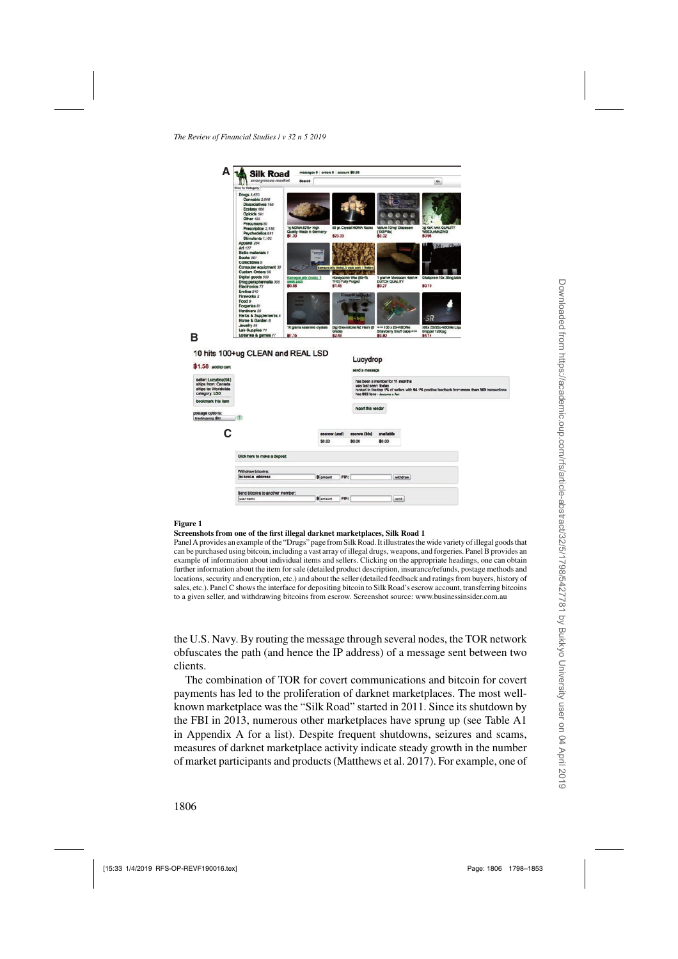<span id="page-8-0"></span>

#### **Figure 1**

#### **Screenshots from one of the first illegal darknet marketplaces, Silk Road 1**

Panel A provides an example of the "Drugs" page from Silk Road. It illustrates the wide variety of illegal goods that can be purchased using bitcoin, including a vast array of illegal drugs, weapons, and forgeries. Panel B provides an example of information about individual items and sellers. Clicking on the appropriate headings, one can obtain further information about the item for sale (detailed product description, insurance/refunds, postage methods and locations, security and encryption, etc.) and about the seller (detailed feedback and ratings from buyers, history of sales, etc.). Panel C shows the interface for depositing bitcoin to Silk Road's escrow account, transferring bitcoins to a given seller, and withdrawing bitcoins from escrow. Screenshot source: www.businessinsider.com.au

the U.S. Navy. By routing the message through several nodes, the TOR network obfuscates the path (and hence the IP address) of a message sent between two clients.

The combination of TOR for covert communications and bitcoin for covert payments has led to the proliferation of darknet marketplaces. The most wellknown marketplace was the "Silk Road" started in 2011. Since its shutdown by the FBI in 2013, numerous other marketplaces have sprung up (see Table [A1](#page-14-0) in Appendix A for a list). Despite frequent shutdowns, seizures and scams, measures of darknet marketplace activity indicate steady growth in the number of market participants and products [\(Matthews et al. 2017\)](#page-54-0). For example, one of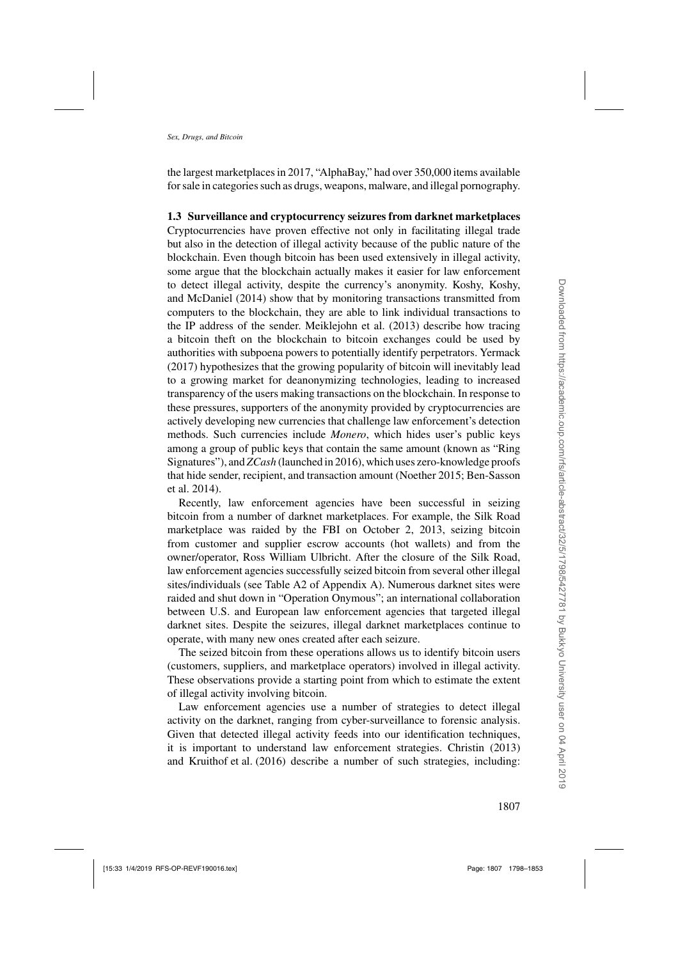the largest marketplaces in 2017, "AlphaBay," had over 350,000 items available for sale in categories such as drugs, weapons, malware, and illegal pornography.

### **1.3 Surveillance and cryptocurrency seizures from darknet marketplaces**

Cryptocurrencies have proven effective not only in facilitating illegal trade but also in the detection of illegal activity because of the public nature of the blockchain. Even though bitcoin has been used extensively in illegal activity, some argue that the blockchain actually makes it easier for law enforcement to detect ille[gal activity, despite the currency's anonymity.](#page-54-0) Koshy, Koshy, and McDaniel [\(2014](#page-54-0)) show that by monitoring transactions transmitted from computers to the blockchain, they are able to link individual transactions to the IP address of the sender. [Meiklejohn et al.](#page-54-0) [\(2013\)](#page-54-0) describe how tracing a bitcoin theft on the blockchain to bitcoin exchanges could be used by authorities with subpoena powers to potentially identify perpetrators. [Yermack](#page-55-0) [\(2017\)](#page-55-0) hypothesizes that the growing popularity of bitcoin will inevitably lead to a growing market for deanonymizing technologies, leading to increased transparency of the users making transactions on the blockchain. In response to these pressures, supporters of the anonymity provided by cryptocurrencies are actively developing new currencies that challenge law enforcement's detection methods. Such currencies include *Monero*, which hides user's public keys among a group of public keys that contain the same amount (known as "Ring Signatures"), and *ZCash* (launched in 2016), which uses zero-knowledge proofs that [hide](#page-53-0) [sender,](#page-53-0) [recipient,](#page-53-0) [and](#page-53-0) [transaction](#page-53-0) [amount](#page-53-0) [\(Noether 2015;](#page-54-0) Ben-Sasson et al. [2014](#page-53-0)).

Recently, law enforcement agencies have been successful in seizing bitcoin from a number of darknet marketplaces. For example, the Silk Road marketplace was raided by the FBI on October 2, 2013, seizing bitcoin from customer and supplier escrow accounts (hot wallets) and from the owner/operator, Ross William Ulbricht. After the closure of the Silk Road, law enforcement agencies successfully seized bitcoin from several other illegal sites/individuals (see Table [A2](#page-16-0) of Appendix A). Numerous darknet sites were raided and shut down in "Operation Onymous"; an international collaboration between U.S. and European law enforcement agencies that targeted illegal darknet sites. Despite the seizures, illegal darknet marketplaces continue to operate, with many new ones created after each seizure.

The seized bitcoin from these operations allows us to identify bitcoin users (customers, suppliers, and marketplace operators) involved in illegal activity. These observations provide a starting point from which to estimate the extent of illegal activity involving bitcoin.

Law enforcement agencies use a number of strategies to detect illegal activity on the darknet, ranging from cyber-surveillance to forensic analysis. Given that detected illegal activity feeds into our identification techniques, it is important to understand law enforcement strategies. [Christin](#page-53-0) [\(2013](#page-53-0)) and [Kruithof et al.](#page-54-0) [\(2016](#page-54-0)) describe a number of such strategies, including: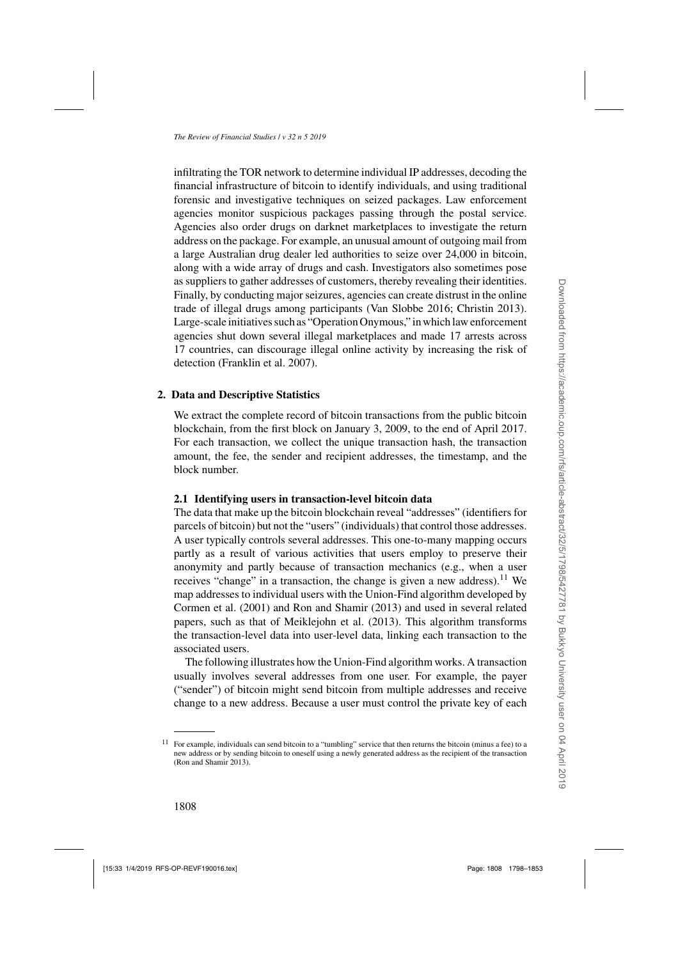infiltrating the TOR network to determine individual IP addresses, decoding the financial infrastructure of bitcoin to identify individuals, and using traditional forensic and investigative techniques on seized packages. Law enforcement agencies monitor suspicious packages passing through the postal service. Agencies also order drugs on darknet marketplaces to investigate the return address on the package. For example, an unusual amount of outgoing mail from a large Australian drug dealer led authorities to seize over 24,000 in bitcoin, along with a wide array of drugs and cash. Investigators also sometimes pose as suppliers to gather addresses of customers, thereby revealing their identities. Finally, by conducting major seizures, agencies can create distrust in the online trade of illegal drugs among participants [\(Van Slobbe 2016;](#page-55-0) [Christin 2013](#page-53-0)). Large-scale initiatives such as "Operation Onymous," in which law enforcement agencies shut down several illegal marketplaces and made 17 arrests across 17 countries, can discourage illegal online activity by increasing the risk of detection [\(Franklin et al. 2007\)](#page-53-0).

### **2. Data and Descriptive Statistics**

We extract the complete record of bitcoin transactions from the public bitcoin blockchain, from the first block on January 3, 2009, to the end of April 2017. For each transaction, we collect the unique transaction hash, the transaction amount, the fee, the sender and recipient addresses, the timestamp, and the block number.

### **2.1 Identifying users in transaction-level bitcoin data**

The data that make up the bitcoin blockchain reveal "addresses" (identifiers for parcels of bitcoin) but not the "users" (individuals) that control those addresses. A user typically controls several addresses. This one-to-many mapping occurs partly as a result of various activities that users employ to preserve their anonymity and partly because of transaction mechanics (e.g., when a user receives "change" in a transaction, the change is given a new address).<sup>11</sup> We map addresses to individual users with the Union-Find algorithm developed by [Cormen et al.](#page-53-0) [\(2001](#page-53-0)) and [Ron and Shamir](#page-54-0) [\(2013\)](#page-54-0) and used in several related papers, such as that of [Meiklejohn et al.](#page-54-0) [\(2013](#page-54-0)). This algorithm transforms the transaction-level data into user-level data, linking each transaction to the associated users.

The following illustrates how the Union-Find algorithm works. A transaction usually involves several addresses from one user. For example, the payer ("sender") of bitcoin might send bitcoin from multiple addresses and receive change to a new address. Because a user must control the private key of each

<sup>11</sup> For example, individuals can send bitcoin to a "tumbling" service that then returns the bitcoin (minus a fee) to a new address or by sending bitcoin to oneself using a newly generated address as the recipient of the transaction [\(Ron and Shamir 2013\)](#page-54-0).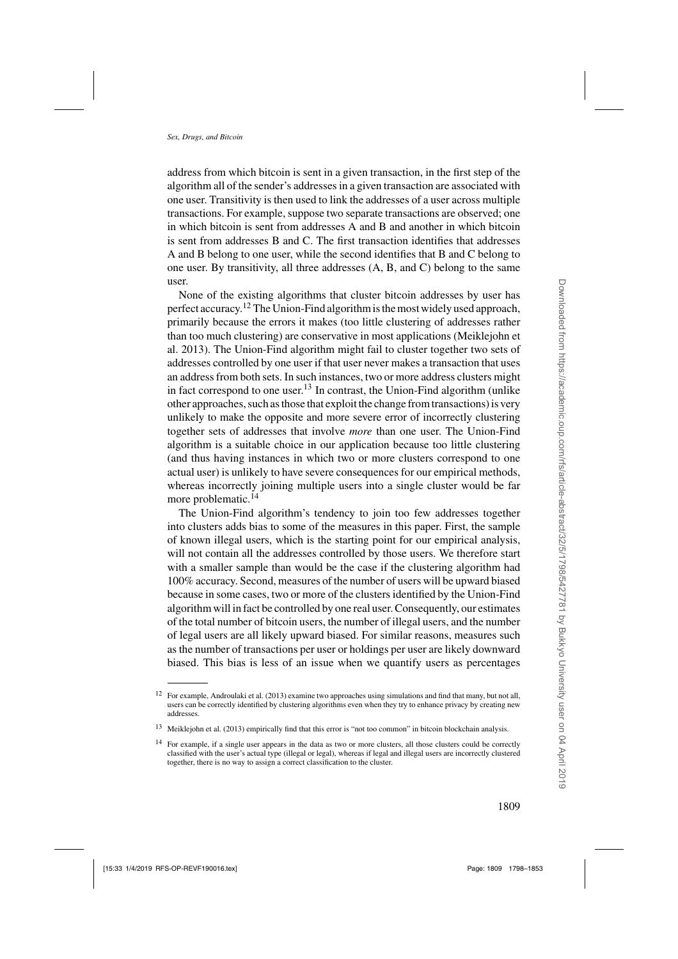address from which bitcoin is sent in a given transaction, in the first step of the algorithm all of the sender's addresses in a given transaction are associated with one user. Transitivity is then used to link the addresses of a user across multiple transactions. For example, suppose two separate transactions are observed; one in which bitcoin is sent from addresses A and B and another in which bitcoin is sent from addresses B and C. The first transaction identifies that addresses A and B belong to one user, while the second identifies that B and C belong to one user. By transitivity, all three addresses (A, B, and C) belong to the same user.

None of the existing algorithms that cluster bitcoin addresses by user has perfect accuracy.<sup>12</sup> The Union-Find algorithm is the most widely used approach, primarily because the errors it makes (too little clustering of addresses rather th[an too much clustering\) are conservative in most applications \(](#page-54-0)Meiklejohn et al. [2013\)](#page-54-0). The Union-Find algorithm might fail to cluster together two sets of addresses controlled by one user if that user never makes a transaction that uses an address from both sets. In such instances, two or more address clusters might in fact correspond to one user.<sup>13</sup> In contrast, the Union-Find algorithm (unlike other approaches, such as those that exploit the change from transactions) is very unlikely to make the opposite and more severe error of incorrectly clustering together sets of addresses that involve *more* than one user. The Union-Find algorithm is a suitable choice in our application because too little clustering (and thus having instances in which two or more clusters correspond to one actual user) is unlikely to have severe consequences for our empirical methods, whereas incorrectly joining multiple users into a single cluster would be far more problematic.<sup>14</sup>

The Union-Find algorithm's tendency to join too few addresses together into clusters adds bias to some of the measures in this paper. First, the sample of known illegal users, which is the starting point for our empirical analysis, will not contain all the addresses controlled by those users. We therefore start with a smaller sample than would be the case if the clustering algorithm had 100% accuracy. Second, measures of the number of users will be upward biased because in some cases, two or more of the clusters identified by the Union-Find algorithm will in fact be controlled by one real user. Consequently, our estimates of the total number of bitcoin users, the number of illegal users, and the number of legal users are all likely upward biased. For similar reasons, measures such as the number of transactions per user or holdings per user are likely downward biased. This bias is less of an issue when we quantify users as percentages

<sup>&</sup>lt;sup>12</sup> For example, [Androulaki et al.](#page-53-0) [\(2013\)](#page-53-0) examine two approaches using simulations and find that many, but not all, users can be correctly identified by clustering algorithms even when they try to enhance privacy by creating new addresses.

<sup>&</sup>lt;sup>13</sup> [Meiklejohn et al.](#page-54-0) [\(2013](#page-54-0)) empirically find that this error is "not too common" in bitcoin blockchain analysis.

<sup>&</sup>lt;sup>14</sup> For example, if a single user appears in the data as two or more clusters, all those clusters could be correctly classified with the user's actual type (illegal or legal), whereas if legal and illegal users are incorrectly clustered together, there is no way to assign a correct classification to the cluster.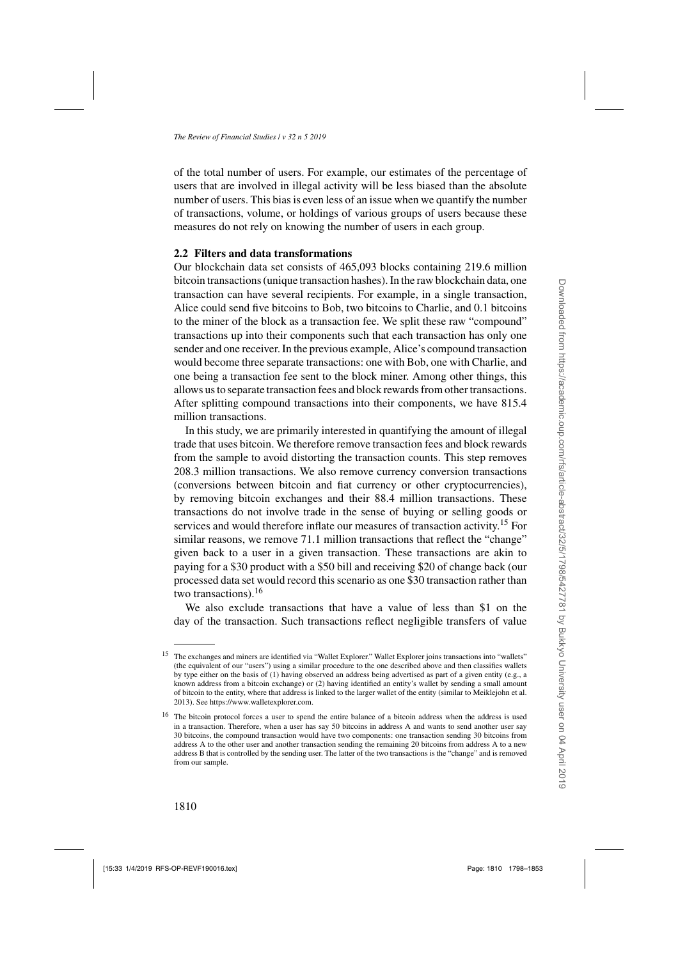of the total number of users. For example, our estimates of the percentage of users that are involved in illegal activity will be less biased than the absolute number of users. This bias is even less of an issue when we quantify the number of transactions, volume, or holdings of various groups of users because these measures do not rely on knowing the number of users in each group.

### **2.2 Filters and data transformations**

Our blockchain data set consists of 465,093 blocks containing 219.6 million bitcoin transactions (unique transaction hashes). In the raw blockchain data, one transaction can have several recipients. For example, in a single transaction, Alice could send five bitcoins to Bob, two bitcoins to Charlie, and 0.1 bitcoins to the miner of the block as a transaction fee. We split these raw "compound" transactions up into their components such that each transaction has only one sender and one receiver. In the previous example, Alice's compound transaction would become three separate transactions: one with Bob, one with Charlie, and one being a transaction fee sent to the block miner. Among other things, this allows us to separate transaction fees and block rewards from other transactions. After splitting compound transactions into their components, we have 815.4 million transactions.

In this study, we are primarily interested in quantifying the amount of illegal trade that uses bitcoin. We therefore remove transaction fees and block rewards from the sample to avoid distorting the transaction counts. This step removes 208.3 million transactions. We also remove currency conversion transactions (conversions between bitcoin and fiat currency or other cryptocurrencies), by removing bitcoin exchanges and their 88.4 million transactions. These transactions do not involve trade in the sense of buying or selling goods or services and would therefore inflate our measures of transaction activity.<sup>15</sup> For similar reasons, we remove 71.1 million transactions that reflect the "change" given back to a user in a given transaction. These transactions are akin to paying for a \$30 product with a \$50 bill and receiving \$20 of change back (our processed data set would record this scenario as one \$30 transaction rather than two transactions).<sup>16</sup>

We also exclude transactions that have a value of less than \$1 on the day of the transaction. Such transactions reflect negligible transfers of value

<sup>15</sup> The exchanges and miners are identified via "Wallet Explorer." Wallet Explorer joins transactions into "wallets" (the equivalent of our "users") using a similar procedure to the one described above and then classifies wallets by type either on the basis of (1) having observed an address being advertised as part of a given entity (e.g., a known address from a bitcoin exchange) or (2) having identified an entity's wallet by sending a small amount of bitcoin to the entity, where that address is linked to the larger wallet of the entity (similar to [Meiklejohn et al.](#page-54-0) [2013](#page-54-0)). See https://www.walletexplorer.com.

<sup>&</sup>lt;sup>16</sup> The bitcoin protocol forces a user to spend the entire balance of a bitcoin address when the address is used in a transaction. Therefore, when a user has say 50 bitcoins in address A and wants to send another user say 30 bitcoins, the compound transaction would have two components: one transaction sending 30 bitcoins from address A to the other user and another transaction sending the remaining 20 bitcoins from address A to a new address B that is controlled by the sending user. The latter of the two transactions is the "change" and is removed from our sample.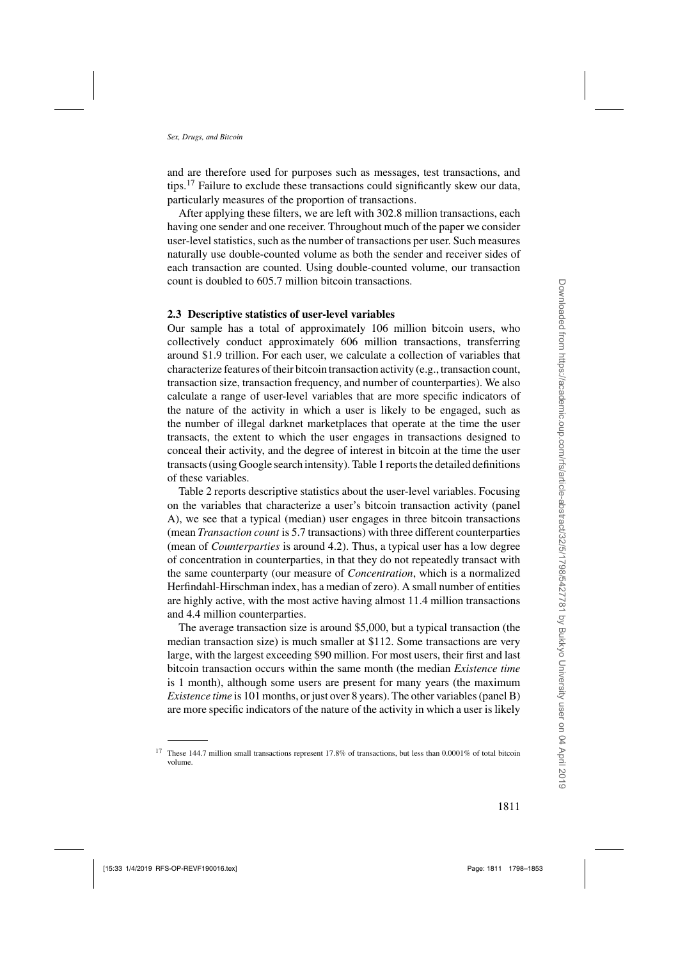and are therefore used for purposes such as messages, test transactions, and tips.<sup>17</sup> Failure to exclude these transactions could significantly skew our data, particularly measures of the proportion of transactions.

After applying these filters, we are left with 302.8 million transactions, each having one sender and one receiver. Throughout much of the paper we consider user-level statistics, such as the number of transactions per user. Such measures naturally use double-counted volume as both the sender and receiver sides of each transaction are counted. Using double-counted volume, our transaction count is doubled to 605.7 million bitcoin transactions.

### **2.3 Descriptive statistics of user-level variables**

Our sample has a total of approximately 106 million bitcoin users, who collectively conduct approximately 606 million transactions, transferring around \$1.9 trillion. For each user, we calculate a collection of variables that characterize features of their bitcoin transaction activity (e.g., transaction count, transaction size, transaction frequency, and number of counterparties). We also calculate a range of user-level variables that are more specific indicators of the nature of the activity in which a user is likely to be engaged, such as the number of illegal darknet marketplaces that operate at the time the user transacts, the extent to which the user engages in transactions designed to conceal their activity, and the degree of interest in bitcoin at the time the user transacts (using Google search intensity). Table [1](#page-14-0) reports the detailed definitions of these variables.

Table [2](#page-16-0) reports descriptive statistics about the user-level variables. Focusing on the variables that characterize a user's bitcoin transaction activity (panel A), we see that a typical (median) user engages in three bitcoin transactions (mean *Transaction count* is 5.7 transactions) with three different counterparties (mean of *Counterparties* is around 4.2). Thus, a typical user has a low degree of concentration in counterparties, in that they do not repeatedly transact with the same counterparty (our measure of *Concentration*, which is a normalized Herfindahl-Hirschman index, has a median of zero). A small number of entities are highly active, with the most active having almost 11.4 million transactions and 4.4 million counterparties.

The average transaction size is around \$5,000, but a typical transaction (the median transaction size) is much smaller at \$112. Some transactions are very large, with the largest exceeding \$90 million. For most users, their first and last bitcoin transaction occurs within the same month (the median *Existence time* is 1 month), although some users are present for many years (the maximum *Existence time* is 101 months, or just over 8 years). The other variables (panel B) are more specific indicators of the nature of the activity in which a user is likely

<sup>17</sup> These 144.7 million small transactions represent 17.8% of transactions, but less than 0.0001% of total bitcoin volume.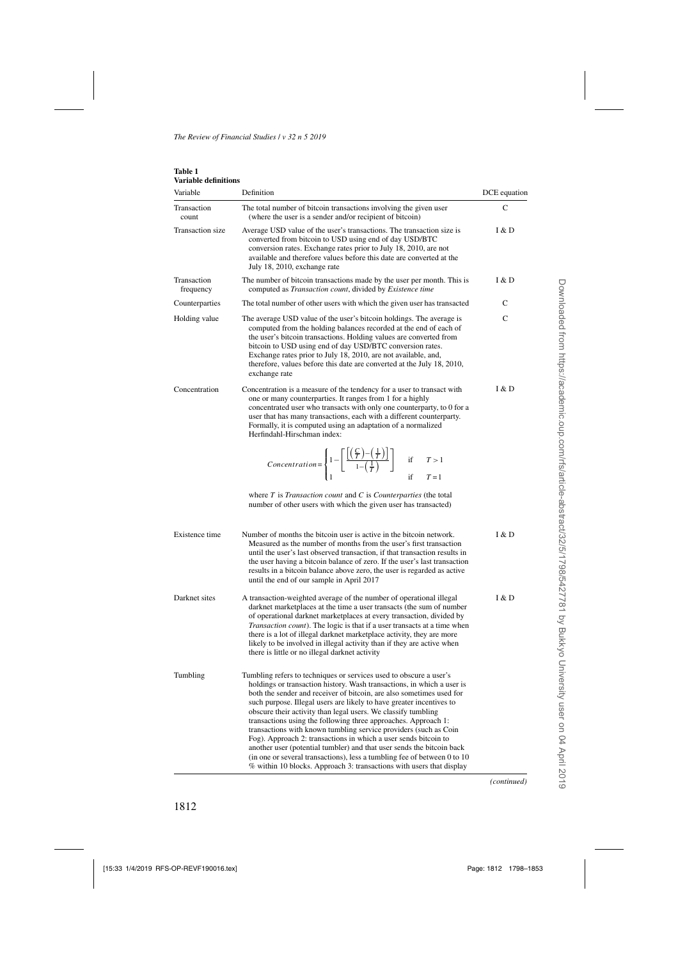| Variable                 | Definition                                                                                                                                                                                                                                                                                                                                                                                                                                                                                                                                                                                                                                                                                                                                                                                          | DCE equation |
|--------------------------|-----------------------------------------------------------------------------------------------------------------------------------------------------------------------------------------------------------------------------------------------------------------------------------------------------------------------------------------------------------------------------------------------------------------------------------------------------------------------------------------------------------------------------------------------------------------------------------------------------------------------------------------------------------------------------------------------------------------------------------------------------------------------------------------------------|--------------|
| Transaction<br>count     | The total number of bitcoin transactions involving the given user<br>(where the user is a sender and/or recipient of bitcoin)                                                                                                                                                                                                                                                                                                                                                                                                                                                                                                                                                                                                                                                                       | C            |
| Transaction size         | Average USD value of the user's transactions. The transaction size is<br>converted from bitcoin to USD using end of day USD/BTC<br>conversion rates. Exchange rates prior to July 18, 2010, are not<br>available and therefore values before this date are converted at the<br>July 18, 2010, exchange rate                                                                                                                                                                                                                                                                                                                                                                                                                                                                                         | I & D        |
| Transaction<br>frequency | The number of bitcoin transactions made by the user per month. This is<br>computed as Transaction count, divided by Existence time                                                                                                                                                                                                                                                                                                                                                                                                                                                                                                                                                                                                                                                                  | I & D        |
| Counterparties           | The total number of other users with which the given user has transacted                                                                                                                                                                                                                                                                                                                                                                                                                                                                                                                                                                                                                                                                                                                            | С            |
| Holding value            | The average USD value of the user's bitcoin holdings. The average is<br>computed from the holding balances recorded at the end of each of<br>the user's bitcoin transactions. Holding values are converted from<br>bitcoin to USD using end of day USD/BTC conversion rates.<br>Exchange rates prior to July 18, 2010, are not available, and,<br>therefore, values before this date are converted at the July 18, 2010,<br>exchange rate                                                                                                                                                                                                                                                                                                                                                           | C            |
| Concentration            | Concentration is a measure of the tendency for a user to transact with<br>one or many counterparties. It ranges from 1 for a highly<br>concentrated user who transacts with only one counterparty, to 0 for a<br>user that has many transactions, each with a different counterparty.<br>Formally, it is computed using an adaptation of a normalized<br>Herfindahl-Hirschman index:                                                                                                                                                                                                                                                                                                                                                                                                                | I & D        |
|                          | $Concentration = \begin{cases} 1 - \left[ \frac{\left\lfloor \left( \frac{C}{T} \right) - \left( \frac{1}{T} \right) \right\rfloor}{1 - \left( \frac{1}{T} \right)} \right] & \quad \text{if} \quad T: \\ 1 & \quad \text{if} \quad T: \end{cases}$<br>$T = 1$                                                                                                                                                                                                                                                                                                                                                                                                                                                                                                                                      |              |
|                          | where $T$ is Transaction count and $C$ is Counterparties (the total<br>number of other users with which the given user has transacted)                                                                                                                                                                                                                                                                                                                                                                                                                                                                                                                                                                                                                                                              |              |
| Existence time           | Number of months the bitcoin user is active in the bitcoin network.<br>Measured as the number of months from the user's first transaction<br>until the user's last observed transaction, if that transaction results in<br>the user having a bitcoin balance of zero. If the user's last transaction<br>results in a bitcoin balance above zero, the user is regarded as active<br>until the end of our sample in April 2017                                                                                                                                                                                                                                                                                                                                                                        | I & D        |
| Darknet sites            | A transaction-weighted average of the number of operational illegal<br>darknet marketplaces at the time a user transacts (the sum of number<br>of operational darknet marketplaces at every transaction, divided by<br><i>Transaction count</i> ). The logic is that if a user transacts at a time when<br>there is a lot of illegal darknet marketplace activity, they are more<br>likely to be involved in illegal activity than if they are active when<br>there is little or no illegal darknet activity                                                                                                                                                                                                                                                                                        | I & D        |
| Tumbling                 | Tumbling refers to techniques or services used to obscure a user's<br>holdings or transaction history. Wash transactions, in which a user is<br>both the sender and receiver of bitcoin, are also sometimes used for<br>such purpose. Illegal users are likely to have greater incentives to<br>obscure their activity than legal users. We classify tumbling<br>transactions using the following three approaches. Approach 1:<br>transactions with known tumbling service providers (such as Coin<br>Fog). Approach 2: transactions in which a user sends bitcoin to<br>another user (potential tumbler) and that user sends the bitcoin back<br>(in one or several transactions), less a tumbling fee of between 0 to 10<br>% within 10 blocks. Approach 3: transactions with users that display |              |

<span id="page-14-0"></span>

| <b>Table 1</b>              |  |
|-----------------------------|--|
| <b>Variable definitions</b> |  |

*(continued)*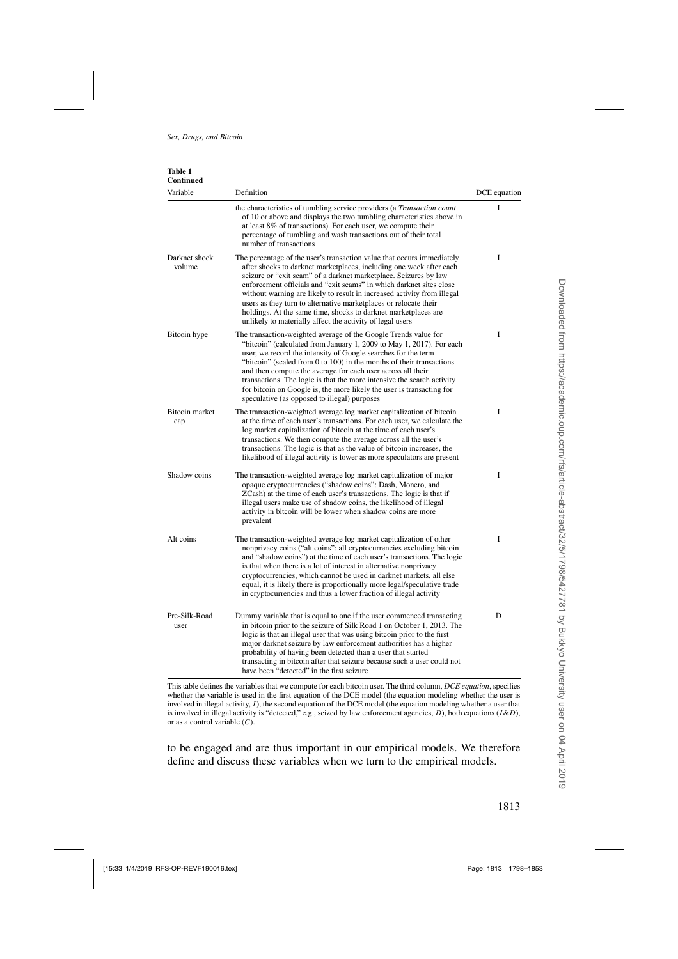**Table 1 Continued**

| Variable                     | Definition                                                                                                                                                                                                                                                                                                                                                                                                                                                                                                                                                             | DCE equation |
|------------------------------|------------------------------------------------------------------------------------------------------------------------------------------------------------------------------------------------------------------------------------------------------------------------------------------------------------------------------------------------------------------------------------------------------------------------------------------------------------------------------------------------------------------------------------------------------------------------|--------------|
|                              | the characteristics of tumbling service providers (a Transaction count<br>of 10 or above and displays the two tumbling characteristics above in<br>at least 8% of transactions). For each user, we compute their<br>percentage of tumbling and wash transactions out of their total<br>number of transactions                                                                                                                                                                                                                                                          | I            |
| Darknet shock<br>volume      | The percentage of the user's transaction value that occurs immediately<br>after shocks to darknet marketplaces, including one week after each<br>seizure or "exit scam" of a darknet marketplace. Seizures by law<br>enforcement officials and "exit scams" in which darknet sites close<br>without warning are likely to result in increased activity from illegal<br>users as they turn to alternative marketplaces or relocate their<br>holdings. At the same time, shocks to darknet marketplaces are<br>unlikely to materially affect the activity of legal users | I            |
| Bitcoin hype                 | The transaction-weighted average of the Google Trends value for<br>"bitcoin" (calculated from January 1, 2009 to May 1, 2017). For each<br>user, we record the intensity of Google searches for the term<br>"bitcoin" (scaled from 0 to 100) in the months of their transactions<br>and then compute the average for each user across all their<br>transactions. The logic is that the more intensive the search activity<br>for bitcoin on Google is, the more likely the user is transacting for<br>speculative (as opposed to illegal) purposes                     | I            |
| <b>Bitcoin</b> market<br>cap | The transaction-weighted average log market capitalization of bitcoin<br>at the time of each user's transactions. For each user, we calculate the<br>log market capitalization of bitcoin at the time of each user's<br>transactions. We then compute the average across all the user's<br>transactions. The logic is that as the value of bitcoin increases, the<br>likelihood of illegal activity is lower as more speculators are present                                                                                                                           | I            |
| Shadow coins                 | The transaction-weighted average log market capitalization of major<br>opaque cryptocurrencies ("shadow coins": Dash, Monero, and<br>ZCash) at the time of each user's transactions. The logic is that if<br>illegal users make use of shadow coins, the likelihood of illegal<br>activity in bitcoin will be lower when shadow coins are more<br>prevalent                                                                                                                                                                                                            | I            |
| Alt coins                    | The transaction-weighted average log market capitalization of other<br>nonprivacy coins ("alt coins": all cryptocurrencies excluding bitcoin<br>and "shadow coins") at the time of each user's transactions. The logic<br>is that when there is a lot of interest in alternative nonprivacy<br>cryptocurrencies, which cannot be used in darknet markets, all else<br>equal, it is likely there is proportionally more legal/speculative trade<br>in cryptocurrencies and thus a lower fraction of illegal activity                                                    | I            |
| Pre-Silk-Road<br>user        | Dummy variable that is equal to one if the user commenced transacting<br>in bitcoin prior to the seizure of Silk Road 1 on October 1, 2013. The<br>logic is that an illegal user that was using bitcoin prior to the first<br>major darknet seizure by law enforcement authorities has a higher<br>probability of having been detected than a user that started<br>transacting in bitcoin after that seizure because such a user could not<br>have been "detected" in the first seizure                                                                                | D            |

This table defines the variables that we compute for each bitcoin user. The third column, *DCE equation*, specifies whether the variable is used in the first equation of the DCE model (the equation modeling whether the user is involved in illegal activity,  $I$ ), the second equation of the DCE model (the equation modeling whether a user that is involved in illegal activity is "detected," e.g., seized by law enforcement agencies, D), both equations ( $I&D$ ), or as a control variable  $(C)$ .

to be engaged and are thus important in our empirical models. We therefore define and discuss these variables when we turn to the empirical models.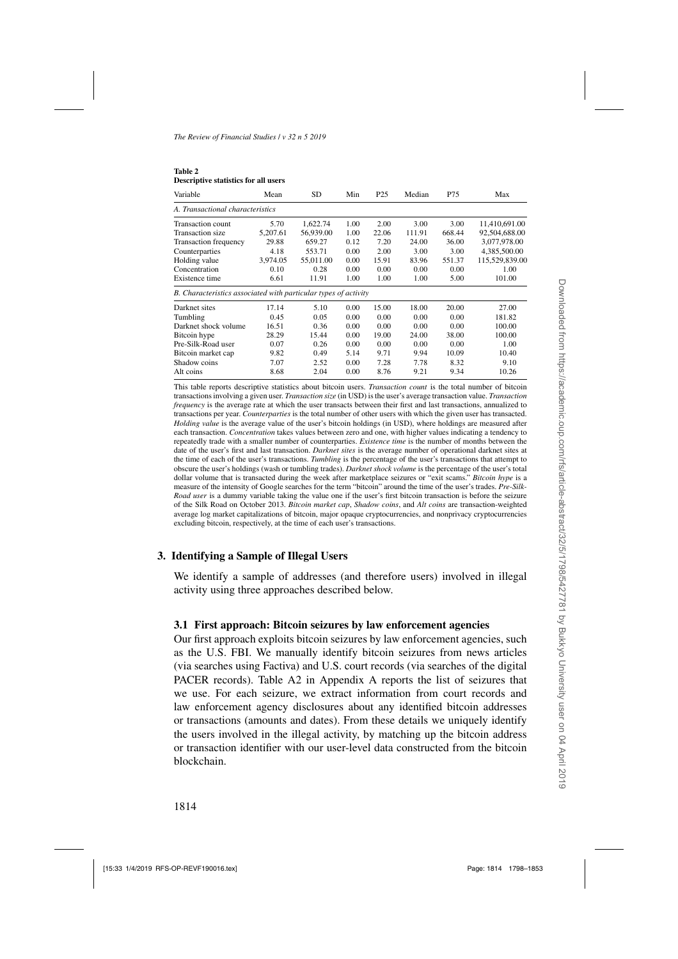| Variable                                                        | Mean     | <b>SD</b> | Min  | P <sub>25</sub> | Median | P75    | Max            |
|-----------------------------------------------------------------|----------|-----------|------|-----------------|--------|--------|----------------|
| A. Transactional characteristics                                |          |           |      |                 |        |        |                |
| <b>Transaction count</b>                                        | 5.70     | 1.622.74  | 1.00 | 2.00            | 3.00   | 3.00   | 11,410,691.00  |
| Transaction size                                                | 5.207.61 | 56.939.00 | 1.00 | 22.06           | 111.91 | 668.44 | 92,504,688.00  |
| Transaction frequency                                           | 29.88    | 659.27    | 0.12 | 7.20            | 24.00  | 36.00  | 3,077,978,00   |
| Counterparties                                                  | 4.18     | 553.71    | 0.00 | 2.00            | 3.00   | 3.00   | 4,385,500.00   |
| Holding value                                                   | 3,974.05 | 55,011.00 | 0.00 | 15.91           | 83.96  | 551.37 | 115,529,839.00 |
| Concentration                                                   | 0.10     | 0.28      | 0.00 | 0.00            | 0.00   | 0.00   | 1.00           |
| Existence time                                                  | 6.61     | 11.91     | 1.00 | 1.00            | 1.00   | 5.00   | 101.00         |
| B. Characteristics associated with particular types of activity |          |           |      |                 |        |        |                |
| Darknet sites                                                   | 17.14    | 5.10      | 0.00 | 15.00           | 18.00  | 20.00  | 27.00          |
| Tumbling                                                        | 0.45     | 0.05      | 0.00 | 0.00            | 0.00   | 0.00   | 181.82         |
| Darknet shock volume                                            | 16.51    | 0.36      | 0.00 | 0.00            | 0.00   | 0.00   | 100.00         |
| Bitcoin hype                                                    | 28.29    | 15.44     | 0.00 | 19.00           | 24.00  | 38.00  | 100.00         |
| Pre-Silk-Road user                                              | 0.07     | 0.26      | 0.00 | 0.00            | 0.00   | 0.00   | 1.00           |
| Bitcoin market cap                                              | 9.82     | 0.49      | 5.14 | 9.71            | 9.94   | 10.09  | 10.40          |
| Shadow coins                                                    | 7.07     | 2.52      | 0.00 | 7.28            | 7.78   | 8.32   | 9.10           |
| Alt coins                                                       | 8.68     | 2.04      | 0.00 | 8.76            | 9.21   | 9.34   | 10.26          |

#### <span id="page-16-0"></span>**Table 2 Descriptive statistics for all users**

This table reports descriptive statistics about bitcoin users. *Transaction count* is the total number of bitcoin transactions involving a given user. *Transaction size* (in USD) is the user's average transaction value. *Transaction frequency* is the average rate at which the user transacts between their first and last transactions, annualized to transactions per year. *Counterparties* is the total number of other users with which the given user has transacted. *Holding value* is the average value of the user's bitcoin holdings (in USD), where holdings are measured after each transaction. *Concentration* takes values between zero and one, with higher values indicating a tendency to repeatedly trade with a smaller number of counterparties. *Existence time* is the number of months between the date of the user's first and last transaction. *Darknet sites* is the average number of operational darknet sites at the time of each of the user's transactions. *Tumbling* is the percentage of the user's transactions that attempt to obscure the user's holdings (wash or tumbling trades). *Darknet shock volume* is the percentage of the user's total dollar volume that is transacted during the week after marketplace seizures or "exit scams." *Bitcoin hype* is a measure of the intensity of Google searches for the term "bitcoin" around the time of the user's trades. *Pre-Silk-Road user* is a dummy variable taking the value one if the user's first bitcoin transaction is before the seizure of the Silk Road on October 2013. *Bitcoin market cap*, *Shadow coins*, and *Alt coins* are transaction-weighted average log market capitalizations of bitcoin, major opaque cryptocurrencies, and nonprivacy cryptocurrencies excluding bitcoin, respectively, at the time of each user's transactions.

### **3. Identifying a Sample of Illegal Users**

We identify a sample of addresses (and therefore users) involved in illegal activity using three approaches described below.

### **3.1 First approach: Bitcoin seizures by law enforcement agencies**

Our first approach exploits bitcoin seizures by law enforcement agencies, such as the U.S. FBI. We manually identify bitcoin seizures from news articles (via searches using Factiva) and U.S. court records (via searches of the digital PACER records). Table A2 in Appendix A reports the list of seizures that we use. For each seizure, we extract information from court records and law enforcement agency disclosures about any identified bitcoin addresses or transactions (amounts and dates). From these details we uniquely identify the users involved in the illegal activity, by matching up the bitcoin address or transaction identifier with our user-level data constructed from the bitcoin blockchain.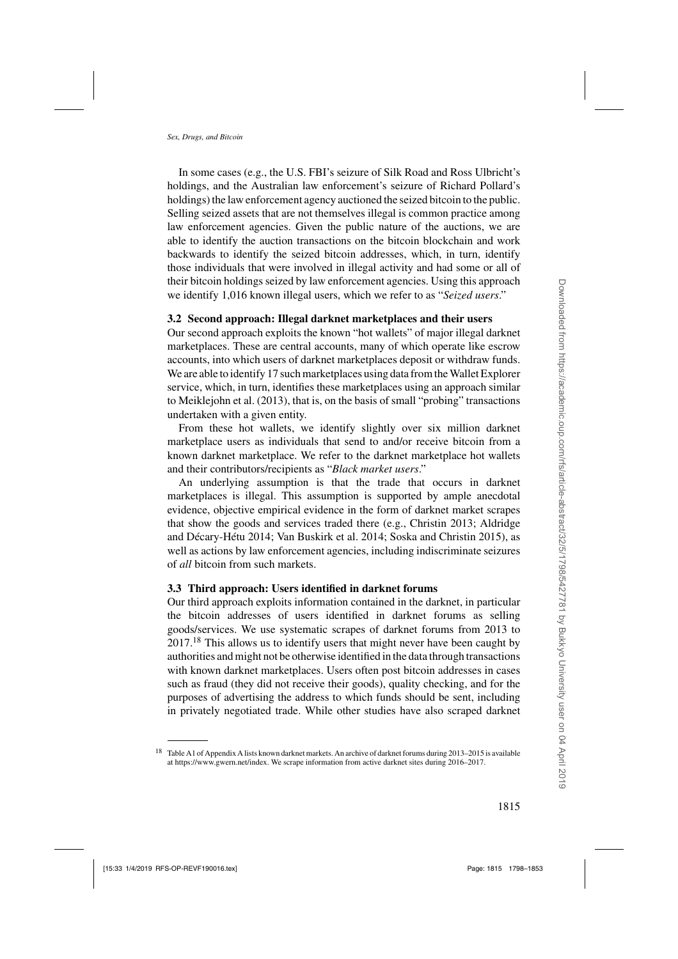In some cases (e.g., the U.S. FBI's seizure of Silk Road and Ross Ulbricht's holdings, and the Australian law enforcement's seizure of Richard Pollard's holdings) the law enforcement agency auctioned the seized bitcoin to the public. Selling seized assets that are not themselves illegal is common practice among law enforcement agencies. Given the public nature of the auctions, we are able to identify the auction transactions on the bitcoin blockchain and work backwards to identify the seized bitcoin addresses, which, in turn, identify those individuals that were involved in illegal activity and had some or all of their bitcoin holdings seized by law enforcement agencies. Using this approach we identify 1,016 known illegal users, which we refer to as "*Seized users*."

### **3.2 Second approach: Illegal darknet marketplaces and their users**

Our second approach exploits the known "hot wallets" of major illegal darknet marketplaces. These are central accounts, many of which operate like escrow accounts, into which users of darknet marketplaces deposit or withdraw funds. We are able to identify 17 such marketplaces using data from the Wallet Explorer service, which, in turn, identifies these marketplaces using an approach similar to [Meiklejohn et al.](#page-54-0) [\(2013\)](#page-54-0), that is, on the basis of small "probing" transactions undertaken with a given entity.

From these hot wallets, we identify slightly over six million darknet marketplace users as individuals that send to and/or receive bitcoin from a known darknet marketplace. We refer to the darknet marketplace hot wallets and their contributors/recipients as "*Black market users*."

An underlying assumption is that the trade that occurs in darknet marketplaces is illegal. This assumption is supported by ample anecdotal evidence, objective empirical evidence in the form of darknet market scrapes that show the go[ods and services traded there \(e.g., Christin 2013;](#page-53-0) Aldridge and Décary-Hétu [2014](#page-53-0); [Van Buskirk et al. 2014;](#page-55-0) [Soska and Christin 2015\)](#page-54-0), as well as actions by law enforcement agencies, including indiscriminate seizures of *all* bitcoin from such markets.

### **3.3 Third approach: Users identified in darknet forums**

Our third approach exploits information contained in the darknet, in particular the bitcoin addresses of users identified in darknet forums as selling goods/services. We use systematic scrapes of darknet forums from 2013 to  $2017<sup>18</sup>$  This allows us to identify users that might never have been caught by authorities and might not be otherwise identified in the data through transactions with known darknet marketplaces. Users often post bitcoin addresses in cases such as fraud (they did not receive their goods), quality checking, and for the purposes of advertising the address to which funds should be sent, including in privately negotiated trade. While other studies have also scraped darknet

<sup>18</sup> Table [A1 o](#page-14-0)f Appendix A lists known darknet markets. An archive of darknet forums during 2013–2015 is available at https://www.gwern.net/index. We scrape information from active darknet sites during 2016–2017.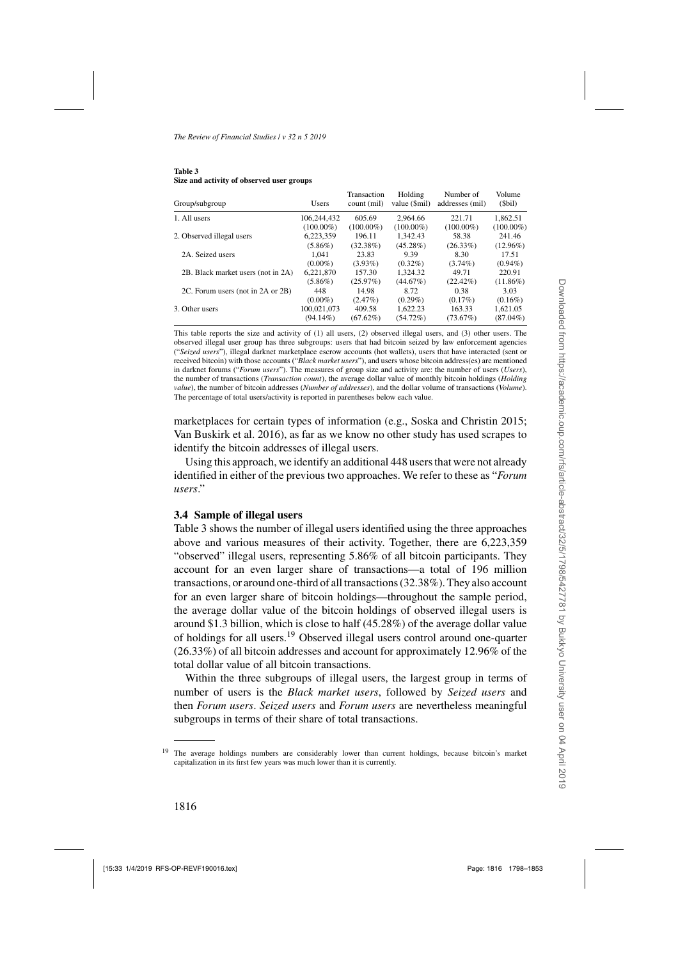| Group/subgroup                     | Users        | Transaction<br>count (mil) | Holding<br>value (\$mil) | Number of<br>addresses (mil) | Volume<br>(Sbil) |
|------------------------------------|--------------|----------------------------|--------------------------|------------------------------|------------------|
| 1. All users                       | 106.244.432  | 605.69                     | 2.964.66                 | 221.71                       | 1.862.51         |
|                                    | $(100.00\%)$ | $(100.00\%)$               | $(100.00\%)$             | $(100.00\%)$                 | $(100.00\%)$     |
| 2. Observed illegal users          | 6.223.359    | 196.11                     | 1.342.43                 | 58.38                        | 241.46           |
| 2A. Seized users                   | $(5.86\%)$   | $(32.38\%)$                | $(45.28\%)$              | $(26.33\%)$                  | $(12.96\%)$      |
|                                    | 1.041        | 23.83                      | 9.39                     | 8.30                         | 17.51            |
|                                    | $(0.00\%)$   | $(3.93\%)$                 | $(0.32\%)$               | $(3.74\%)$                   | $(0.94\%)$       |
| 2B. Black market users (not in 2A) | 6,221,870    | 157.30                     | 1,324.32                 | 49.71                        | 220.91           |
|                                    | $(5.86\%)$   | (25.97%)                   | $(44.67\%)$              | $(22.42\%)$                  | $(11.86\%)$      |
| 2C. Forum users (not in 2A or 2B)  | 448          | 14.98                      | 8.72                     | 0.38                         | 3.03             |
|                                    | $(0.00\%)$   | $(2.47\%)$                 | $(0.29\%)$               | $(0.17\%)$                   | $(0.16\%)$       |
| 3. Other users                     | 100,021,073  | 409.58                     | 1.622.23                 | 163.33                       | 1,621.05         |
|                                    | $(94.14\%)$  | $(67.62\%)$                | $(54.72\%)$              | (73.67%)                     | $(87.04\%)$      |

#### <span id="page-18-0"></span>**Table 3 Size and activity of observed user groups**

This table reports the size and activity of (1) all users, (2) observed illegal users, and (3) other users. The observed illegal user group has three subgroups: users that had bitcoin seized by law enforcement agencies ("*Seized users*"), illegal darknet marketplace escrow accounts (hot wallets), users that have interacted (sent or received bitcoin) with those accounts ("*Black market users*"), and users whose bitcoin address(es) are mentioned in darknet forums ("*Forum users*"). The measures of group size and activity are: the number of users (*Users*), the number of transactions (*Transaction count*), the average dollar value of monthly bitcoin holdings (*Holding value*), the number of bitcoin addresses (*Number of addresses*), and the dollar volume of transactions (*Volume*). The percentage of total users/activity is reported in parentheses below each value.

marketplaces for certain types of information (e.g., [Soska and Christin 2015](#page-54-0); [Van Buskirk et al. 2016\)](#page-55-0), as far as we know no other study has used scrapes to identify the bitcoin addresses of illegal users.

Using this approach, we identify an additional 448 users that were not already identified in either of the previous two approaches. We refer to these as "*Forum users*."

### **3.4 Sample of illegal users**

Table 3 shows the number of illegal users identified using the three approaches above and various measures of their activity. Together, there are 6,223,359 "observed" illegal users, representing 5.86% of all bitcoin participants. They account for an even larger share of transactions—a total of 196 million transactions, or around one-third of all transactions (32.38%). They also account for an even larger share of bitcoin holdings—throughout the sample period, the average dollar value of the bitcoin holdings of observed illegal users is around \$1.3 billion, which is close to half (45.28%) of the average dollar value of holdings for all users.<sup>19</sup> Observed illegal users control around one-quarter (26.33%) of all bitcoin addresses and account for approximately 12.96% of the total dollar value of all bitcoin transactions.

Within the three subgroups of illegal users, the largest group in terms of number of users is the *Black market users*, followed by *Seized users* and then *Forum users*. *Seized users* and *Forum users* are nevertheless meaningful subgroups in terms of their share of total transactions.

<sup>&</sup>lt;sup>19</sup> The average holdings numbers are considerably lower than current holdings, because bitcoin's market capitalization in its first few years was much lower than it is currently.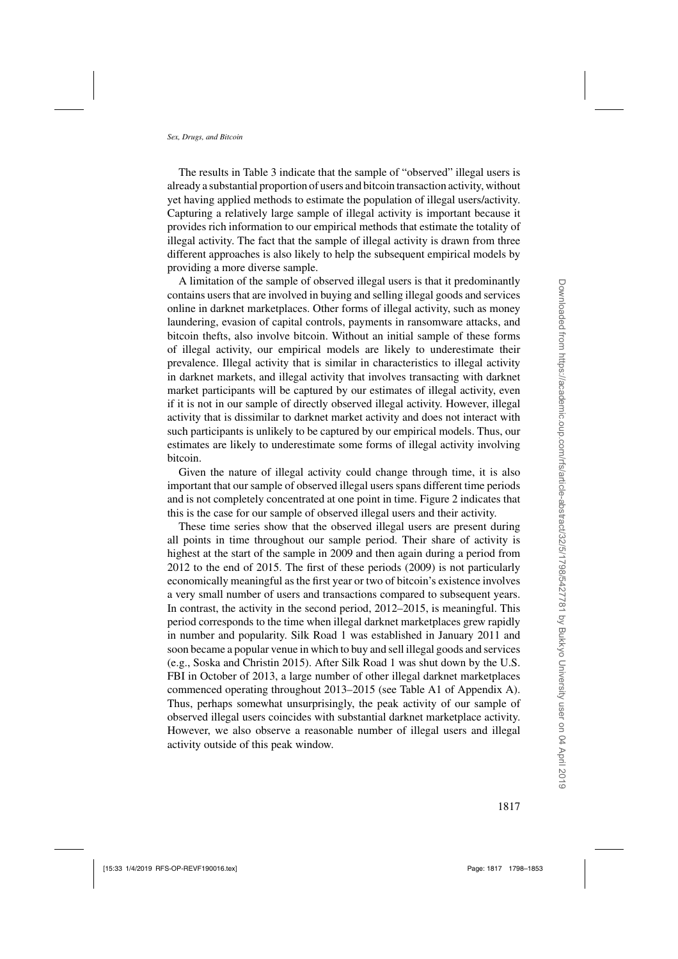The results in Table [3](#page-18-0) indicate that the sample of "observed" illegal users is already a substantial proportion of users and bitcoin transaction activity, without yet having applied methods to estimate the population of illegal users/activity. Capturing a relatively large sample of illegal activity is important because it provides rich information to our empirical methods that estimate the totality of illegal activity. The fact that the sample of illegal activity is drawn from three different approaches is also likely to help the subsequent empirical models by providing a more diverse sample.

A limitation of the sample of observed illegal users is that it predominantly contains users that are involved in buying and selling illegal goods and services online in darknet marketplaces. Other forms of illegal activity, such as money laundering, evasion of capital controls, payments in ransomware attacks, and bitcoin thefts, also involve bitcoin. Without an initial sample of these forms of illegal activity, our empirical models are likely to underestimate their prevalence. Illegal activity that is similar in characteristics to illegal activity in darknet markets, and illegal activity that involves transacting with darknet market participants will be captured by our estimates of illegal activity, even if it is not in our sample of directly observed illegal activity. However, illegal activity that is dissimilar to darknet market activity and does not interact with such participants is unlikely to be captured by our empirical models. Thus, our estimates are likely to underestimate some forms of illegal activity involving bitcoin.

Given the nature of illegal activity could change through time, it is also important that our sample of observed illegal users spans different time periods and is not completely concentrated at one point in time. Figure [2](#page-20-0) indicates that this is the case for our sample of observed illegal users and their activity.

These time series show that the observed illegal users are present during all points in time throughout our sample period. Their share of activity is highest at the start of the sample in 2009 and then again during a period from 2012 to the end of 2015. The first of these periods (2009) is not particularly economically meaningful as the first year or two of bitcoin's existence involves a very small number of users and transactions compared to subsequent years. In contrast, the activity in the second period, 2012–2015, is meaningful. This period corresponds to the time when illegal darknet marketplaces grew rapidly in number and popularity. Silk Road 1 was established in January 2011 and soon became a popular venue in which to buy and sell illegal goods and services (e.g., [Soska and Christin 2015\)](#page-54-0). After Silk Road 1 was shut down by the U.S. FBI in October of 2013, a large number of other illegal darknet marketplaces commenced operating throughout 2013–2015 (see Table [A1](#page-14-0) of Appendix A). Thus, perhaps somewhat unsurprisingly, the peak activity of our sample of observed illegal users coincides with substantial darknet marketplace activity. However, we also observe a reasonable number of illegal users and illegal activity outside of this peak window.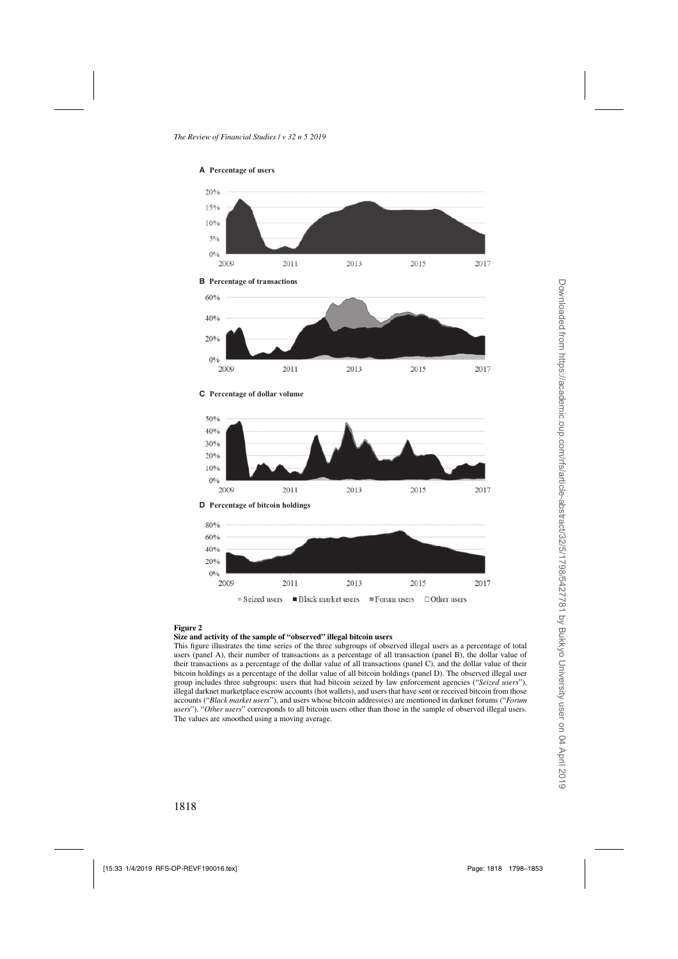<span id="page-20-0"></span>

#### **A Percentage of users**







#### **Figure 2**

#### **Size and activity of the sample of "observed" illegal bitcoin users**

This figure illustrates the time series of the three subgroups of observed illegal users as a percentage of total users (panel A), their number of transactions as a percentage of all transaction (panel B), the dollar value of their transactions as a percentage of the dollar value of all transactions (panel C), and the dollar value of their bitcoin holdings as a percentage of the dollar value of all bitcoin holdings (panel D). The observed illegal user group includes three subgroups: users that had bitcoin seized by law enforcement agencies ("*Seized users*"), illegal darknet marketplace escrow accounts (hot wallets), and users that have sent or received bitcoin from those accounts ("*Black market users*"), and users whose bitcoin address(es) are mentioned in darknet forums ("*Forum users*"). "*Other users*" corresponds to all bitcoin users other than those in the sample of observed illegal users. The values are smoothed using a moving average.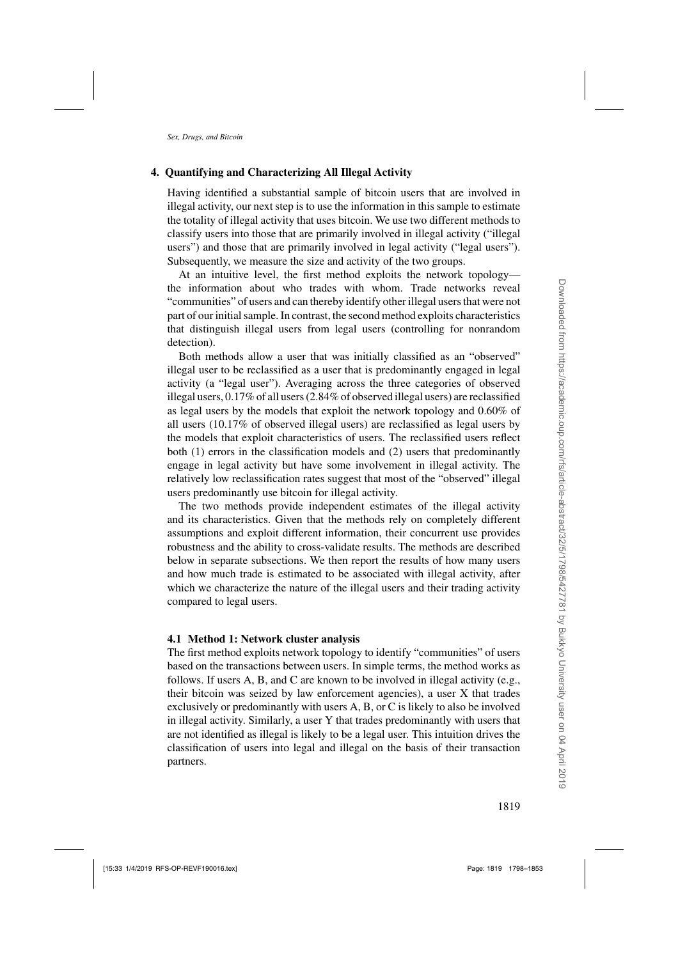### <span id="page-21-0"></span>**4. Quantifying and Characterizing All Illegal Activity**

Having identified a substantial sample of bitcoin users that are involved in illegal activity, our next step is to use the information in this sample to estimate the totality of illegal activity that uses bitcoin. We use two different methods to classify users into those that are primarily involved in illegal activity ("illegal users") and those that are primarily involved in legal activity ("legal users"). Subsequently, we measure the size and activity of the two groups.

At an intuitive level, the first method exploits the network topology the information about who trades with whom. Trade networks reveal "communities" of users and can thereby identify other illegal users that were not part of our initial sample. In contrast, the second method exploits characteristics that distinguish illegal users from legal users (controlling for nonrandom detection).

Both methods allow a user that was initially classified as an "observed" illegal user to be reclassified as a user that is predominantly engaged in legal activity (a "legal user"). Averaging across the three categories of observed illegal users, 0.17% of all users (2.84% of observed illegal users) are reclassified as legal users by the models that exploit the network topology and 0.60% of all users (10.17% of observed illegal users) are reclassified as legal users by the models that exploit characteristics of users. The reclassified users reflect both (1) errors in the classification models and (2) users that predominantly engage in legal activity but have some involvement in illegal activity. The relatively low reclassification rates suggest that most of the "observed" illegal users predominantly use bitcoin for illegal activity.

The two methods provide independent estimates of the illegal activity and its characteristics. Given that the methods rely on completely different assumptions and exploit different information, their concurrent use provides robustness and the ability to cross-validate results. The methods are described below in separate subsections. We then report the results of how many users and how much trade is estimated to be associated with illegal activity, after which we characterize the nature of the illegal users and their trading activity compared to legal users.

### **4.1 Method 1: Network cluster analysis**

The first method exploits network topology to identify "communities" of users based on the transactions between users. In simple terms, the method works as follows. If users A, B, and C are known to be involved in illegal activity (e.g., their bitcoin was seized by law enforcement agencies), a user X that trades exclusively or predominantly with users A, B, or C is likely to also be involved in illegal activity. Similarly, a user Y that trades predominantly with users that are not identified as illegal is likely to be a legal user. This intuition drives the classification of users into legal and illegal on the basis of their transaction partners.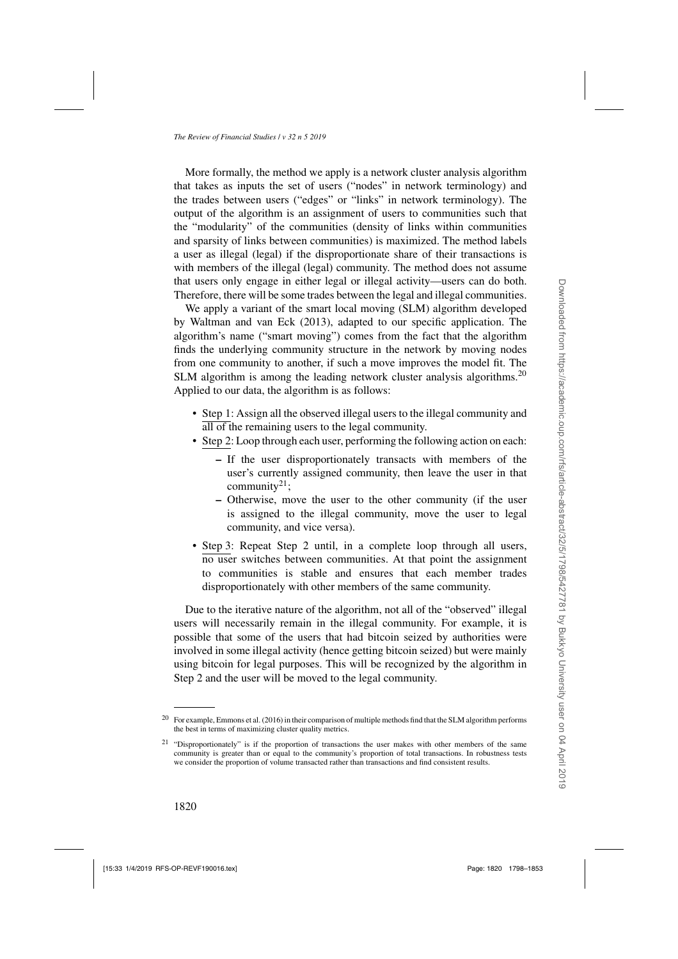More formally, the method we apply is a network cluster analysis algorithm that takes as inputs the set of users ("nodes" in network terminology) and the trades between users ("edges" or "links" in network terminology). The output of the algorithm is an assignment of users to communities such that the "modularity" of the communities (density of links within communities and sparsity of links between communities) is maximized. The method labels a user as illegal (legal) if the disproportionate share of their transactions is with members of the illegal (legal) community. The method does not assume that users only engage in either legal or illegal activity—users can do both. Therefore, there will be some trades between the legal and illegal communities.

We apply a variant of the smart local moving (SLM) algorithm developed by [Waltman and van Eck](#page-55-0) [\(2013](#page-55-0)), adapted to our specific application. The algorithm's name ("smart moving") comes from the fact that the algorithm finds the underlying community structure in the network by moving nodes from one community to another, if such a move improves the model fit. The SLM algorithm is among the leading network cluster analysis algorithms.<sup>20</sup> Applied to our data, the algorithm is as follows:

- Step 1: Assign all the observed illegal users to the illegal community and all of the remaining users to the legal community.
- Step 2: Loop through each user, performing the following action on each:
	- **–** If the user disproportionately transacts with members of the user's currently assigned community, then leave the user in that community21;
	- **–** Otherwise, move the user to the other community (if the user is assigned to the illegal community, move the user to legal community, and vice versa).
- Step 3: Repeat Step 2 until, in a complete loop through all users, no user switches between communities. At that point the assignment to communities is stable and ensures that each member trades disproportionately with other members of the same community.

Due to the iterative nature of the algorithm, not all of the "observed" illegal users will necessarily remain in the illegal community. For example, it is possible that some of the users that had bitcoin seized by authorities were involved in some illegal activity (hence getting bitcoin seized) but were mainly using bitcoin for legal purposes. This will be recognized by the algorithm in Step 2 and the user will be moved to the legal community.

<sup>20</sup> For example, [Emmons et al.](#page-53-0) [\(2016\)](#page-53-0) in their comparison of multiple methods find that the SLM algorithm performs the best in terms of maximizing cluster quality metrics.

<sup>&</sup>lt;sup>21</sup> "Disproportionately" is if the proportion of transactions the user makes with other members of the same community is greater than or equal to the community's proportion of total transactions. In robustness tests we consider the proportion of volume transacted rather than transactions and find consistent results.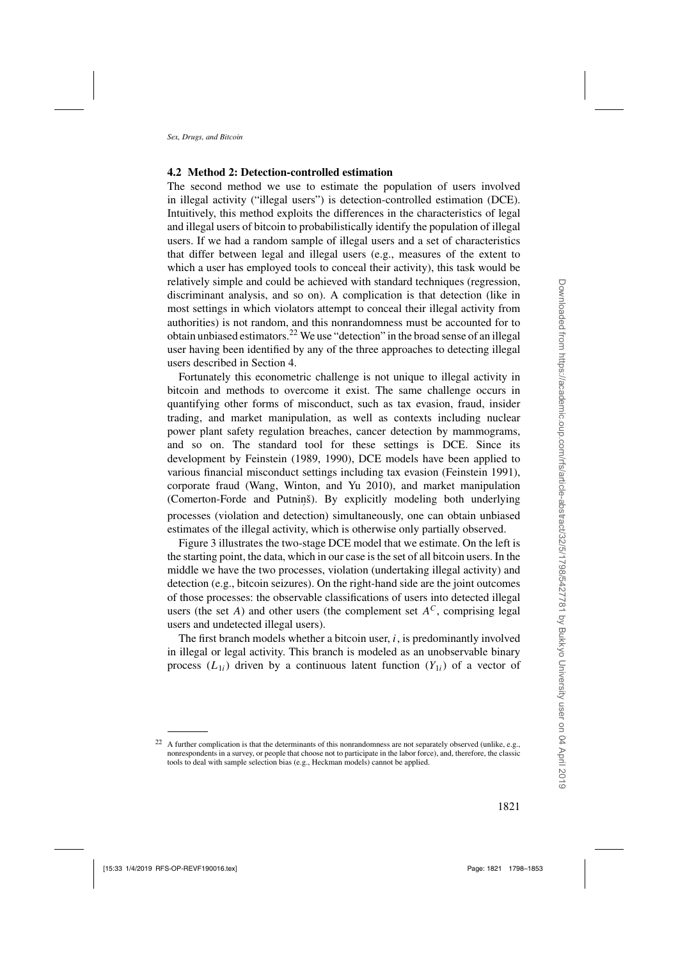### **4.2 Method 2: Detection-controlled estimation**

The second method we use to estimate the population of users involved in illegal activity ("illegal users") is detection-controlled estimation (DCE). Intuitively, this method exploits the differences in the characteristics of legal and illegal users of bitcoin to probabilistically identify the population of illegal users. If we had a random sample of illegal users and a set of characteristics that differ between legal and illegal users (e.g., measures of the extent to which a user has employed tools to conceal their activity), this task would be relatively simple and could be achieved with standard techniques (regression, discriminant analysis, and so on). A complication is that detection (like in most settings in which violators attempt to conceal their illegal activity from authorities) is not random, and this nonrandomness must be accounted for to obtain unbiased estimators.<sup>22</sup> We use "detection" in the broad sense of an illegal user having been identified by any of the three approaches to detecting illegal users described in Section [4.](#page-21-0)

Fortunately this econometric challenge is not unique to illegal activity in bitcoin and methods to overcome it exist. The same challenge occurs in quantifying other forms of misconduct, such as tax evasion, fraud, insider trading, and market manipulation, as well as contexts including nuclear power plant safety regulation breaches, cancer detection by mammograms, and so on. The standard tool for these settings is DCE. Since its development by [Feinstein](#page-53-0) [\(1989, 1990\)](#page-53-0), DCE models have been applied to various financial misconduct settings including tax evasion [\(Feinstein 1991\)](#page-53-0), corporate fraud [\(Wang, Winton, and Yu 2010](#page-55-0)), and market manipulation (Comerton-Forde and Putning). By explicitly modeling both underlying processes (violation and detection) simultaneously, one can obtain unbiased estimates of the illegal activity, which is otherwise only partially observed.

Figure [3](#page-24-0) illustrates the two-stage DCE model that we estimate. On the left is the starting point, the data, which in our case is the set of all bitcoin users. In the middle we have the two processes, violation (undertaking illegal activity) and detection (e.g., bitcoin seizures). On the right-hand side are the joint outcomes of those processes: the observable classifications of users into detected illegal users (the set A) and other users (the complement set  $A^C$ , comprising legal users and undetected illegal users).

The first branch models whether a bitcoin user,  $i$ , is predominantly involved in illegal or legal activity. This branch is modeled as an unobservable binary process  $(L_{1i})$  driven by a continuous latent function  $(Y_{1i})$  of a vector of

<sup>&</sup>lt;sup>22</sup> A further complication is that the determinants of this nonrandomness are not separately observed (unlike, e.g., nonrespondents in a survey, or people that choose not to participate in the labor force), and, therefore, the classic tools to deal with sample selection bias (e.g., Heckman models) cannot be applied.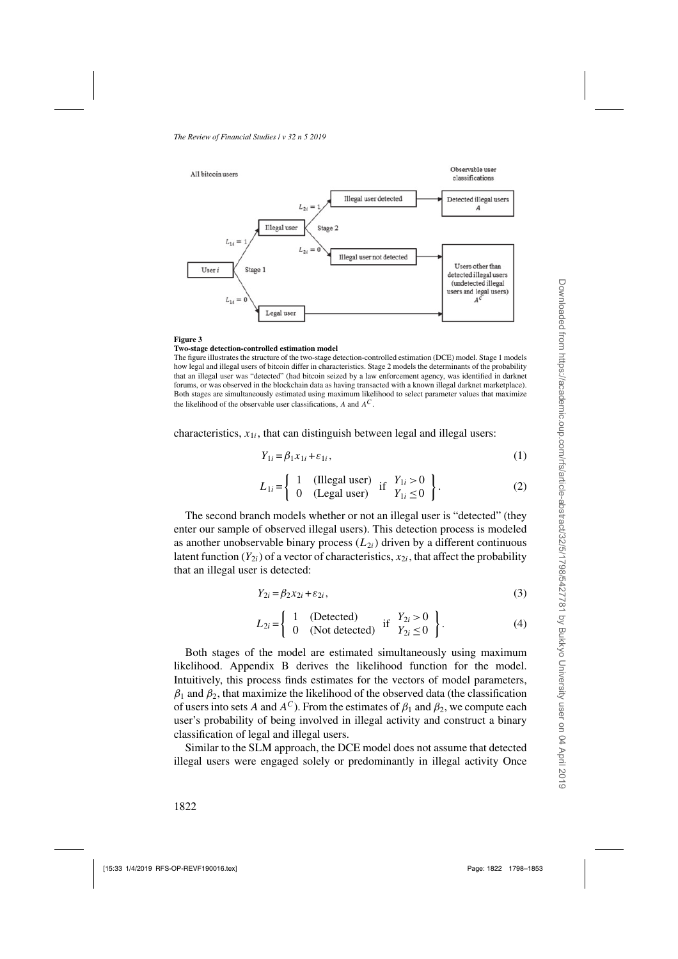<span id="page-24-0"></span>

#### **Figure 3**

#### **Two-stage detection-controlled estimation model**

The figure illustrates the structure of the two-stage detection-controlled estimation (DCE) model. Stage 1 models how legal and illegal users of bitcoin differ in characteristics. Stage 2 models the determinants of the probability that an illegal user was "detected" (had bitcoin seized by a law enforcement agency, was identified in darknet forums, or was observed in the blockchain data as having transacted with a known illegal darknet marketplace). Both stages are simultaneously estimated using maximum likelihood to select parameter values that maximize the likelihood of the observable user classifications, A and  $A^C$ .

characteristics,  $x_{1i}$ , that can distinguish between legal and illegal users:

$$
Y_{1i} = \beta_1 x_{1i} + \varepsilon_{1i},\tag{1}
$$

$$
L_{1i} = \begin{cases} 1 & (\text{IIlegal user}) \\ 0 & (\text{Legal user}) \end{cases} \text{ if } \begin{cases} Y_{1i} > 0 \\ Y_{1i} \le 0 \end{cases} \text{.} \tag{2}
$$

The second branch models whether or not an illegal user is "detected" (they enter our sample of observed illegal users). This detection process is modeled as another unobservable binary process  $(L<sub>2i</sub>)$  driven by a different continuous latent function  $(Y_{2i})$  of a vector of characteristics,  $x_{2i}$ , that affect the probability that an illegal user is detected:

$$
Y_{2i} = \beta_2 x_{2i} + \varepsilon_{2i},\tag{3}
$$

$$
L_{2i} = \begin{cases} 1 & \text{(Detected)} \\ 0 & \text{(Not detected)} \end{cases} \text{ if } \begin{cases} Y_{2i} > 0 \\ Y_{2i} \le 0 \end{cases} \text{.} \tag{4}
$$

Both stages of the model are estimated simultaneously using maximum likelihood. Appendix B derives the likelihood function for the model. Intuitively, this process finds estimates for the vectors of model parameters,  $\beta_1$  and  $\beta_2$ , that maximize the likelihood of the observed data (the classification of users into sets A and  $A^C$ ). From the estimates of  $\beta_1$  and  $\beta_2$ , we compute each user's probability of being involved in illegal activity and construct a binary classification of legal and illegal users.

Similar to the SLM approach, the DCE model does not assume that detected illegal users were engaged solely or predominantly in illegal activity Once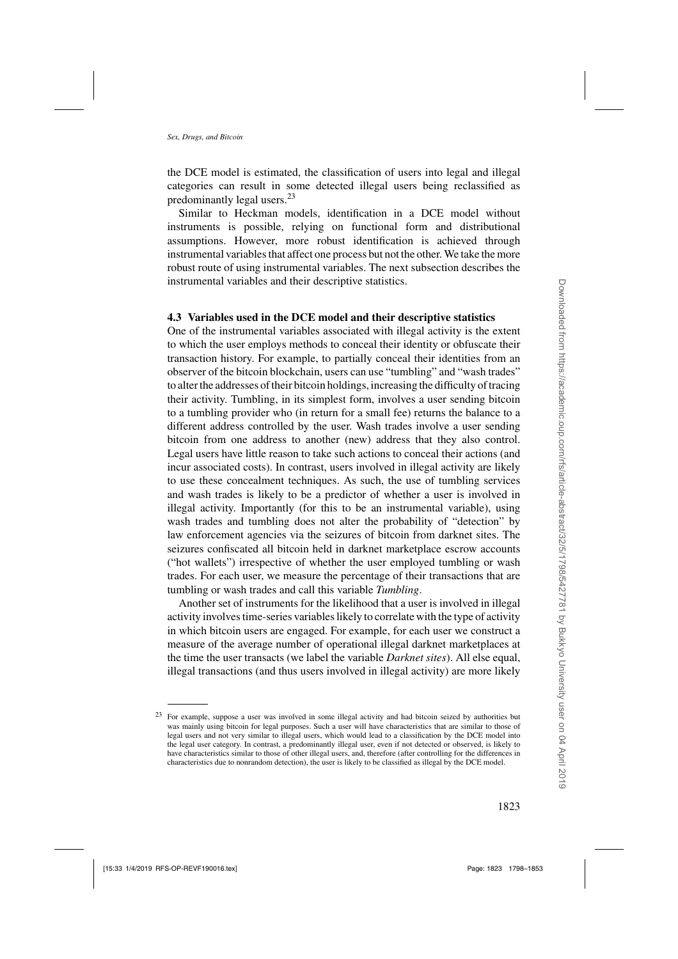the DCE model is estimated, the classification of users into legal and illegal categories can result in some detected illegal users being reclassified as predominantly legal users.23

Similar to Heckman models, identification in a DCE model without instruments is possible, relying on functional form and distributional assumptions. However, more robust identification is achieved through instrumental variables that affect one process but not the other. We take the more robust route of using instrumental variables. The next subsection describes the instrumental variables and their descriptive statistics.

### **4.3 Variables used in the DCE model and their descriptive statistics**

One of the instrumental variables associated with illegal activity is the extent to which the user employs methods to conceal their identity or obfuscate their transaction history. For example, to partially conceal their identities from an observer of the bitcoin blockchain, users can use "tumbling" and "wash trades" to alter the addresses of their bitcoin holdings, increasing the difficulty of tracing their activity. Tumbling, in its simplest form, involves a user sending bitcoin to a tumbling provider who (in return for a small fee) returns the balance to a different address controlled by the user. Wash trades involve a user sending bitcoin from one address to another (new) address that they also control. Legal users have little reason to take such actions to conceal their actions (and incur associated costs). In contrast, users involved in illegal activity are likely to use these concealment techniques. As such, the use of tumbling services and wash trades is likely to be a predictor of whether a user is involved in illegal activity. Importantly (for this to be an instrumental variable), using wash trades and tumbling does not alter the probability of "detection" by law enforcement agencies via the seizures of bitcoin from darknet sites. The seizures confiscated all bitcoin held in darknet marketplace escrow accounts ("hot wallets") irrespective of whether the user employed tumbling or wash trades. For each user, we measure the percentage of their transactions that are tumbling or wash trades and call this variable *Tumbling*.

Another set of instruments for the likelihood that a user is involved in illegal activity involves time-series variables likely to correlate with the type of activity in which bitcoin users are engaged. For example, for each user we construct a measure of the average number of operational illegal darknet marketplaces at the time the user transacts (we label the variable *Darknet sites*). All else equal, illegal transactions (and thus users involved in illegal activity) are more likely

<sup>23</sup> For example, suppose a user was involved in some illegal activity and had bitcoin seized by authorities but was mainly using bitcoin for legal purposes. Such a user will have characteristics that are similar to those of legal users and not very similar to illegal users, which would lead to a classification by the DCE model into the legal user category. In contrast, a predominantly illegal user, even if not detected or observed, is likely to have characteristics similar to those of other illegal users, and, therefore (after controlling for the differences in characteristics due to nonrandom detection), the user is likely to be classified as illegal by the DCE model.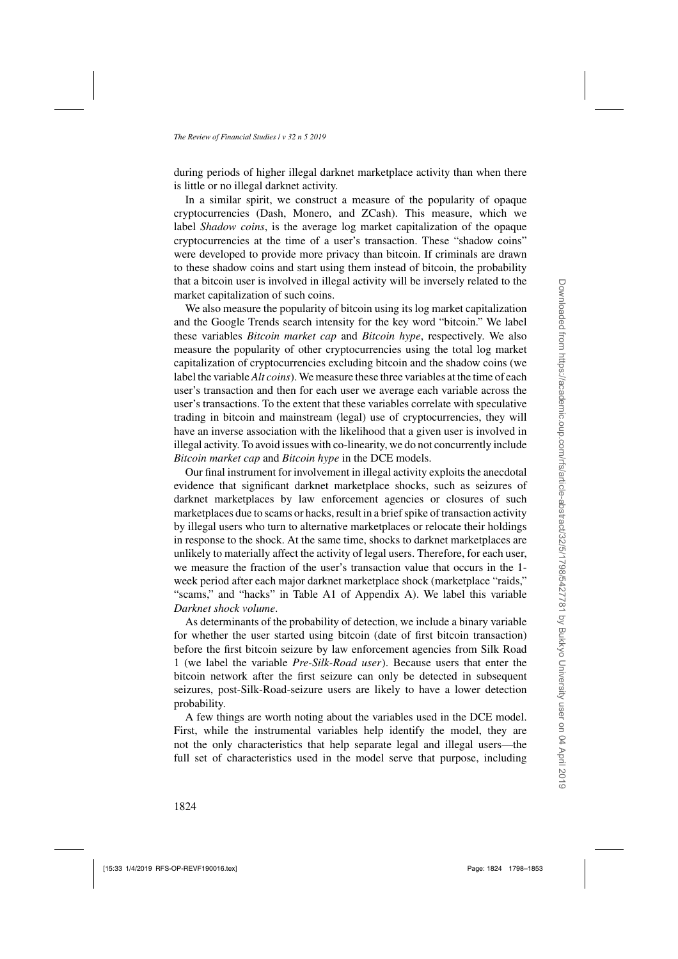during periods of higher illegal darknet marketplace activity than when there is little or no illegal darknet activity.

In a similar spirit, we construct a measure of the popularity of opaque cryptocurrencies (Dash, Monero, and ZCash). This measure, which we label *Shadow coins*, is the average log market capitalization of the opaque cryptocurrencies at the time of a user's transaction. These "shadow coins" were developed to provide more privacy than bitcoin. If criminals are drawn to these shadow coins and start using them instead of bitcoin, the probability that a bitcoin user is involved in illegal activity will be inversely related to the market capitalization of such coins.

We also measure the popularity of bitcoin using its log market capitalization and the Google Trends search intensity for the key word "bitcoin." We label these variables *Bitcoin market cap* and *Bitcoin hype*, respectively. We also measure the popularity of other cryptocurrencies using the total log market capitalization of cryptocurrencies excluding bitcoin and the shadow coins (we label the variable *Alt coins*). We measure these three variables at the time of each user's transaction and then for each user we average each variable across the user's transactions. To the extent that these variables correlate with speculative trading in bitcoin and mainstream (legal) use of cryptocurrencies, they will have an inverse association with the likelihood that a given user is involved in illegal activity. To avoid issues with co-linearity, we do not concurrently include *Bitcoin market cap* and *Bitcoin hype* in the DCE models.

Our final instrument for involvement in illegal activity exploits the anecdotal evidence that significant darknet marketplace shocks, such as seizures of darknet marketplaces by law enforcement agencies or closures of such marketplaces due to scams or hacks, result in a brief spike of transaction activity by illegal users who turn to alternative marketplaces or relocate their holdings in response to the shock. At the same time, shocks to darknet marketplaces are unlikely to materially affect the activity of legal users. Therefore, for each user, we measure the fraction of the user's transaction value that occurs in the 1 week period after each major darknet marketplace shock (marketplace "raids," "scams," and "hacks" in Table [A1](#page-14-0) of Appendix A). We label this variable *Darknet shock volume*.

As determinants of the probability of detection, we include a binary variable for whether the user started using bitcoin (date of first bitcoin transaction) before the first bitcoin seizure by law enforcement agencies from Silk Road 1 (we label the variable *Pre-Silk-Road user*). Because users that enter the bitcoin network after the first seizure can only be detected in subsequent seizures, post-Silk-Road-seizure users are likely to have a lower detection probability.

A few things are worth noting about the variables used in the DCE model. First, while the instrumental variables help identify the model, they are not the only characteristics that help separate legal and illegal users—the full set of characteristics used in the model serve that purpose, including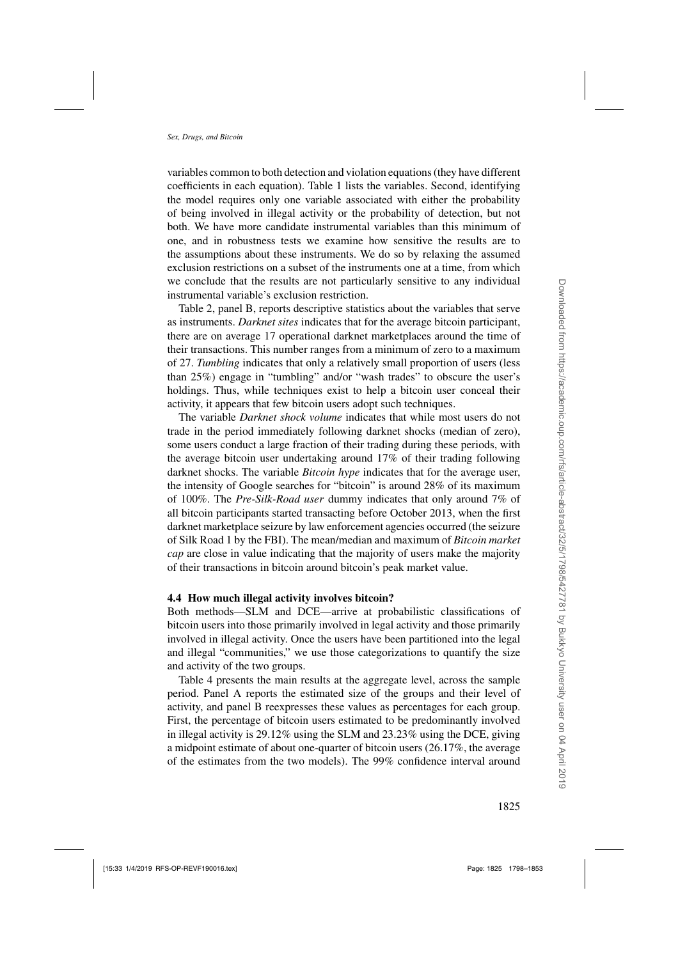variables common to both detection and violation equations (they have different coefficients in each equation). Table [1](#page-14-0) lists the variables. Second, identifying the model requires only one variable associated with either the probability of being involved in illegal activity or the probability of detection, but not both. We have more candidate instrumental variables than this minimum of one, and in robustness tests we examine how sensitive the results are to the assumptions about these instruments. We do so by relaxing the assumed exclusion restrictions on a subset of the instruments one at a time, from which we conclude that the results are not particularly sensitive to any individual instrumental variable's exclusion restriction.

Table [2,](#page-16-0) panel B, reports descriptive statistics about the variables that serve as instruments. *Darknet sites* indicates that for the average bitcoin participant, there are on average 17 operational darknet marketplaces around the time of their transactions. This number ranges from a minimum of zero to a maximum of 27. *Tumbling* indicates that only a relatively small proportion of users (less than 25%) engage in "tumbling" and/or "wash trades" to obscure the user's holdings. Thus, while techniques exist to help a bitcoin user conceal their activity, it appears that few bitcoin users adopt such techniques.

The variable *Darknet shock volume* indicates that while most users do not trade in the period immediately following darknet shocks (median of zero), some users conduct a large fraction of their trading during these periods, with the average bitcoin user undertaking around 17% of their trading following darknet shocks. The variable *Bitcoin hype* indicates that for the average user, the intensity of Google searches for "bitcoin" is around 28% of its maximum of 100%. The *Pre-Silk-Road user* dummy indicates that only around 7% of all bitcoin participants started transacting before October 2013, when the first darknet marketplace seizure by law enforcement agencies occurred (the seizure of Silk Road 1 by the FBI). The mean/median and maximum of *Bitcoin market cap* are close in value indicating that the majority of users make the majority of their transactions in bitcoin around bitcoin's peak market value.

### **4.4 How much illegal activity involves bitcoin?**

Both methods—SLM and DCE—arrive at probabilistic classifications of bitcoin users into those primarily involved in legal activity and those primarily involved in illegal activity. Once the users have been partitioned into the legal and illegal "communities," we use those categorizations to quantify the size and activity of the two groups.

Table [4](#page-28-0) presents the main results at the aggregate level, across the sample period. Panel A reports the estimated size of the groups and their level of activity, and panel B reexpresses these values as percentages for each group. First, the percentage of bitcoin users estimated to be predominantly involved in illegal activity is 29.12% using the SLM and 23.23% using the DCE, giving a midpoint estimate of about one-quarter of bitcoin users (26.17%, the average of the estimates from the two models). The 99% confidence interval around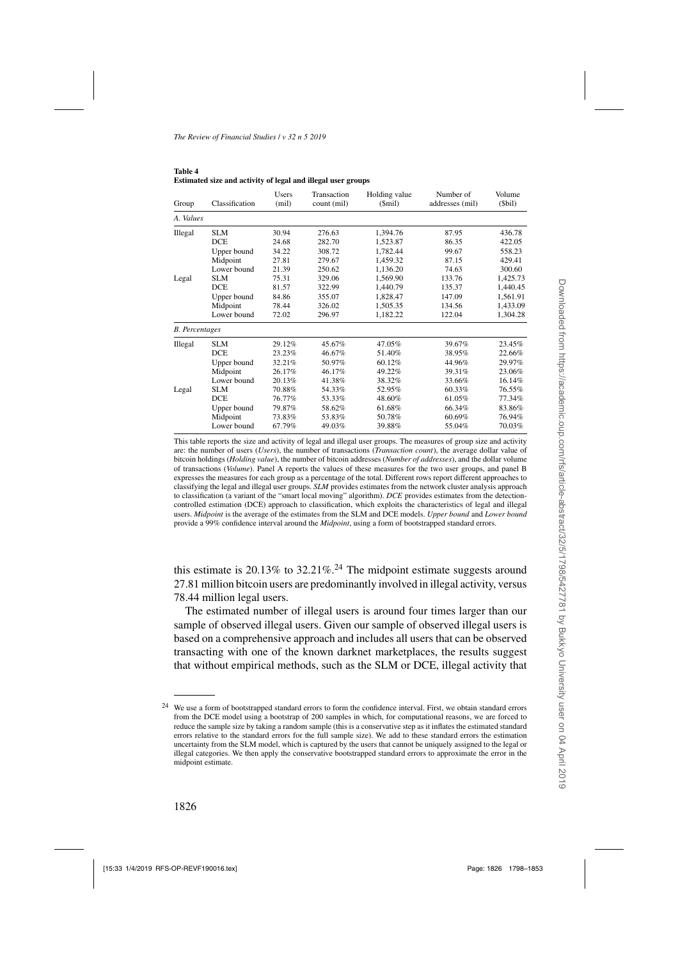| Group                 | Classification | <b>Users</b><br>(mil) | Transaction<br>count (mil) | Holding value<br>(Smil) | Number of<br>addresses (mil) | Volume<br>(5bi) |
|-----------------------|----------------|-----------------------|----------------------------|-------------------------|------------------------------|-----------------|
| A. Values             |                |                       |                            |                         |                              |                 |
| Illegal               | <b>SLM</b>     | 30.94                 | 276.63                     | 1,394.76                | 87.95                        | 436.78          |
|                       | <b>DCE</b>     | 24.68                 | 282.70                     | 1,523.87                | 86.35                        | 422.05          |
|                       | Upper bound    | 34.22                 | 308.72                     | 1,782.44                | 99.67                        | 558.23          |
|                       | Midpoint       | 27.81                 | 279.67                     | 1,459.32                | 87.15                        | 429.41          |
|                       | Lower bound    | 21.39                 | 250.62                     | 1,136.20                | 74.63                        | 300.60          |
| Legal                 | <b>SLM</b>     | 75.31                 | 329.06                     | 1,569.90                | 133.76                       | 1,425.73        |
|                       | DCE            | 81.57                 | 322.99                     | 1,440.79                | 135.37                       | 1,440.45        |
|                       | Upper bound    | 84.86                 | 355.07                     | 1,828.47                | 147.09                       | 1,561.91        |
|                       | Midpoint       | 78.44                 | 326.02                     | 1,505.35                | 134.56                       | 1,433.09        |
|                       | Lower bound    | 72.02                 | 296.97                     | 1,182.22                | 122.04                       | 1,304.28        |
| <b>B.</b> Percentages |                |                       |                            |                         |                              |                 |
| Illegal               | <b>SLM</b>     | 29.12%                | 45.67%                     | 47.05%                  | 39.67%                       | 23.45%          |
|                       | <b>DCE</b>     | 23.23%                | 46.67%                     | 51.40%                  | 38.95%                       | 22.66%          |
|                       | Upper bound    | 32.21%                | 50.97%                     | 60.12%                  | 44.96%                       | 29.97%          |
|                       | Midpoint       | 26.17%                | 46.17%                     | 49.22%                  | 39.31%                       | 23.06%          |
|                       | Lower bound    | 20.13%                | 41.38%                     | 38.32%                  | 33.66%                       | 16.14%          |
| Legal                 | <b>SLM</b>     | 70.88%                | 54.33%                     | 52.95%                  | 60.33%                       | 76.55%          |
|                       | <b>DCE</b>     | 76.77%                | 53.33%                     | 48.60%                  | 61.05%                       | 77.34%          |
|                       | Upper bound    | 79.87%                | 58.62%                     | 61.68%                  | 66.34%                       | 83.86%          |
|                       | Midpoint       | 73.83%                | 53.83%                     | 50.78%                  | 60.69%                       | 76.94%          |
|                       | Lower bound    | 67.79%                | 49.03%                     | 39.88%                  | 55.04%                       | 70.03%          |

<span id="page-28-0"></span>

| Table 4                                                      |  |
|--------------------------------------------------------------|--|
| Estimated size and activity of legal and illegal user groups |  |

This table reports the size and activity of legal and illegal user groups. The measures of group size and activity are: the number of users (*Users*), the number of transactions (*Transaction count*), the average dollar value of bitcoin holdings (*Holding value*), the number of bitcoin addresses (*Number of addresses*), and the dollar volume of transactions (*Volume*). Panel A reports the values of these measures for the two user groups, and panel B expresses the measures for each group as a percentage of the total. Different rows report different approaches to classifying the legal and illegal user groups. *SLM* provides estimates from the network cluster analysis approach to classification (a variant of the "smart local moving" algorithm). *DCE* provides estimates from the detectioncontrolled estimation (DCE) approach to classification, which exploits the characteristics of legal and illegal users. *Midpoint* is the average of the estimates from the SLM and DCE models. *Upper bound* and *Lower bound* provide a 99% confidence interval around the *Midpoint*, using a form of bootstrapped standard errors.

this estimate is 20.13% to 32.21%.<sup>24</sup> The midpoint estimate suggests around 27.81 million bitcoin users are predominantly involved in illegal activity, versus 78.44 million legal users.

The estimated number of illegal users is around four times larger than our sample of observed illegal users. Given our sample of observed illegal users is based on a comprehensive approach and includes all users that can be observed transacting with one of the known darknet marketplaces, the results suggest that without empirical methods, such as the SLM or DCE, illegal activity that

<sup>24</sup> We use a form of bootstrapped standard errors to form the confidence interval. First, we obtain standard errors from the DCE model using a bootstrap of 200 samples in which, for computational reasons, we are forced to reduce the sample size by taking a random sample (this is a conservative step as it inflates the estimated standard errors relative to the standard errors for the full sample size). We add to these standard errors the estimation uncertainty from the SLM model, which is captured by the users that cannot be uniquely assigned to the legal or illegal categories. We then apply the conservative bootstrapped standard errors to approximate the error in the midpoint estimate.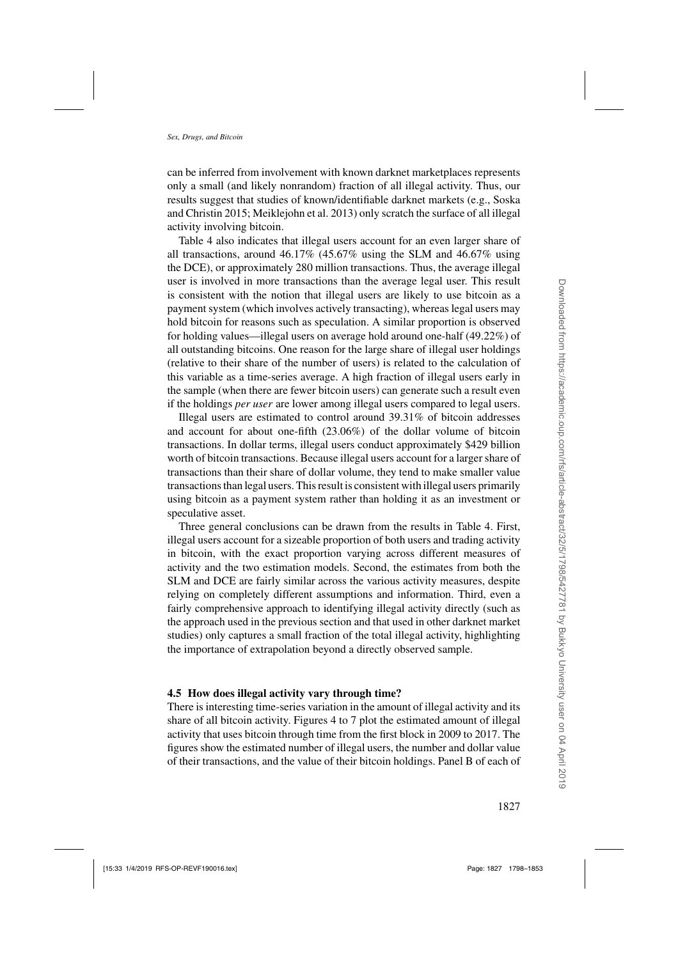can be inferred from involvement with known darknet marketplaces represents only a small (and likely nonrandom) fraction of all illegal activity. Thus, our results sugg[est](#page-54-0) [that](#page-54-0) [studies](#page-54-0) [of](#page-54-0) [known/identifiable](#page-54-0) [darknet](#page-54-0) [markets](#page-54-0) [\(e.g.,](#page-54-0) Soska and Christin [2015; Meiklejohn et al. 2013\)](#page-54-0) only scratch the surface of all illegal activity involving bitcoin.

Table [4](#page-28-0) also indicates that illegal users account for an even larger share of all transactions, around 46.17% (45.67% using the SLM and 46.67% using the DCE), or approximately 280 million transactions. Thus, the average illegal user is involved in more transactions than the average legal user. This result is consistent with the notion that illegal users are likely to use bitcoin as a payment system (which involves actively transacting), whereas legal users may hold bitcoin for reasons such as speculation. A similar proportion is observed for holding values—illegal users on average hold around one-half (49.22%) of all outstanding bitcoins. One reason for the large share of illegal user holdings (relative to their share of the number of users) is related to the calculation of this variable as a time-series average. A high fraction of illegal users early in the sample (when there are fewer bitcoin users) can generate such a result even if the holdings *per user* are lower among illegal users compared to legal users.

Illegal users are estimated to control around 39.31% of bitcoin addresses and account for about one-fifth (23.06%) of the dollar volume of bitcoin transactions. In dollar terms, illegal users conduct approximately \$429 billion worth of bitcoin transactions. Because illegal users account for a larger share of transactions than their share of dollar volume, they tend to make smaller value transactions than legal users. This result is consistent with illegal users primarily using bitcoin as a payment system rather than holding it as an investment or speculative asset.

Three general conclusions can be drawn from the results in Table [4.](#page-28-0) First, illegal users account for a sizeable proportion of both users and trading activity in bitcoin, with the exact proportion varying across different measures of activity and the two estimation models. Second, the estimates from both the SLM and DCE are fairly similar across the various activity measures, despite relying on completely different assumptions and information. Third, even a fairly comprehensive approach to identifying illegal activity directly (such as the approach used in the previous section and that used in other darknet market studies) only captures a small fraction of the total illegal activity, highlighting the importance of extrapolation beyond a directly observed sample.

### **4.5 How does illegal activity vary through time?**

There is interesting time-series variation in the amount of illegal activity and its share of all bitcoin activity. Figures [4](#page-30-0) to [7](#page-33-0) plot the estimated amount of illegal activity that uses bitcoin through time from the first block in 2009 to 2017. The figures show the estimated number of illegal users, the number and dollar value of their transactions, and the value of their bitcoin holdings. Panel B of each of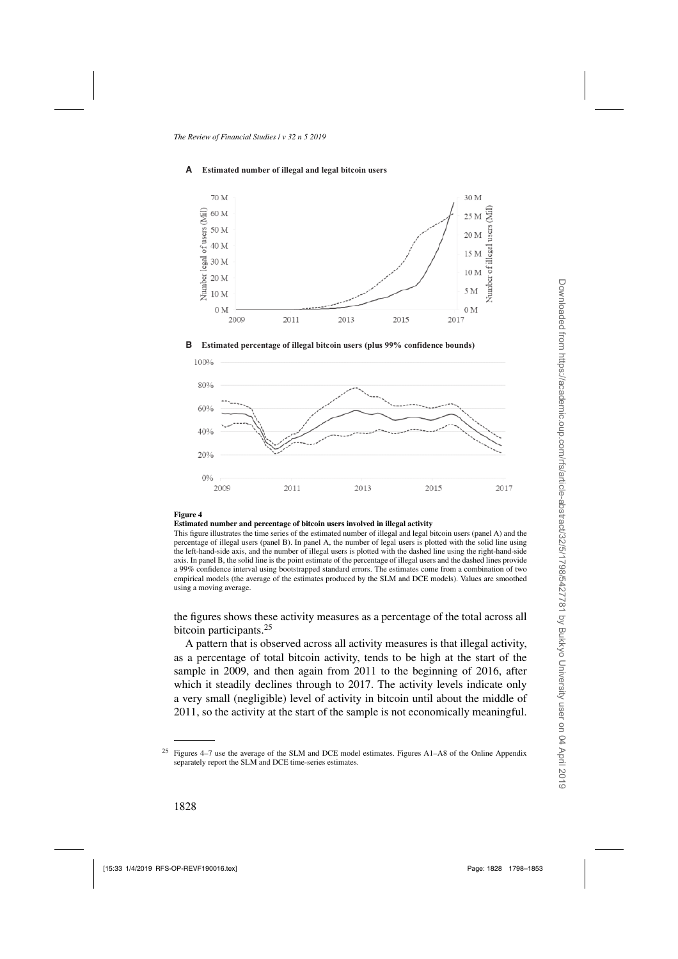#### <span id="page-30-0"></span>**A Estimated number of illegal and legal bitcoin users**







#### **Figure 4**

#### **Estimated number and percentage of bitcoin users involved in illegal activity**

This figure illustrates the time series of the estimated number of illegal and legal bitcoin users (panel A) and the percentage of illegal users (panel B). In panel A, the number of legal users is plotted with the solid line using the left-hand-side axis, and the number of illegal users is plotted with the dashed line using the right-hand-side axis. In panel B, the solid line is the point estimate of the percentage of illegal users and the dashed lines provide a 99% confidence interval using bootstrapped standard errors. The estimates come from a combination of two empirical models (the average of the estimates produced by the SLM and DCE models). Values are smoothed using a moving average.

the figures shows these activity measures as a percentage of the total across all bitcoin participants.<sup>25</sup>

A pattern that is observed across all activity measures is that illegal activity, as a percentage of total bitcoin activity, tends to be high at the start of the sample in 2009, and then again from 2011 to the beginning of 2016, after which it steadily declines through to 2017. The activity levels indicate only a very small (negligible) level of activity in bitcoin until about the middle of 2011, so the activity at the start of the sample is not economically meaningful.

<sup>25</sup> Figures 4[–7](#page-33-0) use the average of the SLM and DCE model estimates. Figures A1–A8 of the Online Appendix separately report the SLM and DCE time-series estimates.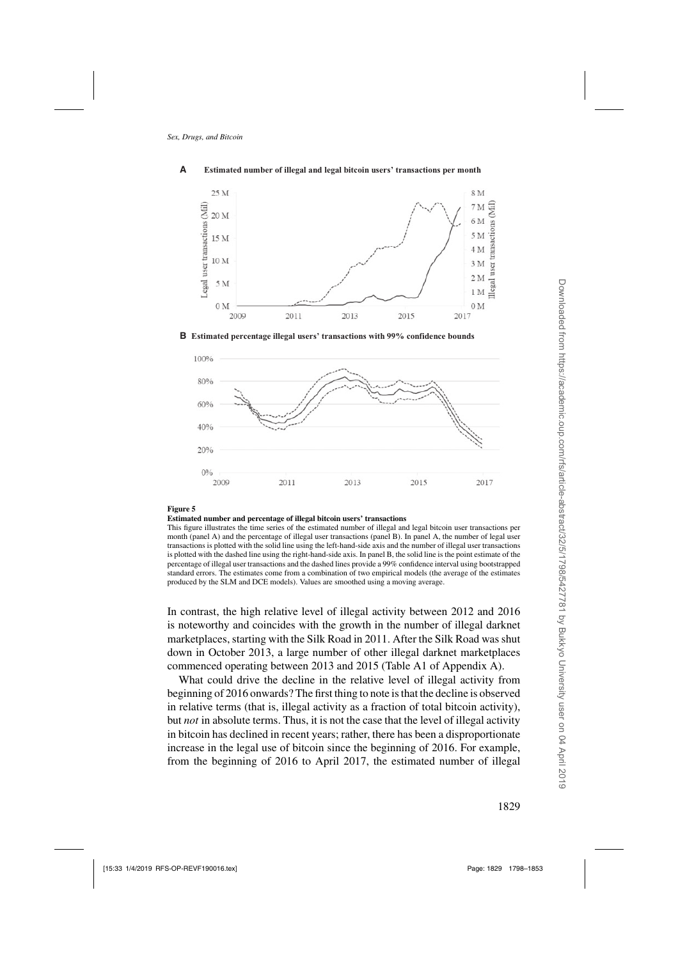

### **A Estimated number of illegal and legal bitcoin users' transactions per month**





#### **Figure 5**

#### **Estimated number and percentage of illegal bitcoin users' transactions**

This figure illustrates the time series of the estimated number of illegal and legal bitcoin user transactions per month (panel A) and the percentage of illegal user transactions (panel B). In panel A, the number of legal user transactions is plotted with the solid line using the left-hand-side axis and the number of illegal user transactions is plotted with the dashed line using the right-hand-side axis. In panel B, the solid line is the point estimate of the percentage of illegal user transactions and the dashed lines provide a 99% confidence interval using bootstrapped standard errors. The estimates come from a combination of two empirical models (the average of the estimates produced by the SLM and DCE models). Values are smoothed using a moving average.

In contrast, the high relative level of illegal activity between 2012 and 2016 is noteworthy and coincides with the growth in the number of illegal darknet marketplaces, starting with the Silk Road in 2011. After the Silk Road was shut down in October 2013, a large number of other illegal darknet marketplaces commenced operating between 2013 and 2015 (Table [A1](#page-14-0) of Appendix A).

What could drive the decline in the relative level of illegal activity from beginning of 2016 onwards? The first thing to note is that the decline is observed in relative terms (that is, illegal activity as a fraction of total bitcoin activity), but *not* in absolute terms. Thus, it is not the case that the level of illegal activity in bitcoin has declined in recent years; rather, there has been a disproportionate increase in the legal use of bitcoin since the beginning of 2016. For example, from the beginning of 2016 to April 2017, the estimated number of illegal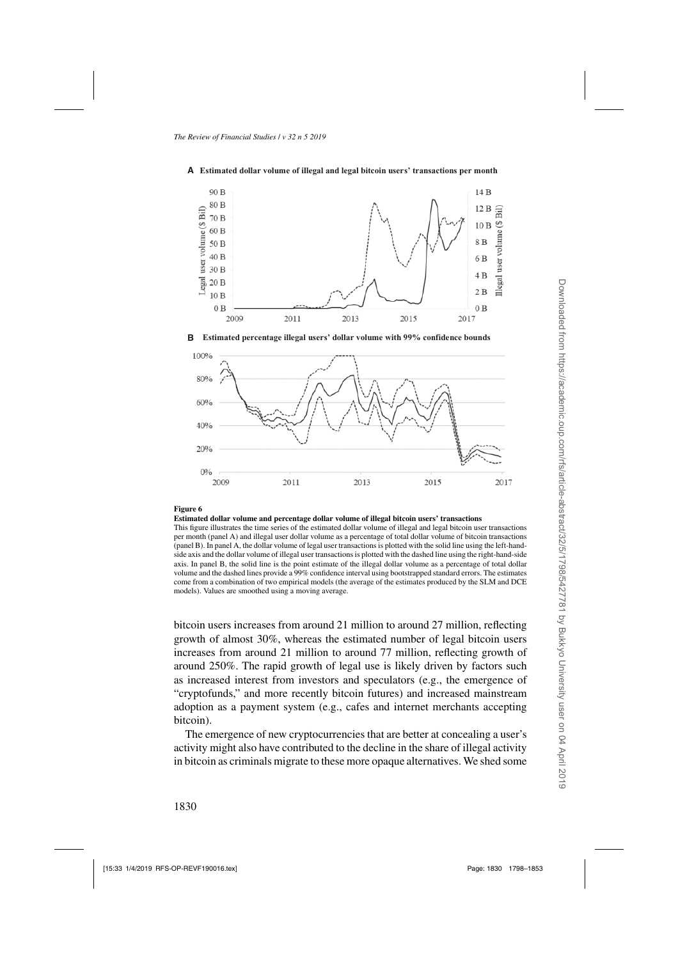### **Estimated dollar volume of illegal and legal bitcoin users' transactions per month A**



**Estimated percentage illegal users' dollar volume with 99% confidence bounds B**



#### **Figure 6**

#### **Estimated dollar volume and percentage dollar volume of illegal bitcoin users' transactions**

This figure illustrates the time series of the estimated dollar volume of illegal and legal bitcoin user transactions per month (panel A) and illegal user dollar volume as a percentage of total dollar volume of bitcoin transactions (panel B). In panel A, the dollar volume of legal user transactions is plotted with the solid line using the left-handside axis and the dollar volume of illegal user transactions is plotted with the dashed line using the right-hand-side axis. In panel B, the solid line is the point estimate of the illegal dollar volume as a percentage of total dollar volume and the dashed lines provide a 99% confidence interval using bootstrapped standard errors. The estimates come from a combination of two empirical models (the average of the estimates produced by the SLM and DCE models). Values are smoothed using a moving average.

bitcoin users increases from around 21 million to around 27 million, reflecting growth of almost 30%, whereas the estimated number of legal bitcoin users increases from around 21 million to around 77 million, reflecting growth of around 250%. The rapid growth of legal use is likely driven by factors such as increased interest from investors and speculators (e.g., the emergence of "cryptofunds," and more recently bitcoin futures) and increased mainstream adoption as a payment system (e.g., cafes and internet merchants accepting bitcoin).

The emergence of new cryptocurrencies that are better at concealing a user's activity might also have contributed to the decline in the share of illegal activity in bitcoin as criminals migrate to these more opaque alternatives. We shed some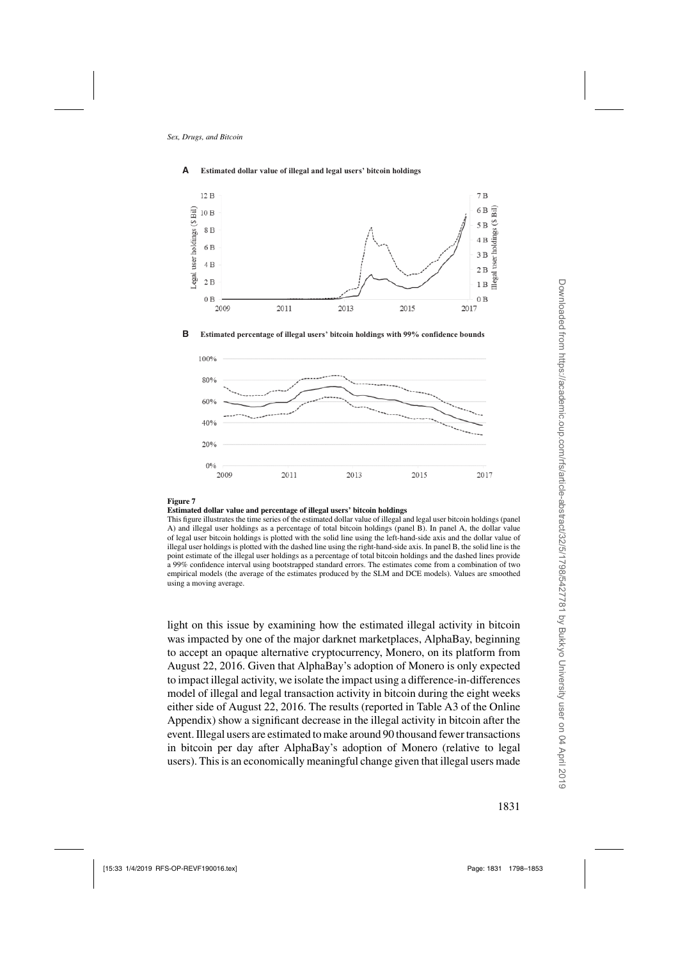

### <span id="page-33-0"></span>**A Estimated dollar value of illegal and legal users' bitcoin holdings**





#### **Figure 7**

#### **Estimated dollar value and percentage of illegal users' bitcoin holdings**

This figure illustrates the time series of the estimated dollar value of illegal and legal user bitcoin holdings (panel A) and illegal user holdings as a percentage of total bitcoin holdings (panel B). In panel A, the dollar value of legal user bitcoin holdings is plotted with the solid line using the left-hand-side axis and the dollar value of illegal user holdings is plotted with the dashed line using the right-hand-side axis. In panel B, the solid line is the point estimate of the illegal user holdings as a percentage of total bitcoin holdings and the dashed lines provide a 99% confidence interval using bootstrapped standard errors. The estimates come from a combination of two empirical models (the average of the estimates produced by the SLM and DCE models). Values are smoothed using a moving average.

light on this issue by examining how the estimated illegal activity in bitcoin was impacted by one of the major darknet marketplaces, AlphaBay, beginning to accept an opaque alternative cryptocurrency, Monero, on its platform from August 22, 2016. Given that AlphaBay's adoption of Monero is only expected to impact illegal activity, we isolate the impact using a difference-in-differences model of illegal and legal transaction activity in bitcoin during the eight weeks either side of August 22, 2016. The results (reported in Table A3 of the Online Appendix) show a significant decrease in the illegal activity in bitcoin after the event. Illegal users are estimated to make around 90 thousand fewer transactions in bitcoin per day after AlphaBay's adoption of Monero (relative to legal users). This is an economically meaningful change given that illegal users made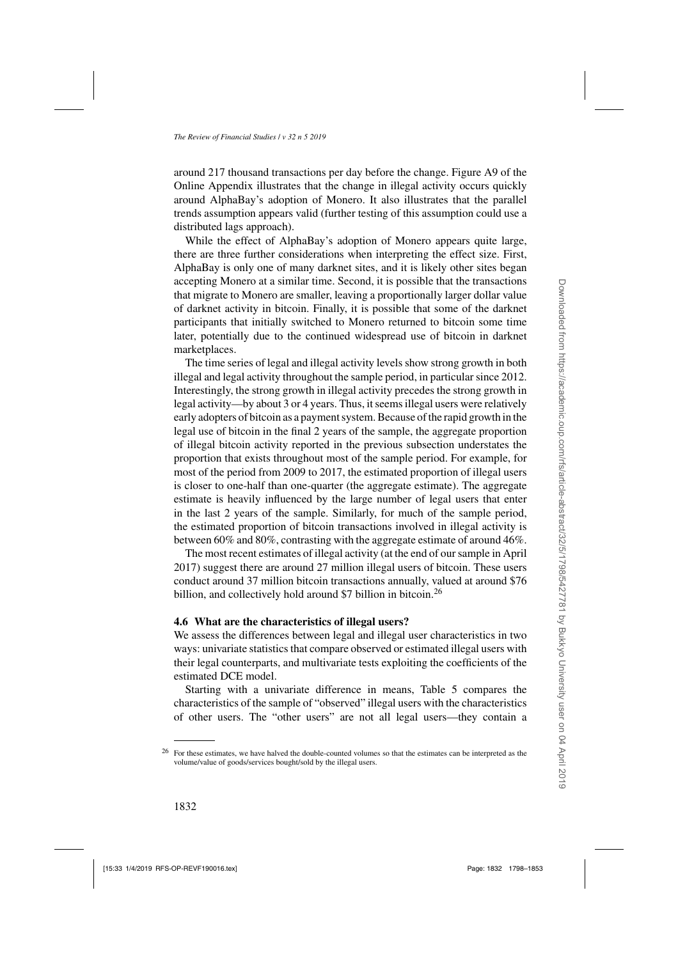around 217 thousand transactions per day before the change. Figure A9 of the Online Appendix illustrates that the change in illegal activity occurs quickly around AlphaBay's adoption of Monero. It also illustrates that the parallel trends assumption appears valid (further testing of this assumption could use a distributed lags approach).

While the effect of AlphaBay's adoption of Monero appears quite large, there are three further considerations when interpreting the effect size. First, AlphaBay is only one of many darknet sites, and it is likely other sites began accepting Monero at a similar time. Second, it is possible that the transactions that migrate to Monero are smaller, leaving a proportionally larger dollar value of darknet activity in bitcoin. Finally, it is possible that some of the darknet participants that initially switched to Monero returned to bitcoin some time later, potentially due to the continued widespread use of bitcoin in darknet marketplaces.

The time series of legal and illegal activity levels show strong growth in both illegal and legal activity throughout the sample period, in particular since 2012. Interestingly, the strong growth in illegal activity precedes the strong growth in legal activity—by about 3 or 4 years. Thus, it seems illegal users were relatively early adopters of bitcoin as a payment system. Because of the rapid growth in the legal use of bitcoin in the final 2 years of the sample, the aggregate proportion of illegal bitcoin activity reported in the previous subsection understates the proportion that exists throughout most of the sample period. For example, for most of the period from 2009 to 2017, the estimated proportion of illegal users is closer to one-half than one-quarter (the aggregate estimate). The aggregate estimate is heavily influenced by the large number of legal users that enter in the last 2 years of the sample. Similarly, for much of the sample period, the estimated proportion of bitcoin transactions involved in illegal activity is between 60% and 80%, contrasting with the aggregate estimate of around 46%.

The most recent estimates of illegal activity (at the end of our sample in April 2017) suggest there are around 27 million illegal users of bitcoin. These users conduct around 37 million bitcoin transactions annually, valued at around \$76 billion, and collectively hold around \$7 billion in bitcoin.<sup>26</sup>

### **4.6 What are the characteristics of illegal users?**

We assess the differences between legal and illegal user characteristics in two ways: univariate statistics that compare observed or estimated illegal users with their legal counterparts, and multivariate tests exploiting the coefficients of the estimated DCE model.

Starting with a univariate difference in means, Table [5](#page-36-0) compares the characteristics of the sample of "observed" illegal users with the characteristics of other users. The "other users" are not all legal users—they contain a

<sup>&</sup>lt;sup>26</sup> For these estimates, we have halved the double-counted volumes so that the estimates can be interpreted as the volume/value of goods/services bought/sold by the illegal users.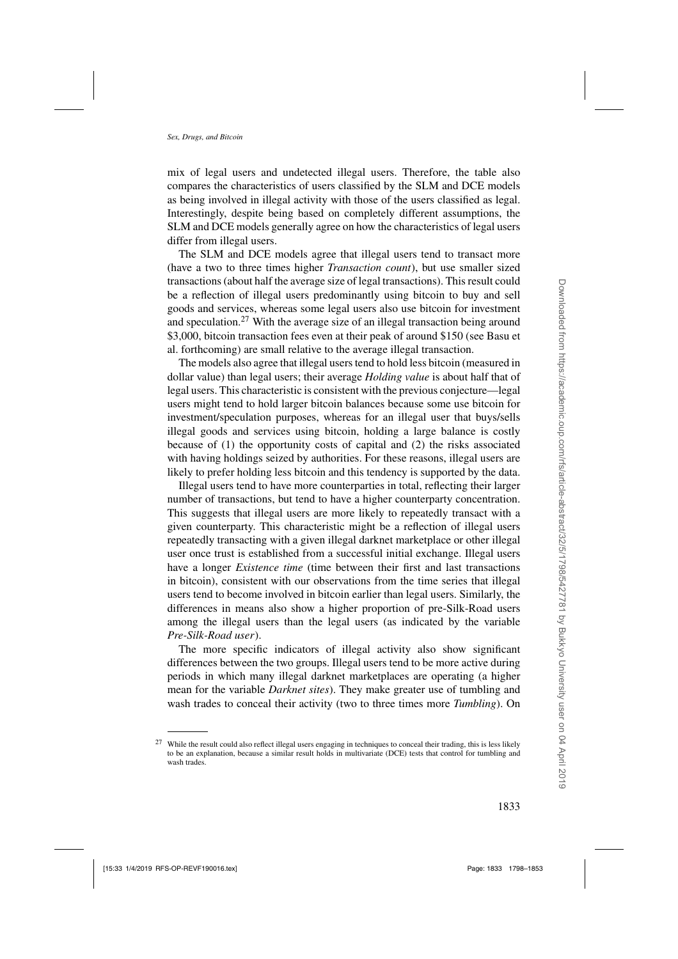mix of legal users and undetected illegal users. Therefore, the table also compares the characteristics of users classified by the SLM and DCE models as being involved in illegal activity with those of the users classified as legal. Interestingly, despite being based on completely different assumptions, the SLM and DCE models generally agree on how the characteristics of legal users differ from illegal users.

The SLM and DCE models agree that illegal users tend to transact more (have a two to three times higher *Transaction count*), but use smaller sized transactions (about half the average size of legal transactions). This result could be a reflection of illegal users predominantly using bitcoin to buy and sell goods and services, whereas some legal users also use bitcoin for investment and speculation.<sup>27</sup> With the average size of an illegal transaction being around \$3,000, bitcoin transaction fees even at their peak of around \$150 (see Basu et al. forthcoming) are small relative to the average illegal transaction.

The models also agree that illegal users tend to hold less bitcoin (measured in dollar value) than legal users; their average *Holding value* is about half that of legal users. This characteristic is consistent with the previous conjecture—legal users might tend to hold larger bitcoin balances because some use bitcoin for investment/speculation purposes, whereas for an illegal user that buys/sells illegal goods and services using bitcoin, holding a large balance is costly because of (1) the opportunity costs of capital and (2) the risks associated with having holdings seized by authorities. For these reasons, illegal users are likely to prefer holding less bitcoin and this tendency is supported by the data.

Illegal users tend to have more counterparties in total, reflecting their larger number of transactions, but tend to have a higher counterparty concentration. This suggests that illegal users are more likely to repeatedly transact with a given counterparty. This characteristic might be a reflection of illegal users repeatedly transacting with a given illegal darknet marketplace or other illegal user once trust is established from a successful initial exchange. Illegal users have a longer *Existence time* (time between their first and last transactions in bitcoin), consistent with our observations from the time series that illegal users tend to become involved in bitcoin earlier than legal users. Similarly, the differences in means also show a higher proportion of pre-Silk-Road users among the illegal users than the legal users (as indicated by the variable *Pre-Silk-Road user*).

The more specific indicators of illegal activity also show significant differences between the two groups. Illegal users tend to be more active during periods in which many illegal darknet marketplaces are operating (a higher mean for the variable *Darknet sites*). They make greater use of tumbling and wash trades to conceal their activity (two to three times more *Tumbling*). On

<sup>&</sup>lt;sup>27</sup> While the result could also reflect illegal users engaging in techniques to conceal their trading, this is less likely to be an explanation, because a similar result holds in multivariate (DCE) tests that control for tumbling and wash trades.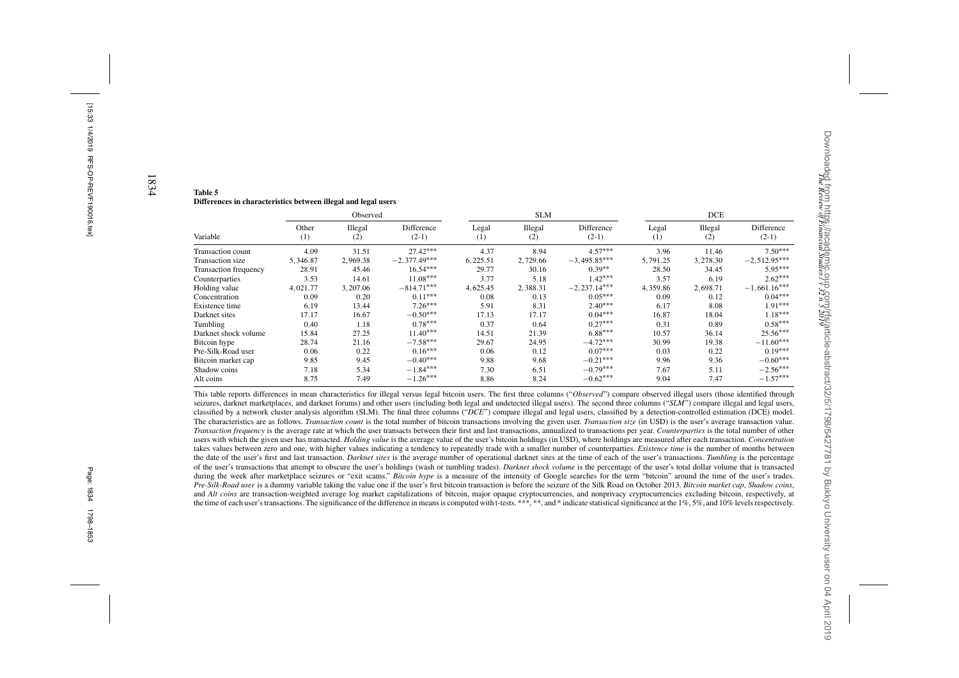<span id="page-36-0"></span>

|                       |              | Observed       |                       |              | <b>SLM</b>     |                       |              | DCE            |                       |
|-----------------------|--------------|----------------|-----------------------|--------------|----------------|-----------------------|--------------|----------------|-----------------------|
| Variable              | Other<br>(1) | Illegal<br>(2) | Difference<br>$(2-1)$ | Legal<br>(1) | Illegal<br>(2) | Difference<br>$(2-1)$ | Legal<br>(1) | Illegal<br>(2) | Difference<br>$(2-1)$ |
| Transaction count     | 4.09         | 31.51          | $27.42***$            | 4.37         | 8.94           | $4.57***$             | 3.96         | 11.46          | $7.50***$             |
| Transaction size      | 5,346.87     | 2,969.38       | $-2,377.49***$        | 6,225.51     | 2,729.66       | $-3,495.85***$        | 5,791.25     | 3,278.30       | $-2,512.95***$        |
| Transaction frequency | 28.91        | 45.46          | $16.54***$            | 29.77        | 30.16          | $0.39**$              | 28.50        | 34.45          | $5.95***$             |
| Counterparties        | 3.53         | 14.61          | $11.08***$            | 3.77         | 5.18           | $1.42***$             | 3.57         | 6.19           | $2.62***$             |
| Holding value         | 4,021.77     | 3,207.06       | $-814.71***$          | 4,625.45     | 2,388.31       | $-2,237.14***$        | 4,359.86     | 2,698.71       | $-1,661.16***$        |
| Concentration         | 0.09         | 0.20           | $0.11***$             | 0.08         | 0.13           | $0.05***$             | 0.09         | 0.12           | $0.04***$             |
| Existence time        | 6.19         | 13.44          | $7.26***$             | 5.91         | 8.31           | $2.40***$             | 6.17         | 8.08           | $1.91***$             |
| Darknet sites         | 17.17        | 16.67          | $-0.50***$            | 17.13        | 17.17          | $0.04***$             | 16.87        | 18.04          | $1.18***$             |
| Tumbling              | 0.40         | 1.18           | $0.78***$             | 0.37         | 0.64           | $0.27***$             | 0.31         | 0.89           | $0.58***$             |
| Darknet shock volume  | 15.84        | 27.25          | $11.40***$            | 14.51        | 21.39          | $6.88***$             | 10.57        | 36.14          | $25.56***$            |
| Bitcoin hype          | 28.74        | 21.16          | $-7.58***$            | 29.67        | 24.95          | $-4.72***$            | 30.99        | 19.38          | $-11.60***$           |
| Pre-Silk-Road user    | 0.06         | 0.22           | $0.16***$             | 0.06         | 0.12           | $0.07***$             | 0.03         | 0.22           | $0.19***$             |
| Bitcoin market cap    | 9.85         | 9.45           | $-0.40***$            | 9.88         | 9.68           | $-0.21***$            | 9.96         | 9.36           | $-0.60***$            |
| Shadow coins          | 7.18         | 5.34           | $-1.84***$            | 7.30         | 6.51           | $-0.79***$            | 7.67         | 5.11           | $-2.56***$            |
| Alt coins             | 8.75         | 7.49           | $-1.26***$            | 8.86         | 8.24           | $-0.62***$            | 9.04         | 7.47           | $-1.57***$            |

This table reports differences in mean characteristics for illegal versus legal bitcoin users. The first three columns ("*Observed*") compare observed illegal users (those identified through seizures, darknet marketplaces, and darknet forums) and other users (including both legal and undetected illegal users). The second three columns ("*SLM*") compare illegal and legal users, classified by <sup>a</sup> network cluster analysis algorithm (SLM). The final three columns ("*DCE*") compare illegal and legal users, classified by <sup>a</sup> detection-controlled estimation (DCE) model. The characteristics are as follows. Transaction count is the total number of bitcoin transactions involving the given user. Transaction size (in USD) is the user's average transaction value *Transaction frequency* is the average rate at which the user transacts between their first and last transactions, annualized to transactions per year. *Counterparties* is the total number of other users with which the given user has transacted. *Holding value* is the average value of the user's bitcoin holdings (in USD), where holdings are measured after each transaction. *Concentration* takes values between zero and one, with higher values indicating <sup>a</sup> tendency to repeatedly trade with <sup>a</sup> smaller number of counterparties. *Existence time* is the number of months between the date of the user's first and last transaction. *Darknet sites* is the average number of operational darknet sites at the time of each of the user's transactions. *Tumbling* is the percentage of the user's transactions that attempt to obscure the user's holdings (wash or tumbling trades). *Darknet shock volume* is the percentage of the user's total dollar volume that is transacted during the week after marketplace seizures or "exit scams." *Bitcoin hype* is a measure of the intensity of Google searches for the term "bitcoin" around the time of the user's trades. Pre-Silk-Road user is a dummy variable taking the value one if the user's first bitcoin transaction is before the seizure of the Silk Road on October 2013. Bitcoin market cap, Shadow coins and *Alt coins* are transaction-weighted average log market capitalizations of bitcoin, major opaque cryptocurrencies, and nonprivacy cryptocurrencies excluding bitcoin, respectively, at the time of each user's transactions. The significance of the difference in means is computed with t-tests. \*\*\*, \*\*, and \* indicate statistical significance at the 1%, 5%, and 10% levels respectively.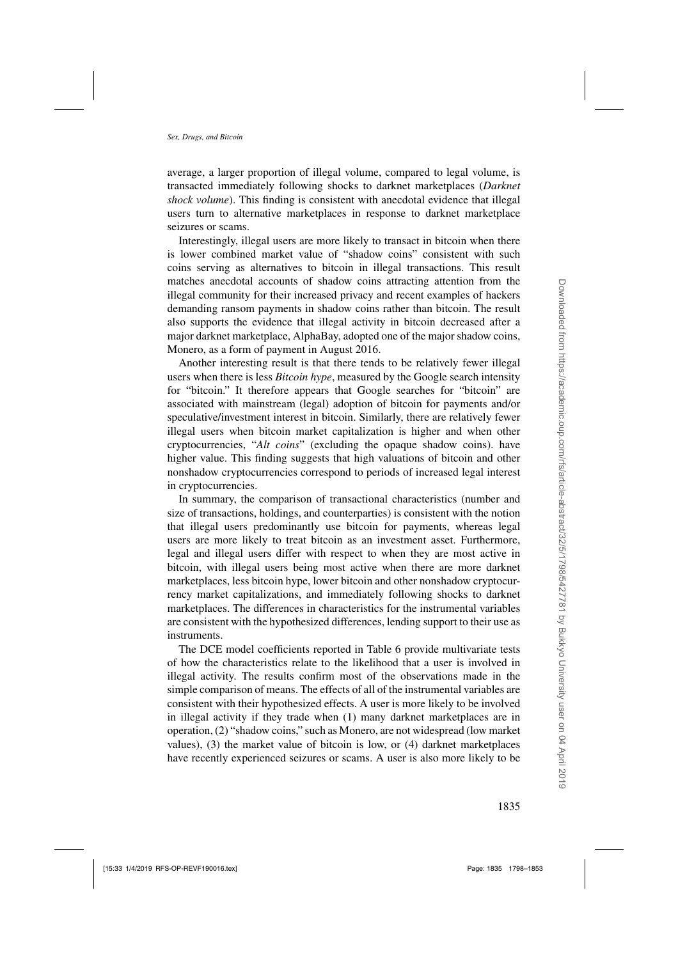average, a larger proportion of illegal volume, compared to legal volume, is transacted immediately following shocks to darknet marketplaces (*Darknet shock volume*). This finding is consistent with anecdotal evidence that illegal users turn to alternative marketplaces in response to darknet marketplace seizures or scams.

Interestingly, illegal users are more likely to transact in bitcoin when there is lower combined market value of "shadow coins" consistent with such coins serving as alternatives to bitcoin in illegal transactions. This result matches anecdotal accounts of shadow coins attracting attention from the illegal community for their increased privacy and recent examples of hackers demanding ransom payments in shadow coins rather than bitcoin. The result also supports the evidence that illegal activity in bitcoin decreased after a major darknet marketplace, AlphaBay, adopted one of the major shadow coins, Monero, as a form of payment in August 2016.

Another interesting result is that there tends to be relatively fewer illegal users when there is less *Bitcoin hype*, measured by the Google search intensity for "bitcoin." It therefore appears that Google searches for "bitcoin" are associated with mainstream (legal) adoption of bitcoin for payments and/or speculative/investment interest in bitcoin. Similarly, there are relatively fewer illegal users when bitcoin market capitalization is higher and when other cryptocurrencies, "*Alt coins*" (excluding the opaque shadow coins). have higher value. This finding suggests that high valuations of bitcoin and other nonshadow cryptocurrencies correspond to periods of increased legal interest in cryptocurrencies.

In summary, the comparison of transactional characteristics (number and size of transactions, holdings, and counterparties) is consistent with the notion that illegal users predominantly use bitcoin for payments, whereas legal users are more likely to treat bitcoin as an investment asset. Furthermore, legal and illegal users differ with respect to when they are most active in bitcoin, with illegal users being most active when there are more darknet marketplaces, less bitcoin hype, lower bitcoin and other nonshadow cryptocurrency market capitalizations, and immediately following shocks to darknet marketplaces. The differences in characteristics for the instrumental variables are consistent with the hypothesized differences, lending support to their use as instruments.

The DCE model coefficients reported in Table [6](#page-38-0) provide multivariate tests of how the characteristics relate to the likelihood that a user is involved in illegal activity. The results confirm most of the observations made in the simple comparison of means. The effects of all of the instrumental variables are consistent with their hypothesized effects. A user is more likely to be involved in illegal activity if they trade when (1) many darknet marketplaces are in operation, (2) "shadow coins," such as Monero, are not widespread (low market values), (3) the market value of bitcoin is low, or (4) darknet marketplaces have recently experienced seizures or scams. A user is also more likely to be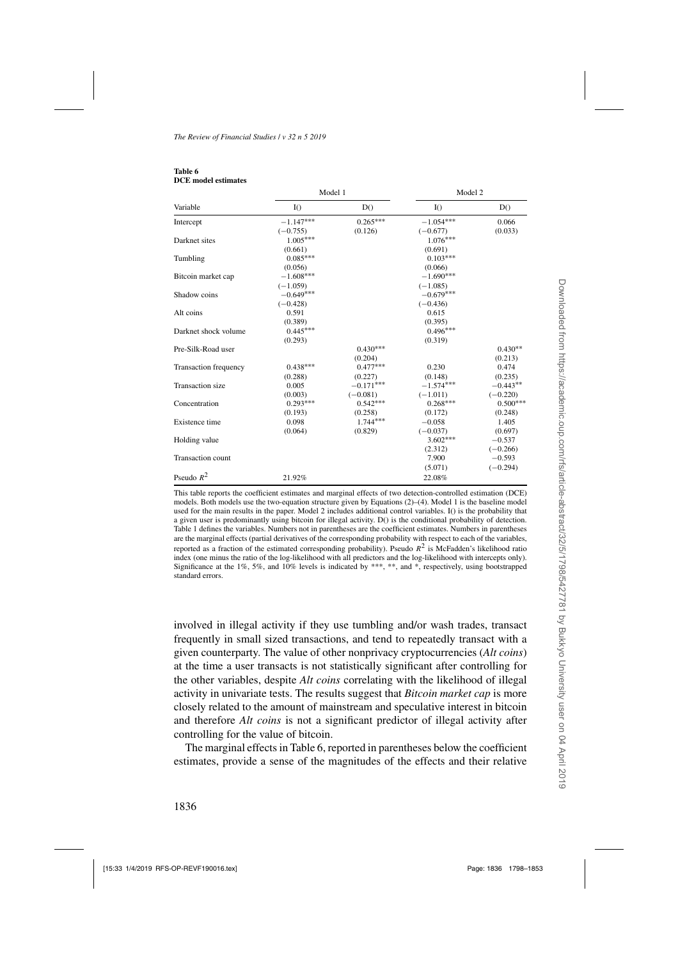<span id="page-38-0"></span>

| Table 6                    |  |
|----------------------------|--|
| <b>DCE</b> model estimates |  |

|                              |             | Model 1     | Model 2     |            |  |
|------------------------------|-------------|-------------|-------------|------------|--|
| Variable                     | I()         | D()         | I()         | D()        |  |
| Intercept                    | $-1.147***$ | $0.265***$  | $-1.054***$ | 0.066      |  |
|                              | $(-0.755)$  | (0.126)     | $(-0.677)$  | (0.033)    |  |
| Darknet sites                | $1.005***$  |             | $1.076***$  |            |  |
|                              | (0.661)     |             | (0.691)     |            |  |
| Tumbling                     | $0.085***$  |             | $0.103***$  |            |  |
|                              | (0.056)     |             | (0.066)     |            |  |
| Bitcoin market cap           | $-1.608***$ |             | $-1.690***$ |            |  |
|                              | $(-1.059)$  |             | $(-1.085)$  |            |  |
| Shadow coins                 | $-0.649***$ |             | $-0.679***$ |            |  |
|                              | $(-0.428)$  |             | $(-0.436)$  |            |  |
| Alt coins                    | 0.591       |             | 0.615       |            |  |
|                              | (0.389)     |             | (0.395)     |            |  |
| Darknet shock volume         | $0.445***$  |             | $0.496***$  |            |  |
|                              | (0.293)     |             | (0.319)     |            |  |
| Pre-Silk-Road user           |             | $0.430***$  |             | $0.430**$  |  |
|                              |             | (0.204)     |             | (0.213)    |  |
| <b>Transaction frequency</b> | $0.438***$  | $0.477***$  | 0.230       | 0.474      |  |
|                              | (0.288)     | (0.227)     | (0.148)     | (0.235)    |  |
| <b>Transaction</b> size      | 0.005       | $-0.171***$ | $-1.574***$ | $-0.443**$ |  |
|                              | (0.003)     | $(-0.081)$  | $(-1.011)$  | $(-0.220)$ |  |
| Concentration                | $0.293***$  | $0.542***$  | $0.268***$  | $0.500***$ |  |
|                              | (0.193)     | (0.258)     | (0.172)     | (0.248)    |  |
| Existence time               | 0.098       | $1.744***$  | $-0.058$    | 1.405      |  |
|                              | (0.064)     | (0.829)     | $(-0.037)$  | (0.697)    |  |
| Holding value                |             |             | $3.602***$  | $-0.537$   |  |
|                              |             |             | (2.312)     | $(-0.266)$ |  |
| <b>Transaction count</b>     |             |             | 7.900       | $-0.593$   |  |
|                              |             |             | (5.071)     | $(-0.294)$ |  |
| Pseudo $R^2$                 | 21.92%      |             | 22.08%      |            |  |

This table reports the coefficient estimates and marginal effects of two detection-controlled estimation (DCE) models. Both models use the two-equation structure given by Equations [\(2\)](#page-24-0)–[\(4\)](#page-24-0). Model 1 is the baseline model used for the main results in the paper. Model 2 includes additional control variables. I() is the probability that a given user is predominantly using bitcoin for illegal activity. D() is the conditional probability of detection. Table [1](#page-14-0) defines the variables. Numbers not in parentheses are the coefficient estimates. Numbers in parentheses are the marginal effects (partial derivatives of the corresponding probability with respect to each of the variables, reported as a fraction of the estimated corresponding probability). Pseudo  $R^2$  is McFadden's likelihood ratio index (one minus the ratio of the log-likelihood with all predictors and the log-likelihood with intercepts only). Significance at the 1%, 5%, and 10% levels is indicated by \*\*\*, \*\*, and \*, respectively, using bootstrapped standard errors.

involved in illegal activity if they use tumbling and/or wash trades, transact frequently in small sized transactions, and tend to repeatedly transact with a given counterparty. The value of other nonprivacy cryptocurrencies (*Alt coins*) at the time a user transacts is not statistically significant after controlling for the other variables, despite *Alt coins* correlating with the likelihood of illegal activity in univariate tests. The results suggest that *Bitcoin market cap* is more closely related to the amount of mainstream and speculative interest in bitcoin and therefore *Alt coins* is not a significant predictor of illegal activity after controlling for the value of bitcoin.

The marginal effects in Table 6, reported in parentheses below the coefficient estimates, provide a sense of the magnitudes of the effects and their relative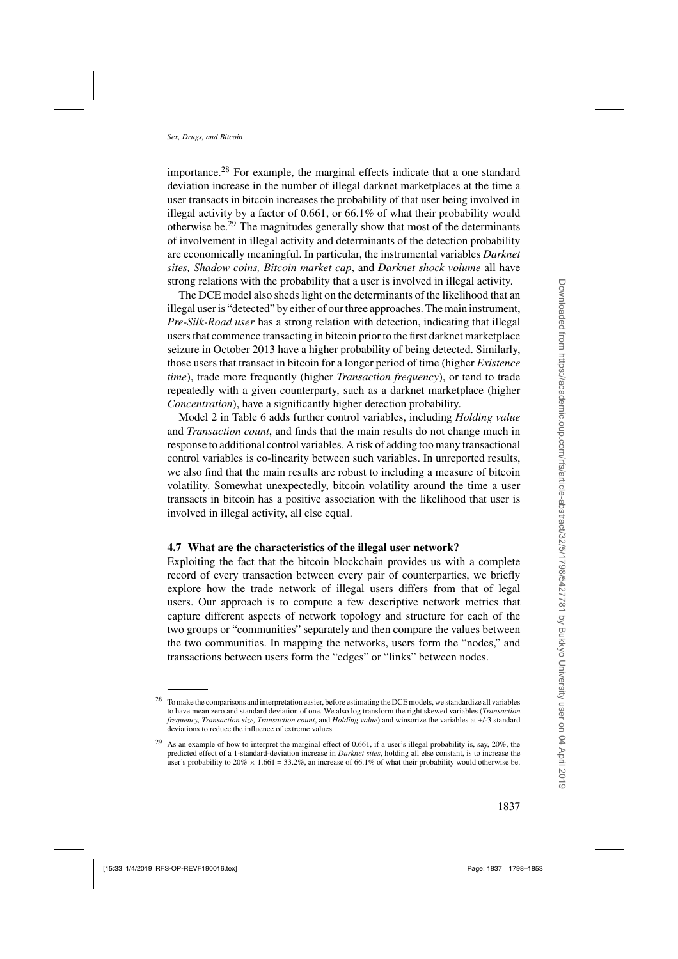importance.<sup>28</sup> For example, the marginal effects indicate that a one standard deviation increase in the number of illegal darknet marketplaces at the time a user transacts in bitcoin increases the probability of that user being involved in illegal activity by a factor of 0.661, or 66.1% of what their probability would otherwise be.<sup>29</sup> The magnitudes generally show that most of the determinants of involvement in illegal activity and determinants of the detection probability are economically meaningful. In particular, the instrumental variables *Darknet sites, Shadow coins, Bitcoin market cap*, and *Darknet shock volume* all have strong relations with the probability that a user is involved in illegal activity.

The DCE model also sheds light on the determinants of the likelihood that an illegal user is "detected" by either of our three approaches. The main instrument, *Pre-Silk-Road user* has a strong relation with detection, indicating that illegal users that commence transacting in bitcoin prior to the first darknet marketplace seizure in October 2013 have a higher probability of being detected. Similarly, those users that transact in bitcoin for a longer period of time (higher *Existence time*), trade more frequently (higher *Transaction frequency*), or tend to trade repeatedly with a given counterparty, such as a darknet marketplace (higher *Concentration*), have a significantly higher detection probability.

Model 2 in Table [6](#page-38-0) adds further control variables, including *Holding value* and *Transaction count*, and finds that the main results do not change much in response to additional control variables. A risk of adding too many transactional control variables is co-linearity between such variables. In unreported results, we also find that the main results are robust to including a measure of bitcoin volatility. Somewhat unexpectedly, bitcoin volatility around the time a user transacts in bitcoin has a positive association with the likelihood that user is involved in illegal activity, all else equal.

### **4.7 What are the characteristics of the illegal user network?**

Exploiting the fact that the bitcoin blockchain provides us with a complete record of every transaction between every pair of counterparties, we briefly explore how the trade network of illegal users differs from that of legal users. Our approach is to compute a few descriptive network metrics that capture different aspects of network topology and structure for each of the two groups or "communities" separately and then compare the values between the two communities. In mapping the networks, users form the "nodes," and transactions between users form the "edges" or "links" between nodes.

<sup>&</sup>lt;sup>28</sup> To make the comparisons and interpretation easier, before estimating the DCE models, we standardize all variables to have mean zero and standard deviation of one. We also log transform the right skewed variables (*Transaction frequency, Transaction size, Transaction count*, and *Holding value*) and winsorize the variables at +/-3 standard deviations to reduce the influence of extreme values.

<sup>&</sup>lt;sup>29</sup> As an example of how to interpret the marginal effect of 0.661, if a user's illegal probability is, say, 20%, the predicted effect of a 1-standard-deviation increase in *Darknet sites*, holding all else constant, is to increase the user's probability to  $20\% \times 1.661 = 33.2\%$ , an increase of 66.1% of what their probability would otherwise be.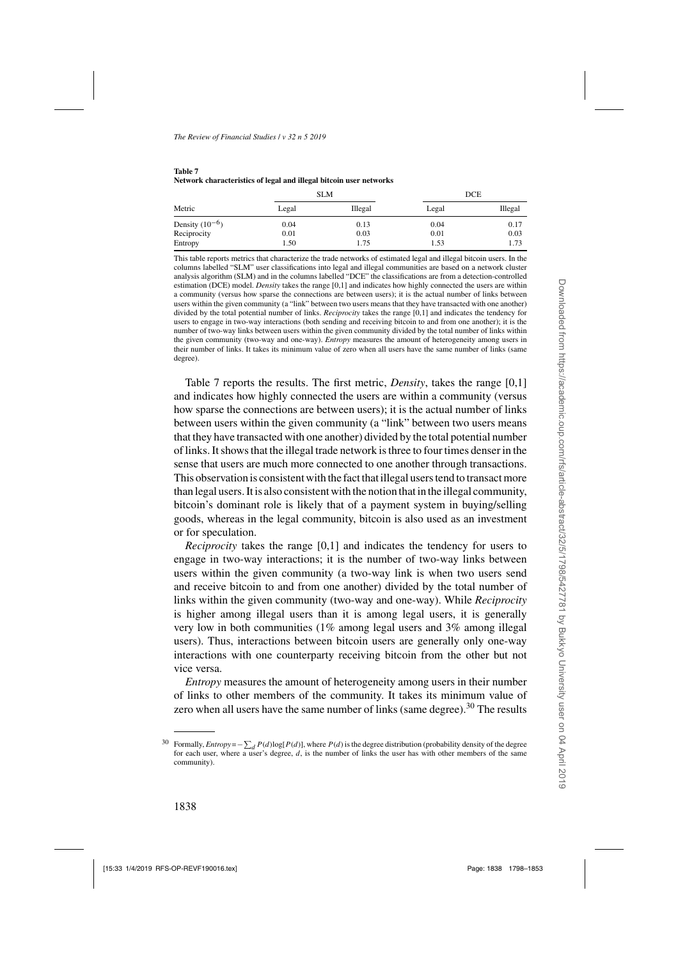| Metric              | .<br>. . | <b>SLM</b> | <b>DCE</b> |         |  |
|---------------------|----------|------------|------------|---------|--|
|                     | Legal    | Illegal    | Legal      | Illegal |  |
| Density $(10^{-6})$ | 0.04     | 0.13       | 0.04       | 0.17    |  |
| Reciprocity         | 0.01     | 0.03       | 0.01       | 0.03    |  |
| Entropy             | 1.50     | 1.75       | 1.53       | 1.73    |  |

**Table 7 Network characteristics of legal and illegal bitcoin user networks**

This table reports metrics that characterize the trade networks of estimated legal and illegal bitcoin users. In the columns labelled "SLM" user classifications into legal and illegal communities are based on a network cluster analysis algorithm (SLM) and in the columns labelled "DCE" the classifications are from a detection-controlled estimation (DCE) model. *Density* takes the range [0,1] and indicates how highly connected the users are within a community (versus how sparse the connections are between users); it is the actual number of links between users within the given community (a "link" between two users means that they have transacted with one another) divided by the total potential number of links. *Reciprocity* takes the range [0,1] and indicates the tendency for users to engage in two-way interactions (both sending and receiving bitcoin to and from one another); it is the number of two-way links between users within the given community divided by the total number of links within the given community (two-way and one-way). *Entropy* measures the amount of heterogeneity among users in their number of links. It takes its minimum value of zero when all users have the same number of links (same degree).

Table 7 reports the results. The first metric, *Density*, takes the range [0,1] and indicates how highly connected the users are within a community (versus how sparse the connections are between users); it is the actual number of links between users within the given community (a "link" between two users means that they have transacted with one another) divided by the total potential number of links. It shows that the illegal trade network is three to four times denser in the sense that users are much more connected to one another through transactions. This observation is consistent with the fact that illegal users tend to transact more than legal users. It is also consistent with the notion that in the illegal community, bitcoin's dominant role is likely that of a payment system in buying/selling goods, whereas in the legal community, bitcoin is also used as an investment or for speculation.

*Reciprocity* takes the range [0,1] and indicates the tendency for users to engage in two-way interactions; it is the number of two-way links between users within the given community (a two-way link is when two users send and receive bitcoin to and from one another) divided by the total number of links within the given community (two-way and one-way). While *Reciprocity* is higher among illegal users than it is among legal users, it is generally very low in both communities (1% among legal users and 3% among illegal users). Thus, interactions between bitcoin users are generally only one-way interactions with one counterparty receiving bitcoin from the other but not vice versa.

*Entropy* measures the amount of heterogeneity among users in their number of links to other members of the community. It takes its minimum value of zero when all users have the same number of links (same degree).<sup>30</sup> The results

<sup>&</sup>lt;sup>30</sup> Formally, *Entropy* =  $-\sum_{d} P(d) \log [P(d)]$ , where  $P(d)$  is the degree distribution (probability density of the degree for each user, where a user's degree, d, is the number of links the user has with other members of the same community).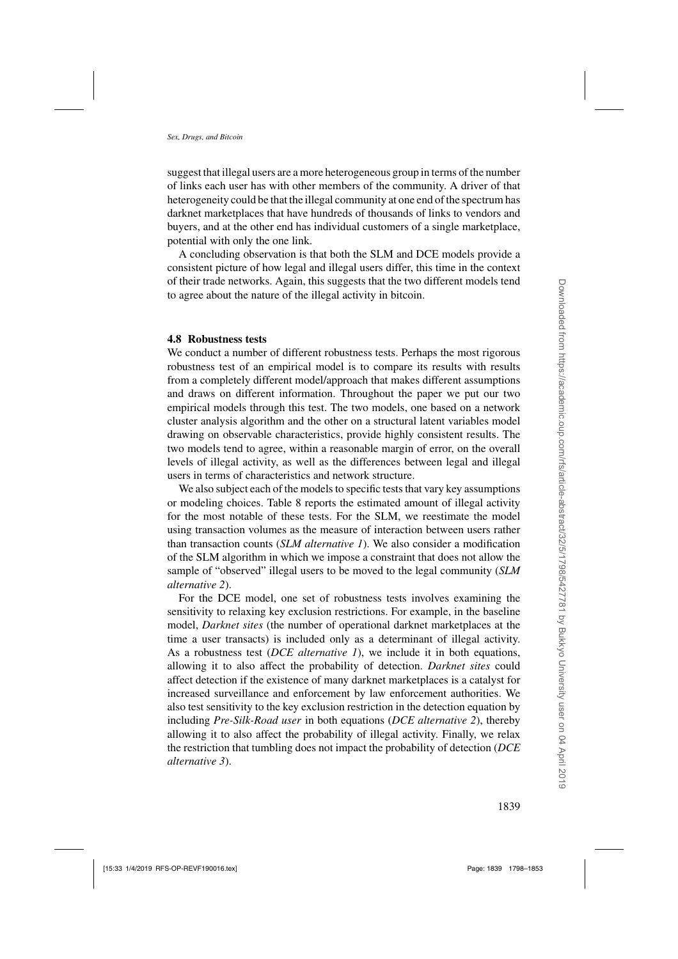suggest that illegal users are a more heterogeneous group in terms of the number of links each user has with other members of the community. A driver of that heterogeneity could be that the illegal community at one end of the spectrum has darknet marketplaces that have hundreds of thousands of links to vendors and buyers, and at the other end has individual customers of a single marketplace, potential with only the one link.

A concluding observation is that both the SLM and DCE models provide a consistent picture of how legal and illegal users differ, this time in the context of their trade networks. Again, this suggests that the two different models tend to agree about the nature of the illegal activity in bitcoin.

### **4.8 Robustness tests**

We conduct a number of different robustness tests. Perhaps the most rigorous robustness test of an empirical model is to compare its results with results from a completely different model/approach that makes different assumptions and draws on different information. Throughout the paper we put our two empirical models through this test. The two models, one based on a network cluster analysis algorithm and the other on a structural latent variables model drawing on observable characteristics, provide highly consistent results. The two models tend to agree, within a reasonable margin of error, on the overall levels of illegal activity, as well as the differences between legal and illegal users in terms of characteristics and network structure.

We also subject each of the models to specific tests that vary key assumptions or modeling choices. Table [8](#page-42-0) reports the estimated amount of illegal activity for the most notable of these tests. For the SLM, we reestimate the model using transaction volumes as the measure of interaction between users rather than transaction counts (*SLM alternative 1*). We also consider a modification of the SLM algorithm in which we impose a constraint that does not allow the sample of "observed" illegal users to be moved to the legal community (*SLM alternative 2*).

For the DCE model, one set of robustness tests involves examining the sensitivity to relaxing key exclusion restrictions. For example, in the baseline model, *Darknet sites* (the number of operational darknet marketplaces at the time a user transacts) is included only as a determinant of illegal activity. As a robustness test (*DCE alternative 1*), we include it in both equations, allowing it to also affect the probability of detection. *Darknet sites* could affect detection if the existence of many darknet marketplaces is a catalyst for increased surveillance and enforcement by law enforcement authorities. We also test sensitivity to the key exclusion restriction in the detection equation by including *Pre-Silk-Road user* in both equations (*DCE alternative 2*), thereby allowing it to also affect the probability of illegal activity. Finally, we relax the restriction that tumbling does not impact the probability of detection (*DCE alternative 3*).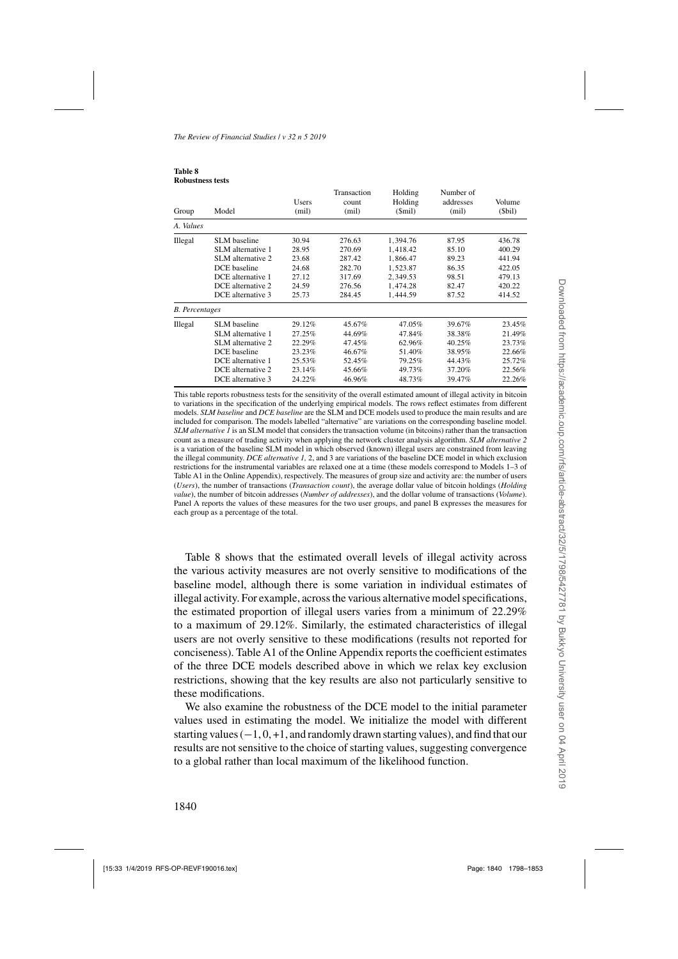<span id="page-42-0"></span>**Table 8 Robustness tests**

| Group                 | Model             | <b>Users</b><br>(mil) | Transaction<br>count<br>(mil) | Holding<br>Holding<br>(Smil) | Number of<br>addresses<br>(mil) | Volume<br>(Sbil) |
|-----------------------|-------------------|-----------------------|-------------------------------|------------------------------|---------------------------------|------------------|
| A. Values             |                   |                       |                               |                              |                                 |                  |
| Illegal               | SLM baseline      | 30.94                 | 276.63                        | 1,394.76                     | 87.95                           | 436.78           |
|                       | SLM alternative 1 | 28.95                 | 270.69                        | 1,418.42                     | 85.10                           | 400.29           |
|                       | SLM alternative 2 | 23.68                 | 287.42                        | 1,866.47                     | 89.23                           | 441.94           |
|                       | DCE baseline      | 24.68                 | 282.70                        | 1.523.87                     | 86.35                           | 422.05           |
|                       | DCE alternative 1 | 27.12                 | 317.69                        | 2,349.53                     | 98.51                           | 479.13           |
|                       | DCE alternative 2 | 24.59                 | 276.56                        | 1,474.28                     | 82.47                           | 420.22           |
|                       | DCE alternative 3 | 25.73                 | 284.45                        | 1,444.59                     | 87.52                           | 414.52           |
| <b>B.</b> Percentages |                   |                       |                               |                              |                                 |                  |
| Illegal               | SLM baseline      | 29.12%                | 45.67%                        | 47.05%                       | 39.67%                          | 23.45%           |
|                       | SLM alternative 1 | 27.25%                | 44.69%                        | 47.84%                       | 38.38%                          | 21.49%           |
|                       | SLM alternative 2 | 22.29%                | 47.45%                        | 62.96%                       | 40.25%                          | 23.73%           |
|                       | DCE baseline      | 23.23%                | 46.67%                        | 51.40%                       | 38.95%                          | 22.66%           |
|                       | DCE alternative 1 | 25.53%                | 52.45%                        | 79.25%                       | 44.43%                          | 25.72%           |
|                       | DCE alternative 2 | 23.14%                | 45.66%                        | 49.73%                       | 37.20%                          | 22.56%           |
|                       | DCE alternative 3 | 24.22%                | 46.96%                        | 48.73%                       | 39.47%                          | 22.26%           |

This table reports robustness tests for the sensitivity of the overall estimated amount of illegal activity in bitcoin to variations in the specification of the underlying empirical models. The rows reflect estimates from different models. *SLM baseline* and *DCE baseline* are the SLM and DCE models used to produce the main results and are included for comparison. The models labelled "alternative" are variations on the corresponding baseline model. *SLM alternative 1* is an SLM model that considers the transaction volume (in bitcoins) rather than the transaction count as a measure of trading activity when applying the network cluster analysis algorithm. *SLM alternative 2* is a variation of the baseline SLM model in which observed (known) illegal users are constrained from leaving the illegal community. *DCE alternative 1,* 2, and 3 are variations of the baseline DCE model in which exclusion restrictions for the instrumental variables are relaxed one at a time (these models correspond to Models 1–3 of Table A1 in the Online Appendix), respectively. The measures of group size and activity are: the number of users (*Users*), the number of transactions (*Transaction count*), the average dollar value of bitcoin holdings (*Holding value*), the number of bitcoin addresses (*Number of addresses*), and the dollar volume of transactions (*Volume*). Panel A reports the values of these measures for the two user groups, and panel B expresses the measures for each group as a percentage of the total.

Table 8 shows that the estimated overall levels of illegal activity across the various activity measures are not overly sensitive to modifications of the baseline model, although there is some variation in individual estimates of illegal activity. For example, across the various alternative model specifications, the estimated proportion of illegal users varies from a minimum of 22.29% to a maximum of 29.12%. Similarly, the estimated characteristics of illegal users are not overly sensitive to these modifications (results not reported for conciseness). Table [A1](#page-14-0) of the Online Appendix reports the coefficient estimates of the three DCE models described above in which we relax key exclusion restrictions, showing that the key results are also not particularly sensitive to these modifications.

We also examine the robustness of the DCE model to the initial parameter values used in estimating the model. We initialize the model with different starting values  $(-1, 0, +1,$  and randomly drawn starting values), and find that our results are not sensitive to the choice of starting values, suggesting convergence to a global rather than local maximum of the likelihood function.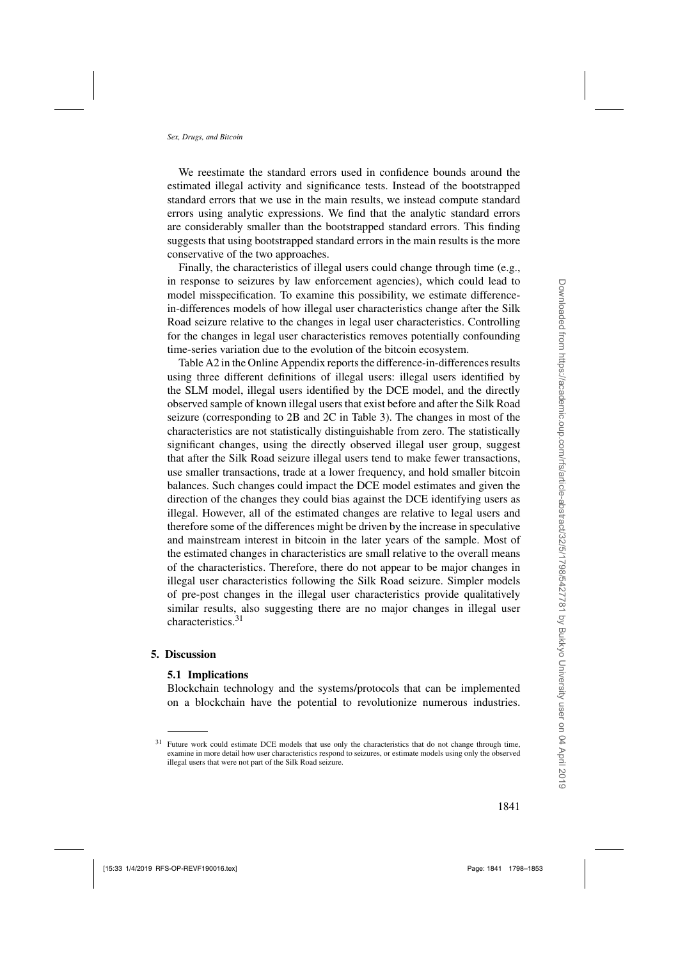We reestimate the standard errors used in confidence bounds around the estimated illegal activity and significance tests. Instead of the bootstrapped standard errors that we use in the main results, we instead compute standard errors using analytic expressions. We find that the analytic standard errors are considerably smaller than the bootstrapped standard errors. This finding suggests that using bootstrapped standard errors in the main results is the more conservative of the two approaches.

Finally, the characteristics of illegal users could change through time (e.g., in response to seizures by law enforcement agencies), which could lead to model misspecification. To examine this possibility, we estimate differencein-differences models of how illegal user characteristics change after the Silk Road seizure relative to the changes in legal user characteristics. Controlling for the changes in legal user characteristics removes potentially confounding time-series variation due to the evolution of the bitcoin ecosystem.

Table [A2](#page-16-0) in the Online Appendix reports the difference-in-differences results using three different definitions of illegal users: illegal users identified by the SLM model, illegal users identified by the DCE model, and the directly observed sample of known illegal users that exist before and after the Silk Road seizure (corresponding to 2B and 2C in Table [3\)](#page-18-0). The changes in most of the characteristics are not statistically distinguishable from zero. The statistically significant changes, using the directly observed illegal user group, suggest that after the Silk Road seizure illegal users tend to make fewer transactions, use smaller transactions, trade at a lower frequency, and hold smaller bitcoin balances. Such changes could impact the DCE model estimates and given the direction of the changes they could bias against the DCE identifying users as illegal. However, all of the estimated changes are relative to legal users and therefore some of the differences might be driven by the increase in speculative and mainstream interest in bitcoin in the later years of the sample. Most of the estimated changes in characteristics are small relative to the overall means of the characteristics. Therefore, there do not appear to be major changes in illegal user characteristics following the Silk Road seizure. Simpler models of pre-post changes in the illegal user characteristics provide qualitatively similar results, also suggesting there are no major changes in illegal user characteristics.<sup>31</sup>

### **5. Discussion**

### **5.1 Implications**

Blockchain technology and the systems/protocols that can be implemented on a blockchain have the potential to revolutionize numerous industries.

<sup>&</sup>lt;sup>31</sup> Future work could estimate DCE models that use only the characteristics that do not change through time, examine in more detail how user characteristics respond to seizures, or estimate models using only the observed illegal users that were not part of the Silk Road seizure.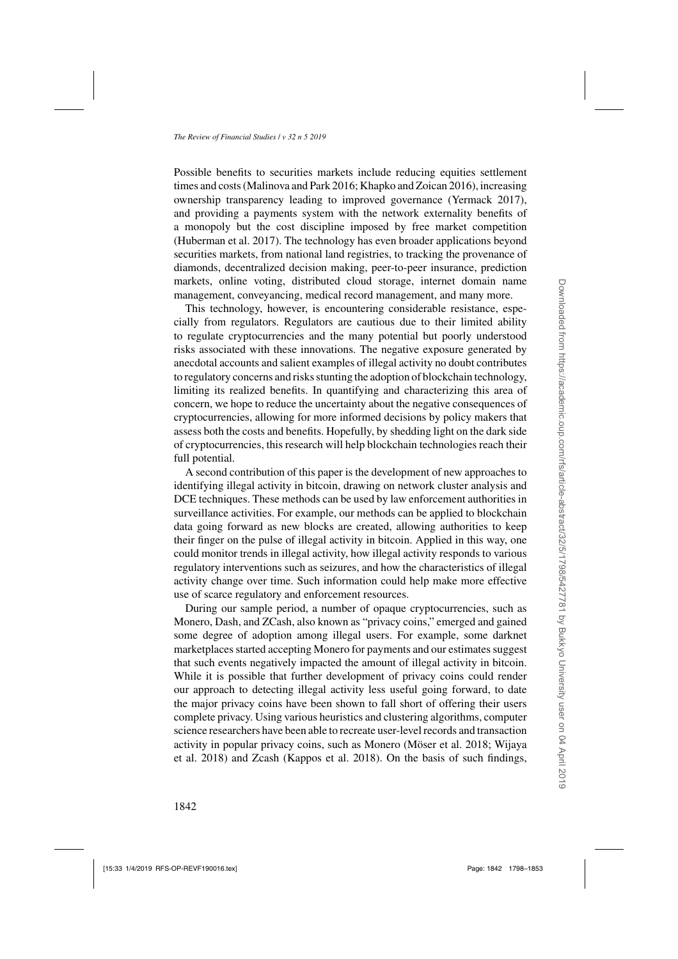Possible benefits to securities markets include reducing equities settlement times and costs [\(Malinova and Park 2016](#page-54-0); [Khapko and Zoican 2016\)](#page-54-0), increasing ownership transparency leading to improved governance [\(Yermack 2017](#page-55-0)), and providing a payments system with the network externality benefits of a monopoly but the cost discipline imposed by free market competition [\(Huberman et al. 2017](#page-54-0)). The technology has even broader applications beyond securities markets, from national land registries, to tracking the provenance of diamonds, decentralized decision making, peer-to-peer insurance, prediction markets, online voting, distributed cloud storage, internet domain name management, conveyancing, medical record management, and many more.

This technology, however, is encountering considerable resistance, especially from regulators. Regulators are cautious due to their limited ability to regulate cryptocurrencies and the many potential but poorly understood risks associated with these innovations. The negative exposure generated by anecdotal accounts and salient examples of illegal activity no doubt contributes to regulatory concerns and risks stunting the adoption of blockchain technology, limiting its realized benefits. In quantifying and characterizing this area of concern, we hope to reduce the uncertainty about the negative consequences of cryptocurrencies, allowing for more informed decisions by policy makers that assess both the costs and benefits. Hopefully, by shedding light on the dark side of cryptocurrencies, this research will help blockchain technologies reach their full potential.

A second contribution of this paper is the development of new approaches to identifying illegal activity in bitcoin, drawing on network cluster analysis and DCE techniques. These methods can be used by law enforcement authorities in surveillance activities. For example, our methods can be applied to blockchain data going forward as new blocks are created, allowing authorities to keep their finger on the pulse of illegal activity in bitcoin. Applied in this way, one could monitor trends in illegal activity, how illegal activity responds to various regulatory interventions such as seizures, and how the characteristics of illegal activity change over time. Such information could help make more effective use of scarce regulatory and enforcement resources.

During our sample period, a number of opaque cryptocurrencies, such as Monero, Dash, and ZCash, also known as "privacy coins," emerged and gained some degree of adoption among illegal users. For example, some darknet marketplaces started accepting Monero for payments and our estimates suggest that such events negatively impacted the amount of illegal activity in bitcoin. While it is possible that further development of privacy coins could render our approach to detecting illegal activity less useful going forward, to date the major privacy coins have been shown to fall short of offering their users complete privacy. Using various heuristics and clustering algorithms, computer science researchers have been able to recreate user-level records and transaction activ[ity](#page-55-0) [in](#page-55-0) [popular](#page-55-0) [privacy](#page-55-0) [coins,](#page-55-0) [such](#page-55-0) [as](#page-55-0) [Monero](#page-55-0) [\(Möser et al. 2018](#page-54-0)[;](#page-55-0) Wijaya et al. [2018](#page-55-0)) and Zcash [\(Kappos et al. 2018\)](#page-54-0). On the basis of such findings,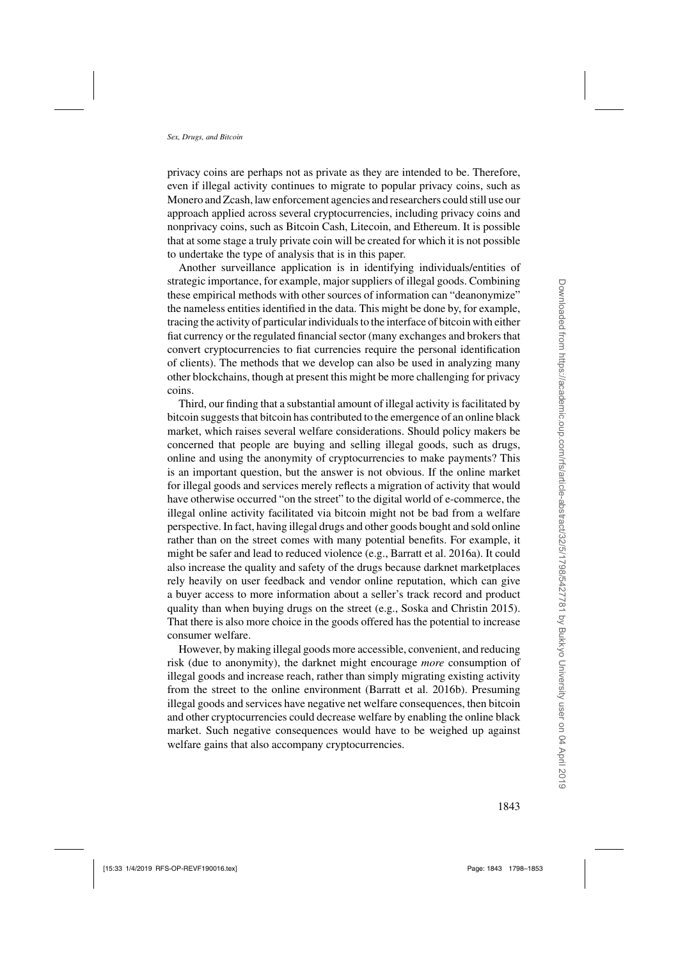privacy coins are perhaps not as private as they are intended to be. Therefore, even if illegal activity continues to migrate to popular privacy coins, such as Monero and Zcash, law enforcement agencies and researchers could still use our approach applied across several cryptocurrencies, including privacy coins and nonprivacy coins, such as Bitcoin Cash, Litecoin, and Ethereum. It is possible that at some stage a truly private coin will be created for which it is not possible to undertake the type of analysis that is in this paper.

Another surveillance application is in identifying individuals/entities of strategic importance, for example, major suppliers of illegal goods. Combining these empirical methods with other sources of information can "deanonymize" the nameless entities identified in the data. This might be done by, for example, tracing the activity of particular individuals to the interface of bitcoin with either fiat currency or the regulated financial sector (many exchanges and brokers that convert cryptocurrencies to fiat currencies require the personal identification of clients). The methods that we develop can also be used in analyzing many other blockchains, though at present this might be more challenging for privacy coins.

Third, our finding that a substantial amount of illegal activity is facilitated by bitcoin suggests that bitcoin has contributed to the emergence of an online black market, which raises several welfare considerations. Should policy makers be concerned that people are buying and selling illegal goods, such as drugs, online and using the anonymity of cryptocurrencies to make payments? This is an important question, but the answer is not obvious. If the online market for illegal goods and services merely reflects a migration of activity that would have otherwise occurred "on the street" to the digital world of e-commerce, the illegal online activity facilitated via bitcoin might not be bad from a welfare perspective. In fact, having illegal drugs and other goods bought and sold online rather than on the street comes with many potential benefits. For example, it might be safer and lead to reduced violence (e.g., [Barratt et al. 2016a](#page-53-0)). It could also increase the quality and safety of the drugs because darknet marketplaces rely heavily on user feedback and vendor online reputation, which can give a buyer access to more information about a seller's track record and product quality than when buying drugs on the street (e.g., [Soska and Christin 2015\)](#page-54-0). That there is also more choice in the goods offered has the potential to increase consumer welfare.

However, by making illegal goods more accessible, convenient, and reducing risk (due to anonymity), the darknet might encourage *more* consumption of illegal goods and increase reach, rather than simply migrating existing activity from the street to the online environment [\(Barratt et al. 2016b](#page-53-0)). Presuming illegal goods and services have negative net welfare consequences, then bitcoin and other cryptocurrencies could decrease welfare by enabling the online black market. Such negative consequences would have to be weighed up against welfare gains that also accompany cryptocurrencies.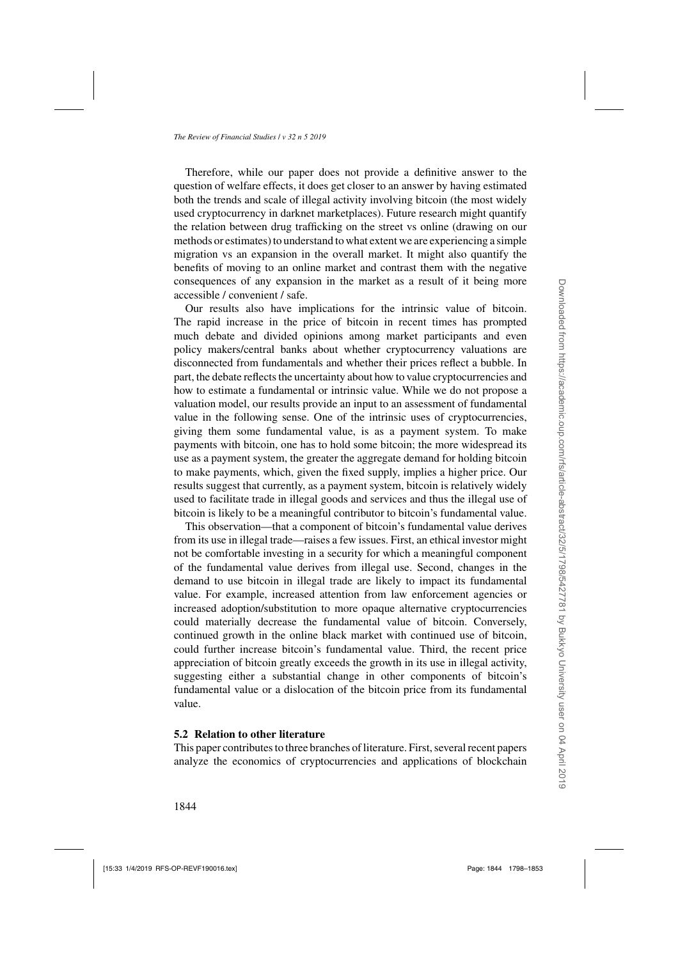Therefore, while our paper does not provide a definitive answer to the question of welfare effects, it does get closer to an answer by having estimated both the trends and scale of illegal activity involving bitcoin (the most widely used cryptocurrency in darknet marketplaces). Future research might quantify the relation between drug trafficking on the street vs online (drawing on our methods or estimates) to understand to what extent we are experiencing a simple migration vs an expansion in the overall market. It might also quantify the benefits of moving to an online market and contrast them with the negative consequences of any expansion in the market as a result of it being more accessible / convenient / safe.

Our results also have implications for the intrinsic value of bitcoin. The rapid increase in the price of bitcoin in recent times has prompted much debate and divided opinions among market participants and even policy makers/central banks about whether cryptocurrency valuations are disconnected from fundamentals and whether their prices reflect a bubble. In part, the debate reflects the uncertainty about how to value cryptocurrencies and how to estimate a fundamental or intrinsic value. While we do not propose a valuation model, our results provide an input to an assessment of fundamental value in the following sense. One of the intrinsic uses of cryptocurrencies, giving them some fundamental value, is as a payment system. To make payments with bitcoin, one has to hold some bitcoin; the more widespread its use as a payment system, the greater the aggregate demand for holding bitcoin to make payments, which, given the fixed supply, implies a higher price. Our results suggest that currently, as a payment system, bitcoin is relatively widely used to facilitate trade in illegal goods and services and thus the illegal use of bitcoin is likely to be a meaningful contributor to bitcoin's fundamental value.

This observation—that a component of bitcoin's fundamental value derives from its use in illegal trade—raises a few issues. First, an ethical investor might not be comfortable investing in a security for which a meaningful component of the fundamental value derives from illegal use. Second, changes in the demand to use bitcoin in illegal trade are likely to impact its fundamental value. For example, increased attention from law enforcement agencies or increased adoption/substitution to more opaque alternative cryptocurrencies could materially decrease the fundamental value of bitcoin. Conversely, continued growth in the online black market with continued use of bitcoin, could further increase bitcoin's fundamental value. Third, the recent price appreciation of bitcoin greatly exceeds the growth in its use in illegal activity, suggesting either a substantial change in other components of bitcoin's fundamental value or a dislocation of the bitcoin price from its fundamental value.

### **5.2 Relation to other literature**

This paper contributes to three branches of literature. First, several recent papers analyze the economics of cryptocurrencies and applications of blockchain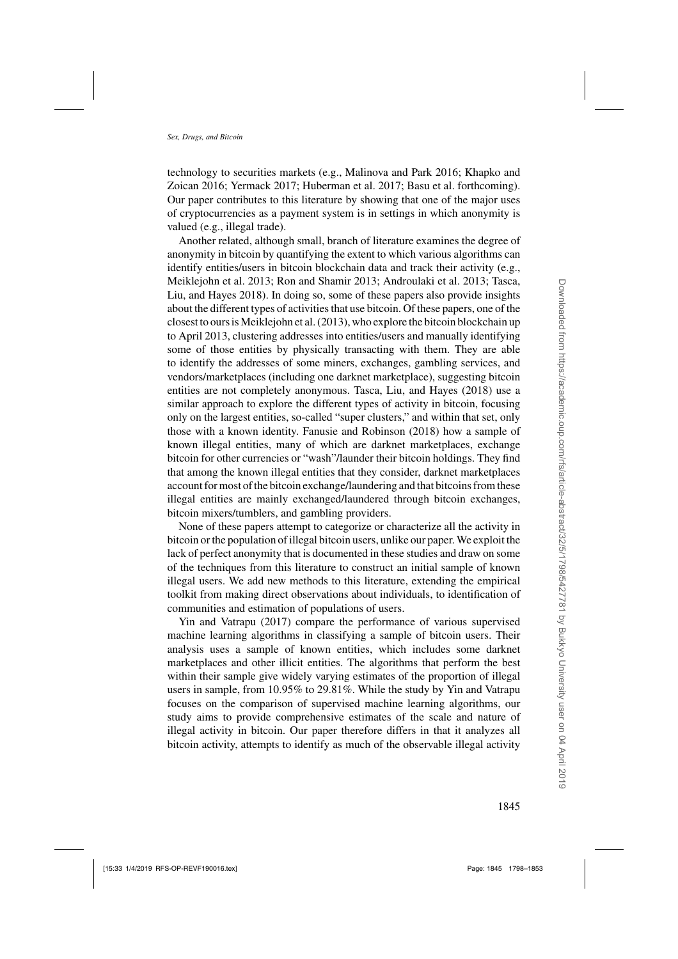techno[logy](#page-54-0) [to](#page-54-0) [securities](#page-54-0) [markets](#page-54-0) [\(e.g., Malinova and Park 2016;](#page-54-0) Khapko and Zoican [2016;](#page-54-0) [Yermack 2017;](#page-55-0) [Huberman et al. 2017;](#page-54-0) [Basu et al. forthcoming\)](#page-53-0). Our paper contributes to this literature by showing that one of the major uses of cryptocurrencies as a payment system is in settings in which anonymity is valued (e.g., illegal trade).

Another related, although small, branch of literature examines the degree of anonymity in bitcoin by quantifying the extent to which various algorithms can identify entities/users in bitcoin blockchain data and track their activity (e.g., [Meiklejohn et al. 2013](#page-54-0)[;](#page-55-0) [Ron and Shamir 2013](#page-54-0)[;](#page-55-0) [Androulaki et al. 2013](#page-53-0)[;](#page-55-0) Tasca, Liu, and Hayes [2018\)](#page-55-0). In doing so, some of these papers also provide insights about the different types of activities that use bitcoin. Of these papers, one of the closest to ours is[Meiklejohn et al.](#page-54-0) [\(2013\)](#page-54-0), who explore the bitcoin blockchain up to April 2013, clustering addresses into entities/users and manually identifying some of those entities by physically transacting with them. They are able to identify the addresses of some miners, exchanges, gambling services, and vendors/marketplaces (including one darknet marketplace), suggesting bitcoin entities are not completely anonymous. [Tasca, Liu, and Hayes](#page-55-0) [\(2018](#page-55-0)) use a similar approach to explore the different types of activity in bitcoin, focusing only on the largest entities, so-called "super clusters," and within that set, only those with a known identity. [Fanusie and Robinson](#page-53-0) [\(2018](#page-53-0)) how a sample of known illegal entities, many of which are darknet marketplaces, exchange bitcoin for other currencies or "wash"/launder their bitcoin holdings. They find that among the known illegal entities that they consider, darknet marketplaces account for most of the bitcoin exchange/laundering and that bitcoins from these illegal entities are mainly exchanged/laundered through bitcoin exchanges, bitcoin mixers/tumblers, and gambling providers.

None of these papers attempt to categorize or characterize all the activity in bitcoin or the population of illegal bitcoin users, unlike our paper. We exploit the lack of perfect anonymity that is documented in these studies and draw on some of the techniques from this literature to construct an initial sample of known illegal users. We add new methods to this literature, extending the empirical toolkit from making direct observations about individuals, to identification of [communities](#page-55-0) [and](#page-55-0) [es](#page-55-0)timation of populations of users.

Yin and Vatrapu [\(2017\)](#page-55-0) compare the performance of various supervised machine learning algorithms in classifying a sample of bitcoin users. Their analysis uses a sample of known entities, which includes some darknet marketplaces and other illicit entities. The algorithms that perform the best within their sample give widely varying estimates of the proportion of illegal users in sample, from 10.95% to 29.81%. While the study by Yin and Vatrapu focuses on the comparison of supervised machine learning algorithms, our study aims to provide comprehensive estimates of the scale and nature of illegal activity in bitcoin. Our paper therefore differs in that it analyzes all bitcoin activity, attempts to identify as much of the observable illegal activity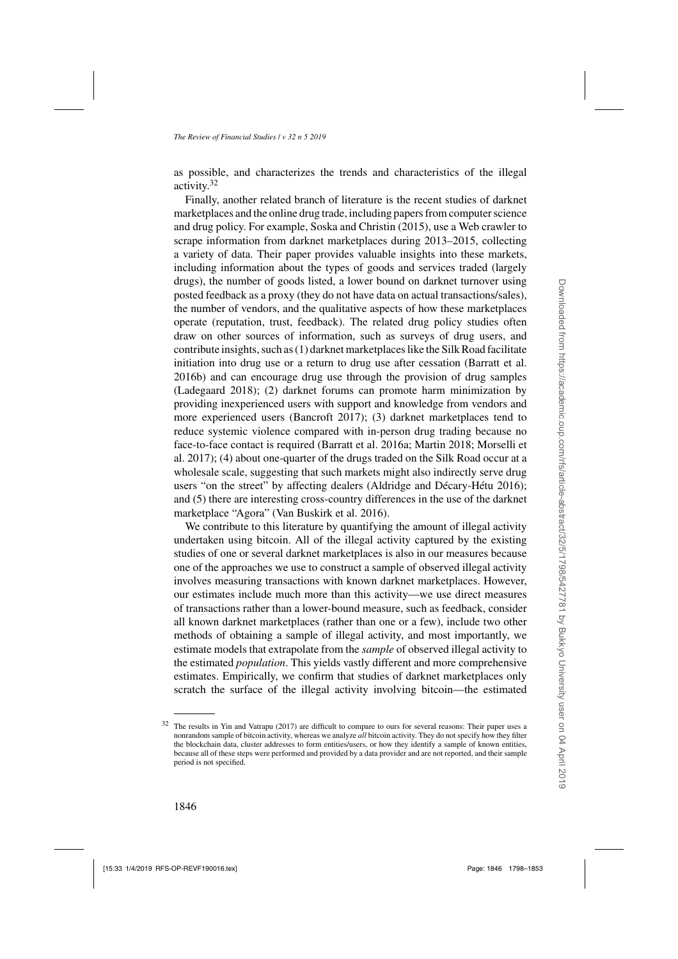as possible, and characterizes the trends and characteristics of the illegal activity.<sup>32</sup>

Finally, another related branch of literature is the recent studies of darknet marketplaces and the online drug trade, including papers from computer science and drug policy. For example, [Soska and Christin](#page-54-0) [\(2015](#page-54-0)), use a Web crawler to scrape information from darknet marketplaces during 2013–2015, collecting a variety of data. Their paper provides valuable insights into these markets, including information about the types of goods and services traded (largely drugs), the number of goods listed, a lower bound on darknet turnover using posted feedback as a proxy (they do not have data on actual transactions/sales), the number of vendors, and the qualitative aspects of how these marketplaces operate (reputation, trust, feedback). The related drug policy studies often draw on other sources of information, such as surveys of drug users, and contribute insights, such as (1) darknet marketplaces like the Silk Road facilitate initiation into drug use or a return to drug use after cessation [\(Barratt et al.](#page-53-0) [2016b](#page-53-0)) and can encourage drug use through the provision of drug samples [\(Ladegaard 2018\)](#page-54-0); (2) darknet forums can promote harm minimization by providing inexperienced users with support and knowledge from vendors and more experienced users [\(Bancroft 2017](#page-53-0)); (3) darknet marketplaces tend to reduce systemic violence compared with in-person drug trading because no fa[ce-to-face](#page-54-0) [contact](#page-54-0) [is](#page-54-0) [required](#page-54-0) [\(Barratt et al. 2016a](#page-53-0)[; Martin 2018;](#page-54-0) Morselli et al. [2017](#page-54-0)); (4) about one-quarter of the drugs traded on the Silk Road occur at a wholesale scale, suggesting that such markets might also indirectly serve drug users "on the street" by affecting dealers [\(Aldridge and Décary-Hétu 2016](#page-53-0)); and (5) there are interesting cross-country differences in the use of the darknet marketplace "Agora" [\(Van Buskirk et al. 2016](#page-55-0)).

We contribute to this literature by quantifying the amount of illegal activity undertaken using bitcoin. All of the illegal activity captured by the existing studies of one or several darknet marketplaces is also in our measures because one of the approaches we use to construct a sample of observed illegal activity involves measuring transactions with known darknet marketplaces. However, our estimates include much more than this activity—we use direct measures of transactions rather than a lower-bound measure, such as feedback, consider all known darknet marketplaces (rather than one or a few), include two other methods of obtaining a sample of illegal activity, and most importantly, we estimate models that extrapolate from the *sample* of observed illegal activity to the estimated *population*. This yields vastly different and more comprehensive estimates. Empirically, we confirm that studies of darknet marketplaces only scratch the surface of the illegal activity involving bitcoin—the estimated

<sup>&</sup>lt;sup>32</sup> The results in [Yin and Vatrapu](#page-55-0) [\(2017](#page-55-0)) are difficult to compare to ours for several reasons: Their paper uses a nonrandom sample of bitcoin activity, whereas we analyze *all* bitcoin activity. They do not specify how they filter the blockchain data, cluster addresses to form entities/users, or how they identify a sample of known entities, because all of these steps were performed and provided by a data provider and are not reported, and their sample period is not specified.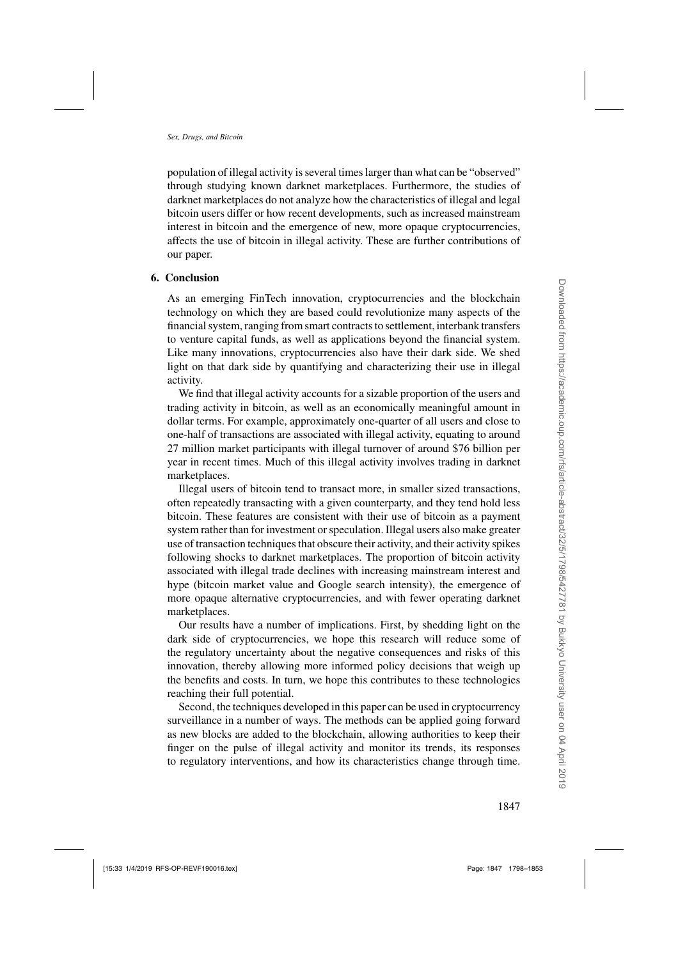population of illegal activity is several times larger than what can be "observed" through studying known darknet marketplaces. Furthermore, the studies of darknet marketplaces do not analyze how the characteristics of illegal and legal bitcoin users differ or how recent developments, such as increased mainstream interest in bitcoin and the emergence of new, more opaque cryptocurrencies, affects the use of bitcoin in illegal activity. These are further contributions of our paper.

### **6. Conclusion**

As an emerging FinTech innovation, cryptocurrencies and the blockchain technology on which they are based could revolutionize many aspects of the financial system, ranging from smart contracts to settlement, interbank transfers to venture capital funds, as well as applications beyond the financial system. Like many innovations, cryptocurrencies also have their dark side. We shed light on that dark side by quantifying and characterizing their use in illegal activity.

We find that illegal activity accounts for a sizable proportion of the users and trading activity in bitcoin, as well as an economically meaningful amount in dollar terms. For example, approximately one-quarter of all users and close to one-half of transactions are associated with illegal activity, equating to around 27 million market participants with illegal turnover of around \$76 billion per year in recent times. Much of this illegal activity involves trading in darknet marketplaces.

Illegal users of bitcoin tend to transact more, in smaller sized transactions, often repeatedly transacting with a given counterparty, and they tend hold less bitcoin. These features are consistent with their use of bitcoin as a payment system rather than for investment or speculation. Illegal users also make greater use of transaction techniques that obscure their activity, and their activity spikes following shocks to darknet marketplaces. The proportion of bitcoin activity associated with illegal trade declines with increasing mainstream interest and hype (bitcoin market value and Google search intensity), the emergence of more opaque alternative cryptocurrencies, and with fewer operating darknet marketplaces.

Our results have a number of implications. First, by shedding light on the dark side of cryptocurrencies, we hope this research will reduce some of the regulatory uncertainty about the negative consequences and risks of this innovation, thereby allowing more informed policy decisions that weigh up the benefits and costs. In turn, we hope this contributes to these technologies reaching their full potential.

Second, the techniques developed in this paper can be used in cryptocurrency surveillance in a number of ways. The methods can be applied going forward as new blocks are added to the blockchain, allowing authorities to keep their finger on the pulse of illegal activity and monitor its trends, its responses to regulatory interventions, and how its characteristics change through time.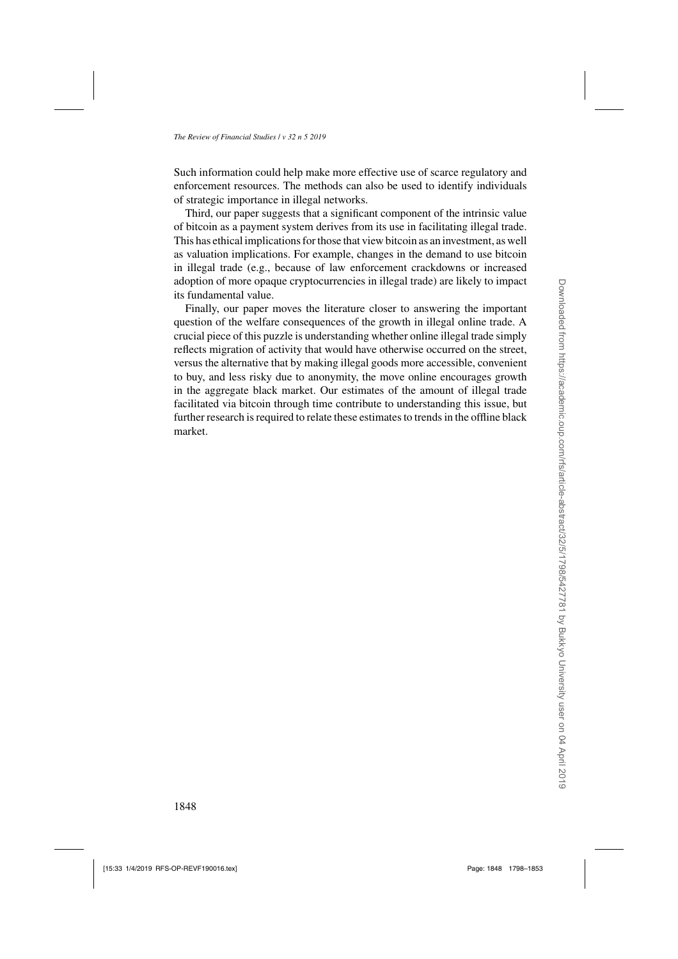Such information could help make more effective use of scarce regulatory and enforcement resources. The methods can also be used to identify individuals of strategic importance in illegal networks.

Third, our paper suggests that a significant component of the intrinsic value of bitcoin as a payment system derives from its use in facilitating illegal trade. This has ethical implications for those that view bitcoin as an investment, as well as valuation implications. For example, changes in the demand to use bitcoin in illegal trade (e.g., because of law enforcement crackdowns or increased adoption of more opaque cryptocurrencies in illegal trade) are likely to impact its fundamental value.

Finally, our paper moves the literature closer to answering the important question of the welfare consequences of the growth in illegal online trade. A crucial piece of this puzzle is understanding whether online illegal trade simply reflects migration of activity that would have otherwise occurred on the street, versus the alternative that by making illegal goods more accessible, convenient to buy, and less risky due to anonymity, the move online encourages growth in the aggregate black market. Our estimates of the amount of illegal trade facilitated via bitcoin through time contribute to understanding this issue, but further research is required to relate these estimates to trends in the offline black market.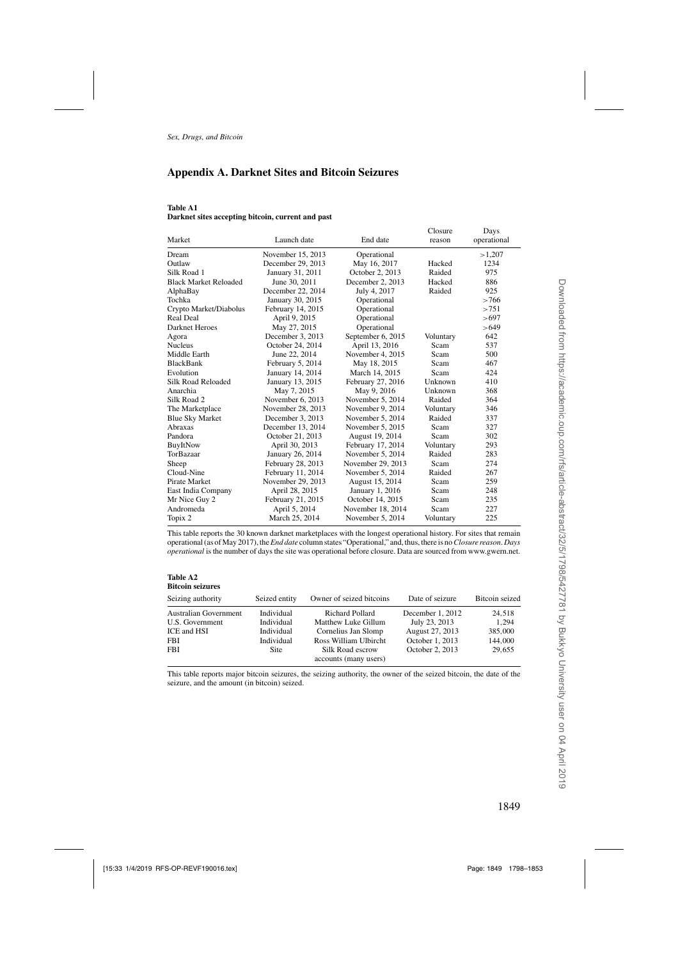## **Appendix A. Darknet Sites and Bitcoin Seizures**

| Market                       | Launch date       | End date          | Closure<br>reason | Days<br>operational |
|------------------------------|-------------------|-------------------|-------------------|---------------------|
|                              |                   |                   |                   |                     |
| Dream                        | November 15, 2013 | Operational       |                   | >1,207              |
| Outlaw                       | December 29, 2013 | May 16, 2017      | Hacked            | 1234                |
| Silk Road 1                  | January 31, 2011  | October 2, 2013   | Raided            | 975                 |
| <b>Black Market Reloaded</b> | June 30, 2011     | December 2, 2013  | Hacked            | 886                 |
| AlphaBay                     | December 22, 2014 | July 4, 2017      | Raided            | 925                 |
| Tochka                       | January 30, 2015  | Operational       |                   | >766                |
| Crypto Market/Diabolus       | February 14, 2015 | Operational       |                   | >751                |
| Real Deal                    | April 9, 2015     | Operational       |                   | >697                |
| Darknet Heroes               | May 27, 2015      | Operational       |                   | >649                |
| Agora                        | December 3, 2013  | September 6, 2015 | Voluntary         | 642                 |
| <b>Nucleus</b>               | October 24, 2014  | April 13, 2016    | Scam              | 537                 |
| Middle Earth                 | June 22, 2014     | November 4, 2015  | Scam              | 500                 |
| <b>BlackBank</b>             | February 5, 2014  | May 18, 2015      | Scam              | 467                 |
| Evolution                    | January 14, 2014  | March 14, 2015    | Scam              | 424                 |
| Silk Road Reloaded           | January 13, 2015  | February 27, 2016 | Unknown           | 410                 |
| Anarchia                     | May 7, 2015       | May 9, 2016       | Unknown           | 368                 |
| Silk Road 2                  | November 6, 2013  | November 5, 2014  | Raided            | 364                 |
| The Marketplace              | November 28, 2013 | November 9, 2014  | Voluntary         | 346                 |
| <b>Blue Sky Market</b>       | December 3, 2013  | November 5, 2014  | Raided            | 337                 |
| Abraxas                      | December 13, 2014 | November 5, 2015  | Scam              | 327                 |
| Pandora                      | October 21, 2013  | August 19, 2014   | Scam              | 302                 |
| BuyItNow                     | April 30, 2013    | February 17, 2014 | Voluntary         | 293                 |
| TorBazaar                    | January 26, 2014  | November 5, 2014  | Raided            | 283                 |
| Sheep                        | February 28, 2013 | November 29, 2013 | Scam              | 274                 |
| Cloud-Nine                   | February 11, 2014 | November 5, 2014  | Raided            | 267                 |
| Pirate Market                | November 29, 2013 | August 15, 2014   | Scam              | 259                 |
| East India Company           | April 28, 2015    | January 1, 2016   | Scam              | 248                 |
| Mr Nice Guy 2                | February 21, 2015 | October 14, 2015  | Scam              | 235                 |
| Andromeda                    | April 5, 2014     | November 18, 2014 | Scam              | 227                 |
| Topix 2                      | March 25, 2014    | November 5, 2014  | Voluntary         | 225                 |

#### **Table A1 Darknet sites accepting bitcoin, current and past**

This table reports the 30 known darknet marketplaces with the longest operational history. For sites that remain operational (as ofMay 2017), the*End date* column states "Operational," and, thus, there is no*Closure reason*.*Days operational* is the number of days the site was operational before closure. Data are sourced from www.gwern.net.

#### **Table A2 Bitcoin seizures**

| Seized entity | Owner of seized bitcoins | Date of seizure  | Bitcoin seized        |
|---------------|--------------------------|------------------|-----------------------|
| Individual    | <b>Richard Pollard</b>   | December 1, 2012 | 24,518                |
| Individual    | Matthew Luke Gillum      | July 23, 2013    | 1.294                 |
| Individual    | Cornelius Jan Slomp      | August 27, 2013  | 385,000               |
| Individual    | Ross William Ulbircht    | October 1, 2013  | 144,000               |
| <b>Site</b>   | Silk Road escrow         | October 2, 2013  | 29,655                |
|               |                          |                  | accounts (many users) |

This table reports major bitcoin seizures, the seizing authority, the owner of the seized bitcoin, the date of the seizure, and the amount (in bitcoin) seized.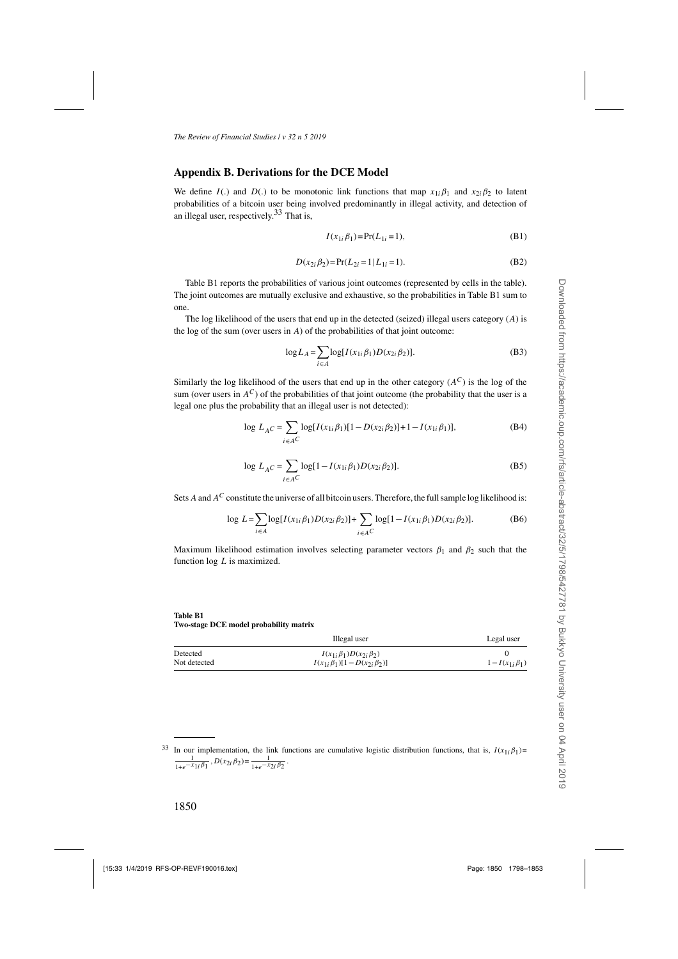### **Appendix B. Derivations for the DCE Model**

We define I(.) and D(.) to be monotonic link functions that map  $x_{1i}\beta_1$  and  $x_{2i}\beta_2$  to latent probabilities of a bitcoin user being involved predominantly in illegal activity, and detection of an illegal user, respectively.<sup>33</sup> That is,

$$
I(x_{1i}\beta_1) = Pr(L_{1i} = 1),
$$
 (B1)

$$
D(x_{2i}\beta_2) = Pr(L_{2i} = 1 | L_{1i} = 1).
$$
 (B2)

Table [B1](#page-14-0) reports the probabilities of various joint outcomes (represented by cells in the table). The joint outcomes are mutually exclusive and exhaustive, so the probabilities in Table [B1](#page-14-0) sum to one.

The log likelihood of the users that end up in the detected (seized) illegal users category  $(A)$  is the log of the sum (over users in  $A$ ) of the probabilities of that joint outcome:

$$
\log L_A = \sum_{i \in A} \log[I(x_{1i}\beta_1)D(x_{2i}\beta_2)].
$$
\n(B3)

Similarly the log likelihood of the users that end up in the other category  $(A^C)$  is the log of the sum (over users in  $A^C$ ) of the probabilities of that joint outcome (the probability that the user is a legal one plus the probability that an illegal user is not detected):

$$
\log L_{AC} = \sum_{i \in A} \log[I(x_{1i}\beta_1)[1 - D(x_{2i}\beta_2)] + 1 - I(x_{1i}\beta_1)],
$$
 (B4)

$$
\log L_{A}C = \sum_{i \in A} \log[1 - I(x_{1i}\beta_1)D(x_{2i}\beta_2)].
$$
 (B5)

Sets A and  $A^C$  constitute the universe of all bitcoin users. Therefore, the full sample log likelihood is:

$$
\log L = \sum_{i \in A} \log[I(x_{1i}\beta_1)D(x_{2i}\beta_2)] + \sum_{i \in A} \log[1 - I(x_{1i}\beta_1)D(x_{2i}\beta_2)].
$$
 (B6)

Maximum likelihood estimation involves selecting parameter vectors  $\beta_1$  and  $\beta_2$  such that the function  $log L$  is maximized.

#### **Table B1 Two-stage DCE model probability matrix**

|              | Illegal user                           | Legal user              |  |
|--------------|----------------------------------------|-------------------------|--|
| Detected     | $I(x_{1i}\beta_1)D(x_{2i}\beta_2)$     |                         |  |
| Not detected | $I(x_{1i}\beta_1)[1-D(x_{2i}\beta_2)]$ | $1 - I(x_{1i} \beta_1)$ |  |

<sup>33</sup> In our implementation, the link functions are cumulative logistic distribution functions, that is,  $I(x_{1i}\beta_1)$ =  $\frac{1}{1+e^{-x}1i\beta_1}$ ,  $D(x_{2i}\beta_2) = \frac{1}{1+e^{-x}2i\beta_2}$ .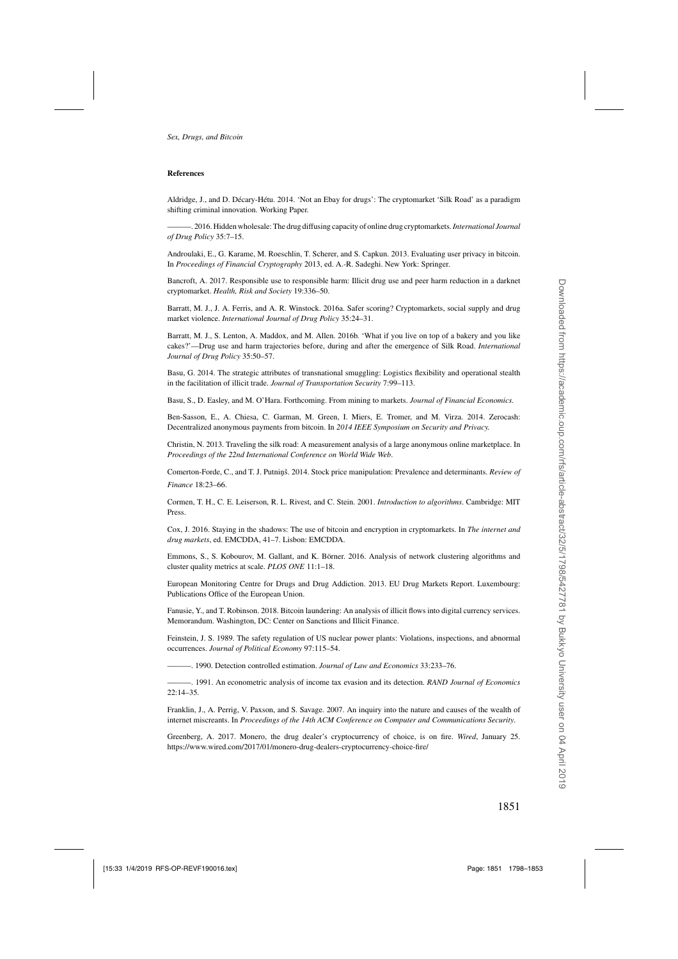#### <span id="page-53-0"></span>**References**

Aldridge, J., and D. Décary-Hétu. 2014. 'Not an Ebay for drugs': The cryptomarket 'Silk Road' as a paradigm shifting criminal innovation. Working Paper.

———. 2016. Hidden wholesale: The drug diffusing capacity of online drug cryptomarkets.*International Journal of Drug Policy* 35:7–15.

Androulaki, E., G. Karame, M. Roeschlin, T. Scherer, and S. Capkun. 2013. Evaluating user privacy in bitcoin. In *Proceedings of Financial Cryptography* 2013, ed. A.-R. Sadeghi. New York: Springer.

Bancroft, A. 2017. Responsible use to responsible harm: Illicit drug use and peer harm reduction in a darknet cryptomarket. *Health, Risk and Society* 19:336–50.

Barratt, M. J., J. A. Ferris, and A. R. Winstock. 2016a. Safer scoring? Cryptomarkets, social supply and drug market violence. *International Journal of Drug Policy* 35:24–31.

Barratt, M. J., S. Lenton, A. Maddox, and M. Allen. 2016b. 'What if you live on top of a bakery and you like cakes?'—Drug use and harm trajectories before, during and after the emergence of Silk Road. *International Journal of Drug Policy* 35:50–57.

Basu, G. 2014. The strategic attributes of transnational smuggling: Logistics flexibility and operational stealth in the facilitation of illicit trade. *Journal of Transportation Security* 7:99–113.

Basu, S., D. Easley, and M. O'Hara. Forthcoming. From mining to markets. *Journal of Financial Economics.*

Ben-Sasson, E., A. Chiesa, C. Garman, M. Green, I. Miers, E. Tromer, and M. Virza. 2014. Zerocash: Decentralized anonymous payments from bitcoin. In *2014 IEEE Symposium on Security and Privacy.*

Christin, N. 2013. Traveling the silk road: A measurement analysis of a large anonymous online marketplace. In *Proceedings of the 22nd International Conference on World Wide Web*.

Comerton-Forde, C., and T. J. Putningš. 2014. Stock price manipulation: Prevalence and determinants. *Review of*<br>Fig. 2008. 2009 *Finance* 18:23–66.

Cormen, T. H., C. E. Leiserson, R. L. Rivest, and C. Stein. 2001. *Introduction to algorithms*. Cambridge: MIT **Press**.

Cox, J. 2016. Staying in the shadows: The use of bitcoin and encryption in cryptomarkets. In *The internet and drug markets*, ed. EMCDDA, 41–7. Lisbon: EMCDDA.

Emmons, S., S. Kobourov, M. Gallant, and K. Börner. 2016. Analysis of network clustering algorithms and cluster quality metrics at scale. *PLOS ONE* 11:1–18.

European Monitoring Centre for Drugs and Drug Addiction. 2013. EU Drug Markets Report. Luxembourg: Publications Office of the European Union.

Fanusie, Y., and T. Robinson. 2018. Bitcoin laundering: An analysis of illicit flows into digital currency services. Memorandum. Washington, DC: Center on Sanctions and Illicit Finance.

Feinstein, J. S. 1989. The safety regulation of US nuclear power plants: Violations, inspections, and abnormal occurrences. *Journal of Political Economy* 97:115–54.

———. 1990. Detection controlled estimation. *Journal of Law and Economics* 33:233–76.

———. 1991. An econometric analysis of income tax evasion and its detection. *RAND Journal of Economics* 22:14–35.

Franklin, J., A. Perrig, V. Paxson, and S. Savage. 2007. An inquiry into the nature and causes of the wealth of internet miscreants. In *Proceedings of the 14th ACM Conference on Computer and Communications Security*.

Greenberg, A. 2017. Monero, the drug dealer's cryptocurrency of choice, is on fire. *Wired*, January 25. https://www.wired.com/2017/01/monero-drug-dealers-cryptocurrency-choice-fire/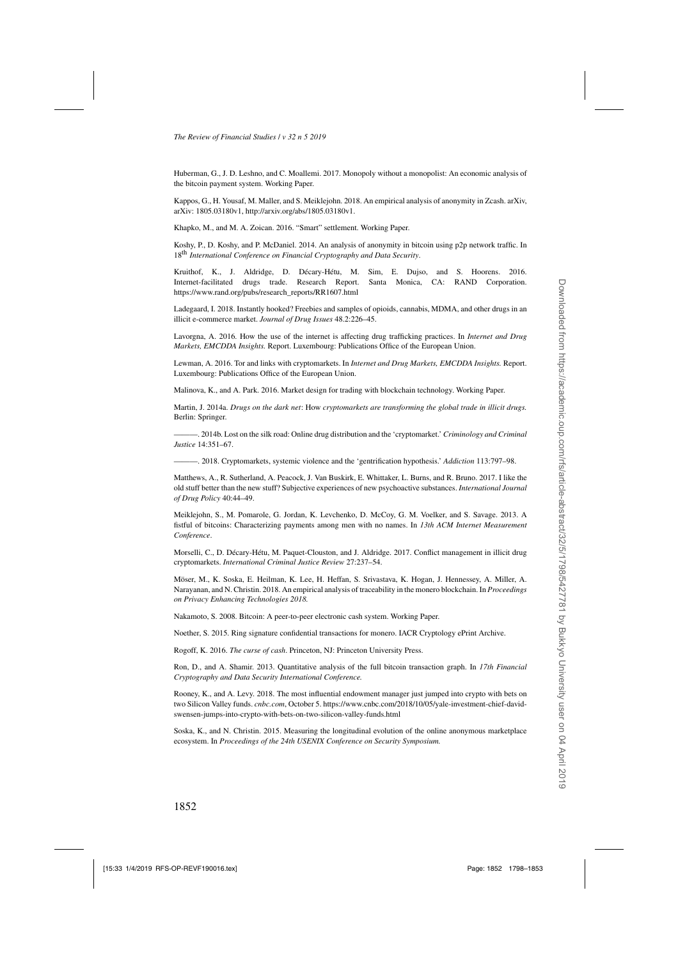<span id="page-54-0"></span>Huberman, G., J. D. Leshno, and C. Moallemi. 2017. Monopoly without a monopolist: An economic analysis of the bitcoin payment system. Working Paper.

Kappos, G., H. Yousaf, M. Maller, and S. Meiklejohn. 2018. An empirical analysis of anonymity in Zcash. arXiv, arXiv: 1805.03180v1, http://arxiv.org/abs/1805.03180v1.

Khapko, M., and M. A. Zoican. 2016. "Smart" settlement. Working Paper.

Koshy, P., D. Koshy, and P. McDaniel. 2014. An analysis of anonymity in bitcoin using p2p network traffic. In 18th *International Conference on Financial Cryptography and Data Security*.

Kruithof, K., J. Aldridge, D. Décary-Hétu, M. Sim, E. Dujso, and S. Hoorens. 2016. Internet-facilitated drugs trade. Research Report. Santa Monica, CA: RAND Corporation. https://www.rand.org/pubs/research\_reports/RR1607.html

Ladegaard, I. 2018. Instantly hooked? Freebies and samples of opioids, cannabis, MDMA, and other drugs in an illicit e-commerce market. *Journal of Drug Issues* 48.2:226–45.

Lavorgna, A. 2016. How the use of the internet is affecting drug trafficking practices. In *Internet and Drug Markets, EMCDDA Insights.* Report. Luxembourg: Publications Office of the European Union.

Lewman, A. 2016. Tor and links with cryptomarkets. In *Internet and Drug Markets, EMCDDA Insights.* Report. Luxembourg: Publications Office of the European Union.

Malinova, K., and A. Park. 2016. Market design for trading with blockchain technology. Working Paper.

Martin, J. 2014a. *Drugs on the dark net*: How *cryptomarkets are transforming the global trade in illicit drugs.* Berlin: Springer.

———. 2014b. Lost on the silk road: Online drug distribution and the 'cryptomarket.' *Criminology and Criminal Justice* 14:351–67.

———. 2018. Cryptomarkets, systemic violence and the 'gentrification hypothesis.' *Addiction* 113:797–98.

Matthews, A., R. Sutherland, A. Peacock, J. Van Buskirk, E. Whittaker, L. Burns, and R. Bruno. 2017. I like the old stuff better than the new stuff? Subjective experiences of new psychoactive substances. *International Journal of Drug Policy* 40:44–49.

Meiklejohn, S., M. Pomarole, G. Jordan, K. Levchenko, D. McCoy, G. M. Voelker, and S. Savage. 2013. A fistful of bitcoins: Characterizing payments among men with no names. In *13th ACM Internet Measurement Conference*.

Morselli, C., D. Décary-Hétu, M. Paquet-Clouston, and J. Aldridge. 2017. Conflict management in illicit drug cryptomarkets. *International Criminal Justice Review* 27:237–54.

Möser, M., K. Soska, E. Heilman, K. Lee, H. Heffan, S. Srivastava, K. Hogan, J. Hennessey, A. Miller, A. Narayanan, and N. Christin. 2018. An empirical analysis of traceability in the monero blockchain. In *Proceedings on Privacy Enhancing Technologies 2018.*

Nakamoto, S. 2008. Bitcoin: A peer-to-peer electronic cash system. Working Paper.

Noether, S. 2015. Ring signature confidential transactions for monero. IACR Cryptology ePrint Archive.

Rogoff, K. 2016. *The curse of cash*. Princeton, NJ: Princeton University Press.

Ron, D., and A. Shamir. 2013. Quantitative analysis of the full bitcoin transaction graph. In *17th Financial Cryptography and Data Security International Conference.*

Rooney, K., and A. Levy. 2018. The most influential endowment manager just jumped into crypto with bets on two Silicon Valley funds. *cnbc.com*, October 5. https://www.cnbc.com/2018/10/05/yale-investment-chief-davidswensen-jumps-into-crypto-with-bets-on-two-silicon-valley-funds.html

Soska, K., and N. Christin. 2015. Measuring the longitudinal evolution of the online anonymous marketplace ecosystem. In *Proceedings of the 24th USENIX Conference on Security Symposium.*